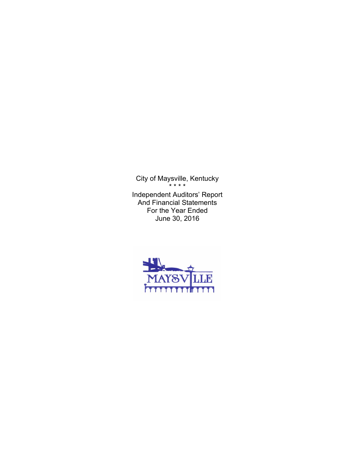City of Maysville, Kentucky \* \* \* \* Independent Auditors' Report And Financial Statements For the Year Ended June 30, 2016

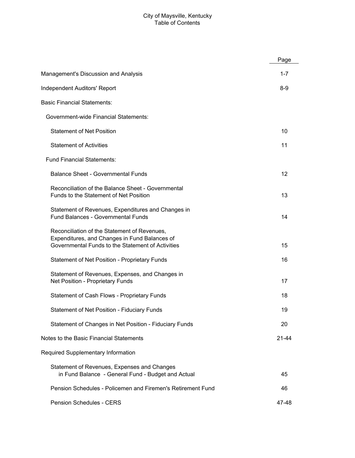## City of Maysville, Kentucky Table of Contents

|                                                                                                                                                    | Page    |
|----------------------------------------------------------------------------------------------------------------------------------------------------|---------|
| Management's Discussion and Analysis                                                                                                               | $1 - 7$ |
| Independent Auditors' Report                                                                                                                       | $8-9$   |
| <b>Basic Financial Statements:</b>                                                                                                                 |         |
| Government-wide Financial Statements:                                                                                                              |         |
| <b>Statement of Net Position</b>                                                                                                                   | 10      |
| <b>Statement of Activities</b>                                                                                                                     | 11      |
| <b>Fund Financial Statements:</b>                                                                                                                  |         |
| <b>Balance Sheet - Governmental Funds</b>                                                                                                          | 12      |
| Reconciliation of the Balance Sheet - Governmental<br>Funds to the Statement of Net Position                                                       | 13      |
| Statement of Revenues, Expenditures and Changes in<br><b>Fund Balances - Governmental Funds</b>                                                    | 14      |
| Reconciliation of the Statement of Revenues,<br>Expenditures, and Changes in Fund Balances of<br>Governmental Funds to the Statement of Activities | 15      |
| Statement of Net Position - Proprietary Funds                                                                                                      | 16      |
| Statement of Revenues, Expenses, and Changes in<br>Net Position - Proprietary Funds                                                                | 17      |
| Statement of Cash Flows - Proprietary Funds                                                                                                        | 18      |
| <b>Statement of Net Position - Fiduciary Funds</b>                                                                                                 | 19      |
| Statement of Changes in Net Position - Fiduciary Funds                                                                                             | 20      |
| Notes to the Basic Financial Statements                                                                                                            | 21-44   |
| Required Supplementary Information                                                                                                                 |         |
| Statement of Revenues, Expenses and Changes<br>in Fund Balance - General Fund - Budget and Actual                                                  | 45      |
| Pension Schedules - Policemen and Firemen's Retirement Fund                                                                                        | 46      |
| Pension Schedules - CERS                                                                                                                           | 47-48   |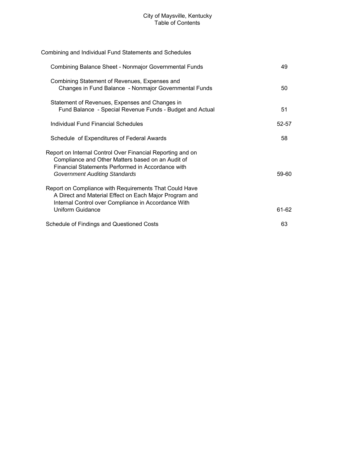## City of Maysville, Kentucky Table of Contents

| Combining and Individual Fund Statements and Schedules                                                                                                                                                       |       |
|--------------------------------------------------------------------------------------------------------------------------------------------------------------------------------------------------------------|-------|
| Combining Balance Sheet - Nonmajor Governmental Funds                                                                                                                                                        | 49    |
| Combining Statement of Revenues, Expenses and<br>Changes in Fund Balance - Nonmajor Governmental Funds                                                                                                       | 50    |
| Statement of Revenues, Expenses and Changes in<br>Fund Balance - Special Revenue Funds - Budget and Actual                                                                                                   | 51    |
| Individual Fund Financial Schedules                                                                                                                                                                          | 52-57 |
| Schedule of Expenditures of Federal Awards                                                                                                                                                                   | 58    |
| Report on Internal Control Over Financial Reporting and on<br>Compliance and Other Matters based on an Audit of<br>Financial Statements Performed in Accordance with<br><b>Government Auditing Standards</b> | 59-60 |
| Report on Compliance with Requirements That Could Have<br>A Direct and Material Effect on Each Major Program and<br>Internal Control over Compliance in Accordance With                                      |       |
| <b>Uniform Guidance</b>                                                                                                                                                                                      | 61-62 |
| Schedule of Findings and Questioned Costs                                                                                                                                                                    | 63    |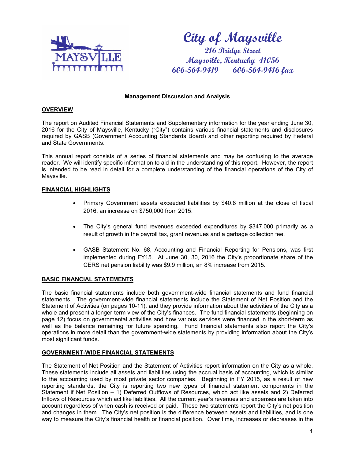

**City of Maysville**

**216 Bridge Street Maysville, Kentucky 41056 606-564-9419 606-564-9416 fax** 

#### **Management Discussion and Analysis**

## **OVERVIEW**

The report on Audited Financial Statements and Supplementary information for the year ending June 30, 2016 for the City of Maysville, Kentucky ("City") contains various financial statements and disclosures required by GASB (Government Accounting Standards Board) and other reporting required by Federal and State Governments.

This annual report consists of a series of financial statements and may be confusing to the average reader. We will identify specific information to aid in the understanding of this report. However, the report is intended to be read in detail for a complete understanding of the financial operations of the City of Maysville.

## **FINANCIAL HIGHLIGHTS**

- Primary Government assets exceeded liabilities by \$40.8 million at the close of fiscal 2016, an increase on \$750,000 from 2015.
- The City's general fund revenues exceeded expenditures by \$347,000 primarily as a result of growth in the payroll tax, grant revenues and a garbage collection fee.
- GASB Statement No. 68, Accounting and Financial Reporting for Pensions, was first implemented during FY15. At June 30, 30, 2016 the City's proportionate share of the CERS net pension liability was \$9.9 million, an 8% increase from 2015.

# **BASIC FINANCIAL STATEMENTS**

The basic financial statements include both government-wide financial statements and fund financial statements. The government-wide financial statements include the Statement of Net Position and the Statement of Activities (on pages 10-11), and they provide information about the activities of the City as a whole and present a longer-term view of the City's finances. The fund financial statements (beginning on page 12) focus on governmental activities and how various services were financed in the short-term as well as the balance remaining for future spending. Fund financial statements also report the City's operations in more detail than the government-wide statements by providing information about the City's most significant funds.

## **GOVERNMENT-WIDE FINANCIAL STATEMENTS**

The Statement of Net Position and the Statement of Activities report information on the City as a whole. These statements include all assets and liabilities using the accrual basis of accounting, which is similar to the accounting used by most private sector companies. Beginning in FY 2015, as a result of new reporting standards, the City is reporting two new types of financial statement components in the Statement if Net Position – 1) Deferred Outflows of Resources, which act like assets and 2) Deferred Inflows of Resources which act like liabilities. All the current year's revenues and expenses are taken into account regardless of when cash is received or paid. These two statements report the City's net position and changes in them. The City's net position is the difference between assets and liabilities, and is one way to measure the City's financial health or financial position. Over time, increases or decreases in the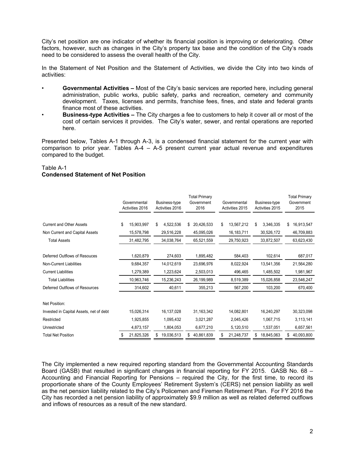City's net position are one indicator of whether its financial position is improving or deteriorating. Other factors, however, such as changes in the City's property tax base and the condition of the City's roads need to be considered to assess the overall health of the City.

In the Statement of Net Position and the Statement of Activities, we divide the City into two kinds of activities:

- **Governmental Activities** Most of the City's basic services are reported here, including general administration, public works, public safety, parks and recreation, cemetery and community development. Taxes, licenses and permits, franchise fees, fines, and state and federal grants finance most of these activities.
- **Business-type Activities** The City charges a fee to customers to help it cover all or most of the cost of certain services it provides. The City's water, sewer, and rental operations are reported here.

Presented below, Tables A-1 through A-3, is a condensed financial statement for the current year with comparison to prior year. Tables A-4 – A-5 present current year actual revenue and expenditures compared to the budget.

## Table A-1 **Condensed Statement of Net Position**

| Governmental<br>Business-type<br>Activities 2016<br>Activities 2016 |    | <b>Total Primary</b><br>Government<br>2016 |                 | Governmental<br>Activities 2015 |            | Business-type<br>Activities 2015 |            | <b>Total Primary</b><br>Government<br>2015 |            |    |            |
|---------------------------------------------------------------------|----|--------------------------------------------|-----------------|---------------------------------|------------|----------------------------------|------------|--------------------------------------------|------------|----|------------|
| <b>Current and Other Assets</b>                                     | \$ | 15,903,997                                 | \$<br>4,522,536 | \$                              | 20,426,533 | \$                               | 13,567,212 | \$                                         | 3,346,335  | \$ | 16,913,547 |
| Non Current and Capital Assets                                      |    | 15,578,798                                 | 29,516,228      |                                 | 45,095,026 |                                  | 16,183,711 |                                            | 30,526,172 |    | 46,709,883 |
| <b>Total Assets</b>                                                 |    | 31,482,795                                 | 34,038,764      |                                 | 65,521,559 |                                  | 29,750,923 |                                            | 33,872,507 |    | 63,623,430 |
| Deferred Outflows of Resouces                                       |    | 1,620,879                                  | 274,603         |                                 | 1,895,482  |                                  | 584,403    |                                            | 102,614    |    | 687,017    |
| Non-Current Liabilities                                             |    | 9,684,357                                  | 14,012,619      |                                 | 23,696,976 |                                  | 8,022,924  |                                            | 13,541,356 |    | 21,564,280 |
| <b>Current Liabilities</b>                                          |    | 1,279,389                                  | 1,223,624       |                                 | 2,503,013  |                                  | 496,465    |                                            | 1,485,502  |    | 1,981,967  |
| <b>Total Liabilities</b>                                            |    | 10,963,746                                 | 15,236,243      |                                 | 26,199,989 |                                  | 8,519,389  |                                            | 15,026,858 |    | 23,546,247 |
| Deferred Outflows of Resources                                      |    | 314,602                                    | 40,611          |                                 | 355,213    |                                  | 567,200    |                                            | 103,200    |    | 670,400    |
| Net Position:                                                       |    |                                            |                 |                                 |            |                                  |            |                                            |            |    |            |
| Invested in Capital Assets, net of debt                             |    | 15,026,314                                 | 16, 137, 028    |                                 | 31,163,342 |                                  | 14,082,801 |                                            | 16,240,297 |    | 30,323,098 |
| Restricted                                                          |    | 1,925,855                                  | 1,095,432       |                                 | 3,021,287  |                                  | 2,045,426  |                                            | 1,067,715  |    | 3,113,141  |
| Unrestricted                                                        |    | 4,873,157                                  | 1,804,053       |                                 | 6,677,210  |                                  | 5,120,510  |                                            | 1,537,051  |    | 6,657,561  |
| <b>Total Net Position</b>                                           |    | 21,825,326                                 | 19,036,513      |                                 | 40,861,839 |                                  | 21,248,737 |                                            | 18,845,063 | \$ | 40,093,800 |

The City implemented a new required reporting standard from the Governmental Accounting Standards Board (GASB) that resulted in significant changes in financial reporting for FY 2015. GASB No. 68 – Accounting and Financial Reporting for Pensions – required the City, for the first time, to record its proportionate share of the County Employees' Retirement System's (CERS) net pension liability as well as the net pension liability related to the City's Policemen and Firemen Retirement Plan. For FY 2016 the City has recorded a net pension liability of approximately \$9.9 million as well as related deferred outflows and inflows of resources as a result of the new standard.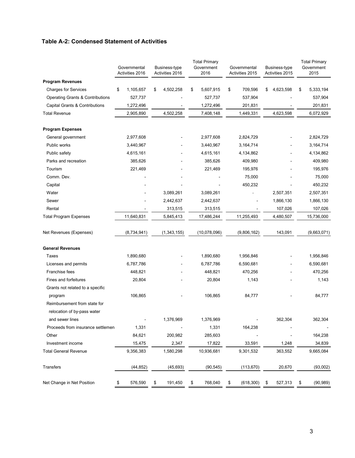# **Table A-2: Condensed Statement of Activities**

|                                             | Governmental<br>Activities 2016 | Business-type<br>Activities 2016 | <b>Total Primary</b><br>Government<br>2016 | Governmental<br>Activities 2015 | Business-type<br>Activities 2015 | <b>Total Primary</b><br>Government<br>2015 |
|---------------------------------------------|---------------------------------|----------------------------------|--------------------------------------------|---------------------------------|----------------------------------|--------------------------------------------|
| <b>Program Revenues</b>                     |                                 |                                  |                                            |                                 |                                  |                                            |
| <b>Charges for Services</b>                 | \$<br>1,105,657                 | \$<br>4,502,258                  | \$<br>5,607,915                            | \$<br>709,596                   | \$<br>4,623,598                  | 5,333,194<br>\$                            |
| <b>Operating Grants &amp; Contributions</b> | 527,737                         |                                  | 527,737                                    | 537,904                         |                                  | 537,904                                    |
| Capital Grants & Contributions              | 1,272,496                       |                                  | 1,272,496                                  | 201,831                         |                                  | 201,831                                    |
| <b>Total Revenue</b>                        | 2,905,890                       | 4,502,258                        | 7,408,148                                  | 1,449,331                       | 4,623,598                        | 6,072,929                                  |
| <b>Program Expenses</b>                     |                                 |                                  |                                            |                                 |                                  |                                            |
| General government                          | 2,977,608                       |                                  | 2,977,608                                  | 2,824,729                       |                                  | 2,824,729                                  |
| Public works                                | 3,440,967                       |                                  | 3,440,967                                  | 3,164,714                       |                                  | 3,164,714                                  |
| Public safety                               | 4,615,161                       |                                  | 4,615,161                                  | 4,134,862                       |                                  | 4,134,862                                  |
| Parks and recreation                        | 385,626                         |                                  | 385,626                                    | 409,980                         |                                  | 409,980                                    |
| Tourism                                     | 221,469                         |                                  | 221,469                                    | 195,976                         |                                  | 195,976                                    |
| Comm. Dev.                                  |                                 |                                  |                                            | 75,000                          |                                  | 75,000                                     |
| Capital                                     |                                 |                                  |                                            | 450,232                         |                                  | 450,232                                    |
| Water                                       |                                 | 3,089,261                        | 3,089,261                                  |                                 | 2,507,351                        | 2,507,351                                  |
| Sewer                                       |                                 | 2,442,637                        | 2,442,637                                  |                                 | 1,866,130                        | 1,866,130                                  |
| Rental                                      |                                 | 313,515                          | 313,515                                    |                                 | 107,026                          | 107,026                                    |
| <b>Total Program Expenses</b>               | 11,640,831                      | 5,845,413                        | 17,486,244                                 | 11,255,493                      | 4,480,507                        | 15,736,000                                 |
| Net Revenues (Expenses)                     | (8,734,941)                     | (1, 343, 155)                    | (10,078,096)                               | (9,806,162)                     | 143,091                          | (9,663,071)                                |
| <b>General Revenues</b>                     |                                 |                                  |                                            |                                 |                                  |                                            |
| Taxes                                       | 1,890,680                       |                                  | 1,890,680                                  | 1,956,846                       |                                  | 1,956,846                                  |
| Licenses and permits                        | 6,787,786                       |                                  | 6,787,786                                  | 6,590,681                       |                                  | 6,590,681                                  |
| <b>Franchise fees</b>                       | 448,821                         |                                  | 448,821                                    | 470,256                         |                                  | 470,256                                    |
| Fines and forfeitures                       | 20,804                          |                                  | 20,804                                     | 1,143                           |                                  | 1,143                                      |
| Grants not related to a specific            |                                 |                                  |                                            |                                 |                                  |                                            |
| program                                     | 106,865                         |                                  | 106,865                                    | 84,777                          |                                  | 84,777                                     |
| Reimbursement from state for                |                                 |                                  |                                            |                                 |                                  |                                            |
| relocation of by-pass water                 |                                 |                                  |                                            |                                 |                                  |                                            |
| and sewer lines                             |                                 | 1,376,969                        | 1,376,969                                  |                                 | 362,304                          | 362,304                                    |
| Proceeds from insurance settlemen           | 1,331                           |                                  | 1,331                                      | 164,238                         |                                  |                                            |
| Other                                       | 84,621                          | 200,982                          | 285,603                                    |                                 |                                  | 164,238                                    |
| Investment income                           | 15,475                          | 2,347                            | 17,822                                     | 33,591                          | 1,248                            | 34,839                                     |
| <b>Total General Revenue</b>                | 9,356,383                       | 1,580,298                        | 10,936,681                                 | 9,301,532                       | 363,552                          | 9,665,084                                  |
| Transfers                                   | (44, 852)                       | (45, 693)                        | (90, 545)                                  | (113, 670)                      | 20,670                           | (93,002)                                   |
| Net Change in Net Position                  | \$<br>576,590                   | \$<br>191,450                    | \$<br>768,040                              | \$<br>(618, 300)                | 527,313<br>\$                    | (90, 989)<br>\$                            |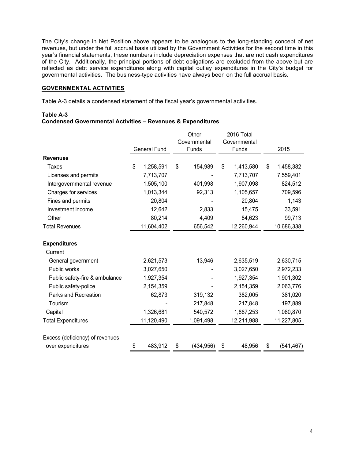The City's change in Net Position above appears to be analogous to the long-standing concept of net revenues, but under the full accrual basis utilized by the Government Activities for the second time in this year's financial statements, these numbers include depreciation expenses that are not cash expenditures of the City. Additionally, the principal portions of debt obligations are excluded from the above but are reflected as debt service expenditures along with capital outlay expenditures in the City's budget for governmental activities. The business-type activities have always been on the full accrual basis.

#### **GOVERNMENTAL ACTIVITIES**

Table A-3 details a condensed statement of the fiscal year's governmental activities.

# **Table A-3**

# **Condensed Governmental Activities – Revenues & Expenditures**

|                                 |                     | Other<br>Governmental |    | 2016 Total            |            |            |
|---------------------------------|---------------------|-----------------------|----|-----------------------|------------|------------|
|                                 | <b>General Fund</b> | Funds                 |    | Governmental<br>Funds |            | 2015       |
| <b>Revenues</b>                 |                     |                       |    |                       |            |            |
| <b>Taxes</b>                    | \$<br>1,258,591     | \$<br>154,989         | \$ | 1,413,580             | \$         | 1,458,382  |
| Licenses and permits            | 7,713,707           |                       |    | 7,713,707             |            | 7,559,401  |
| Intergovernmental revenue       | 1,505,100           | 401,998               |    | 1,907,098             |            | 824,512    |
| Charges for services            | 1,013,344           | 92,313                |    | 1,105,657             |            | 709,596    |
| Fines and permits               | 20,804              |                       |    | 20,804                |            | 1,143      |
| Investment income               | 12,642              | 2,833                 |    | 15,475                |            | 33,591     |
| Other                           | 80,214              | 4,409                 |    | 84,623                |            | 99,713     |
| <b>Total Revenues</b>           | 11,604,402          | 12,260,944<br>656,542 |    |                       | 10,686,338 |            |
| <b>Expenditures</b>             |                     |                       |    |                       |            |            |
| Current                         |                     |                       |    |                       |            |            |
| General government              | 2,621,573           | 13,946                |    | 2,635,519             |            | 2,630,715  |
| Public works                    | 3,027,650           |                       |    | 3,027,650             |            | 2,972,233  |
| Public safety-fire & ambulance  | 1,927,354           |                       |    | 1,927,354             |            | 1,901,302  |
| Public safety-police            | 2,154,359           |                       |    | 2,154,359             |            | 2,063,776  |
| Parks and Recreation            | 62,873              | 319,132               |    | 382,005               |            | 381,020    |
| Tourism                         |                     | 217,848               |    | 217,848               |            | 197,889    |
| Capital                         | 1,326,681           | 540,572               |    | 1,867,253             |            | 1,080,870  |
| <b>Total Expenditures</b>       | 11,120,490          | 1,091,498             |    | 12,211,988            |            | 11,227,805 |
| Excess (deficiency) of revenues |                     |                       |    |                       |            |            |
| over expenditures               | \$<br>483,912       | \$<br>(434, 956)      | \$ | 48,956                | \$         | (541, 467) |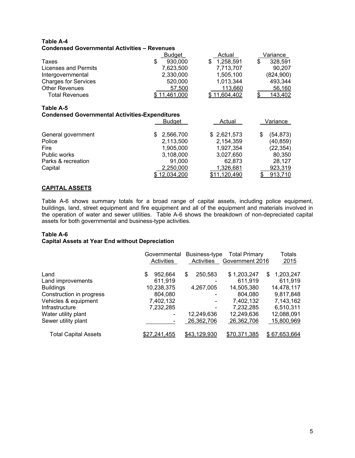| Table A-4                                           |  |
|-----------------------------------------------------|--|
| <b>Condensed Governmental Activities - Revenues</b> |  |

|                                                       |     | <b>Budget</b> | Actual          | Variance        |
|-------------------------------------------------------|-----|---------------|-----------------|-----------------|
| Taxes                                                 | \$  | 930,000       | \$<br>1,258,591 | \$<br>328,591   |
| Licenses and Permits                                  |     | 7,623,500     | 7,713,707       | 90,207          |
| Intergovernmental                                     |     | 2,330,000     | 1,505,100       | (824, 900)      |
| <b>Charges for Services</b>                           |     | 520,000       | 1,013,344       | 493,344         |
| <b>Other Revenues</b>                                 |     | 57,500        | 113,660         | 56,160          |
| <b>Total Revenues</b>                                 |     | \$11,461,000  | \$11,604,402    | 143,402         |
| Table A-5                                             |     |               |                 |                 |
| <b>Condensed Governmental Activities-Expenditures</b> |     |               |                 |                 |
|                                                       |     | <b>Budget</b> | Actual          | Variance        |
| General government                                    | \$. | 2,566,700     | \$2,621,573     | \$<br>(54, 873) |
| Police                                                |     | 2,113,500     | 2,154,359       | (40,859)        |
| Fire                                                  |     | 1,905,000     | 1,927,354       | (22, 354)       |
| <b>Public works</b>                                   |     | 3,108,000     | 3,027,650       | 80,350          |

Parks & recreation 62,873 28,127<br>Capital 62,873 28,127<br>2,250,000 1,326,681 923,319 Capital 2,250,000 1,326,681 923,319<br>\$12,034,200 \$11,120,490 \$913,710

## **CAPITAL ASSETS**

Table A-6 shows summary totals for a broad range of capital assets, including police equipment, buildings, land, street equipment and fire equipment and all of the equipment and materials involved in the operation of water and sewer utilities. Table A-6 shows the breakdown of non-depreciated capital assets for both governmental and business-type activities.

 $\overline{$}12,034,200$   $\overline{$}11,120,490$   $\overline{$}913,710$ 

## **Table A-6**

## **Capital Assets at Year End without Depreciation**

|                             | Governmental  | Business-type | <b>Total Primary</b> | <b>Totals</b>   |
|-----------------------------|---------------|---------------|----------------------|-----------------|
|                             | Activities    | Activities    | Government 2016      | 2015            |
| Land                        | \$<br>952,664 | 250,583<br>\$ | \$1,203,247          | 1,203,247<br>S. |
| Land improvements           | 611,919       |               | 611,919              | 611,919         |
| <b>Buildings</b>            | 10,238,375    | 4,267,005     | 14,505,380           | 14,478,117      |
| Construction in progress    | 804,080       |               | 804.080              | 9,817,848       |
| Vehicles & equipment        | 7,402,132     |               | 7,402,132            | 7,143,162       |
| Infrastructure              | 7,232,285     |               | 7,232,285            | 6,510,311       |
| Water utility plant         |               | 12,249,636    | 12,249,636           | 12,088,091      |
| Sewer utility plant         |               | 26,362,706    | 26,362,706           | 15,800,969      |
| <b>Total Capital Assets</b> | \$27,241,455  | \$43,129,930  | \$70,371,385         | \$67,653,664    |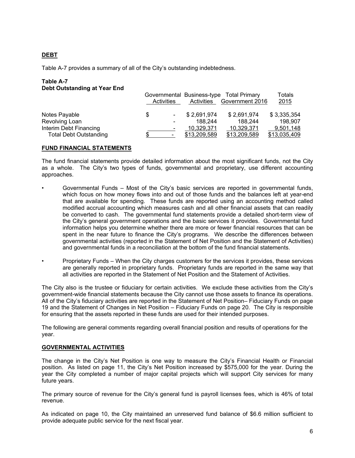# **DEBT**

Table A-7 provides a summary of all of the City's outstanding indebtedness.

#### **Table A-7 Debt Outstanding at Year End**

|                               | Activities     | Activities   | Governmental Business-type Total Primary<br>Government 2016 | Totals<br>2015 |
|-------------------------------|----------------|--------------|-------------------------------------------------------------|----------------|
| Notes Payable                 | \$             | \$2,691,974  | \$2,691,974                                                 | \$3,335,354    |
| Revolving Loan                | $\blacksquare$ | 188.244      | 188.244                                                     | 198,907        |
| Interim Debt Financing        |                | 10.329.371   | 10,329,371                                                  | 9,501,148      |
| <b>Total Debt Outstanding</b> |                | \$13,209,589 | \$13,209,589                                                | \$13,035,409   |

## **FUND FINANCIAL STATEMENTS**

The fund financial statements provide detailed information about the most significant funds, not the City as a whole. The City's two types of funds, governmental and proprietary, use different accounting approaches.

- Governmental Funds Most of the City's basic services are reported in governmental funds, which focus on how money flows into and out of those funds and the balances left at year-end that are available for spending. These funds are reported using an accounting method called modified accrual accounting which measures cash and all other financial assets that can readily be converted to cash. The governmental fund statements provide a detailed short-term view of the City's general government operations and the basic services it provides. Governmental fund information helps you determine whether there are more or fewer financial resources that can be spent in the near future to finance the City's programs. We describe the differences between governmental activities (reported in the Statement of Net Position and the Statement of Activities) and governmental funds in a reconciliation at the bottom of the fund financial statements.
- Proprietary Funds When the City charges customers for the services it provides, these services are generally reported in proprietary funds. Proprietary funds are reported in the same way that all activities are reported in the Statement of Net Position and the Statement of Activities.

The City also is the trustee or fiduciary for certain activities. We exclude these activities from the City's government-wide financial statements because the City cannot use those assets to finance its operations. All of the City's fiduciary activities are reported in the Statement of Net Position– Fiduciary Funds on page 19 and the Statement of Changes in Net Position – Fiduciary Funds on page 20. The City is responsible for ensuring that the assets reported in these funds are used for their intended purposes.

The following are general comments regarding overall financial position and results of operations for the year.

#### **GOVERNMENTAL ACTIVITIES**

The change in the City's Net Position is one way to measure the City's Financial Health or Financial position. As listed on page 11, the City's Net Position increased by \$575,000 for the year. During the year the City completed a number of major capital projects which will support City services for many future years.

The primary source of revenue for the City's general fund is payroll licenses fees, which is 46% of total revenue.

As indicated on page 10, the City maintained an unreserved fund balance of \$6.6 million sufficient to provide adequate public service for the next fiscal year.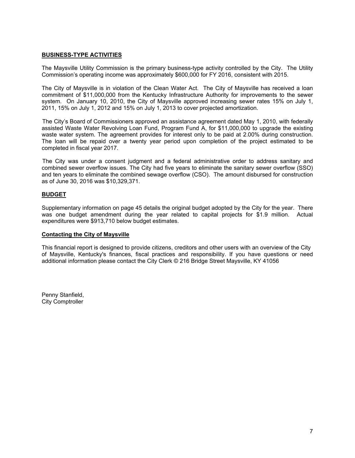## **BUSINESS-TYPE ACTIVITIES**

The Maysville Utility Commission is the primary business-type activity controlled by the City. The Utility Commission's operating income was approximately \$600,000 for FY 2016, consistent with 2015.

The City of Maysville is in violation of the Clean Water Act. The City of Maysville has received a loan commitment of \$11,000,000 from the Kentucky Infrastructure Authority for improvements to the sewer system. On January 10, 2010, the City of Maysville approved increasing sewer rates 15% on July 1, 2011, 15% on July 1, 2012 and 15% on July 1, 2013 to cover projected amortization.

The City's Board of Commissioners approved an assistance agreement dated May 1, 2010, with federally assisted Waste Water Revolving Loan Fund, Program Fund A, for \$11,000,000 to upgrade the existing waste water system. The agreement provides for interest only to be paid at 2.00% during construction. The loan will be repaid over a twenty year period upon completion of the project estimated to be completed in fiscal year 2017.

The City was under a consent judgment and a federal administrative order to address sanitary and combined sewer overflow issues. The City had five years to eliminate the sanitary sewer overflow (SSO) and ten years to eliminate the combined sewage overflow (CSO). The amount disbursed for construction as of June 30, 2016 was \$10,329,371.

## **BUDGET**

Supplementary information on page 45 details the original budget adopted by the City for the year. There was one budget amendment during the year related to capital projects for \$1.9 million. Actual expenditures were \$913,710 below budget estimates.

#### **Contacting the City of Maysville**

This financial report is designed to provide citizens, creditors and other users with an overview of the City of Maysville, Kentucky's finances, fiscal practices and responsibility. If you have questions or need additional information please contact the City Clerk © 216 Bridge Street Maysville, KY 41056

Penny Stanfield, City Comptroller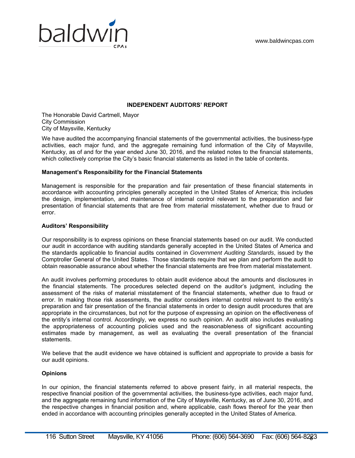

## **INDEPENDENT AUDITORS' REPORT**

The Honorable David Cartmell, Mayor City Commission City of Maysville, Kentucky

We have audited the accompanying financial statements of the governmental activities, the business-type activities, each major fund, and the aggregate remaining fund information of the City of Maysville, Kentucky, as of and for the year ended June 30, 2016, and the related notes to the financial statements, which collectively comprise the City's basic financial statements as listed in the table of contents.

#### **Management's Responsibility for the Financial Statements**

Management is responsible for the preparation and fair presentation of these financial statements in accordance with accounting principles generally accepted in the United States of America; this includes the design, implementation, and maintenance of internal control relevant to the preparation and fair presentation of financial statements that are free from material misstatement, whether due to fraud or error.

## **Auditors' Responsibility**

Our responsibility is to express opinions on these financial statements based on our audit. We conducted our audit in accordance with auditing standards generally accepted in the United States of America and the standards applicable to financial audits contained in *Government Auditing Standards*, issued by the Comptroller General of the United States. Those standards require that we plan and perform the audit to obtain reasonable assurance about whether the financial statements are free from material misstatement.

An audit involves performing procedures to obtain audit evidence about the amounts and disclosures in the financial statements. The procedures selected depend on the auditor's judgment, including the assessment of the risks of material misstatement of the financial statements, whether due to fraud or error. In making those risk assessments, the auditor considers internal control relevant to the entity's preparation and fair presentation of the financial statements in order to design audit procedures that are appropriate in the circumstances, but not for the purpose of expressing an opinion on the effectiveness of the entity's internal control. Accordingly, we express no such opinion. An audit also includes evaluating the appropriateness of accounting policies used and the reasonableness of significant accounting estimates made by management, as well as evaluating the overall presentation of the financial statements.

We believe that the audit evidence we have obtained is sufficient and appropriate to provide a basis for our audit opinions.

## **Opinions**

In our opinion, the financial statements referred to above present fairly, in all material respects, the respective financial position of the governmental activities, the business-type activities, each major fund, and the aggregate remaining fund information of the City of Maysville, Kentucky, as of June 30, 2016, and the respective changes in financial position and, where applicable, cash flows thereof for the year then ended in accordance with accounting principles generally accepted in the United States of America.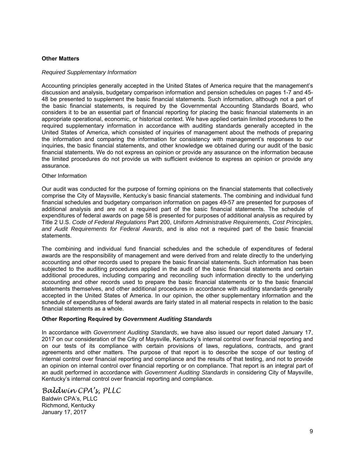#### **Other Matters**

#### *Required Supplementary Information*

Accounting principles generally accepted in the United States of America require that the management's discussion and analysis, budgetary comparison information and pension schedules on pages 1-7 and 45- 48 be presented to supplement the basic financial statements. Such information, although not a part of the basic financial statements, is required by the Governmental Accounting Standards Board, who considers it to be an essential part of financial reporting for placing the basic financial statements in an appropriate operational, economic, or historical context. We have applied certain limited procedures to the required supplementary information in accordance with auditing standards generally accepted in the United States of America, which consisted of inquiries of management about the methods of preparing the information and comparing the information for consistency with management's responses to our inquiries, the basic financial statements, and other knowledge we obtained during our audit of the basic financial statements. We do not express an opinion or provide any assurance on the information because the limited procedures do not provide us with sufficient evidence to express an opinion or provide any assurance.

#### Other Information

Our audit was conducted for the purpose of forming opinions on the financial statements that collectively comprise the City of Maysville, Kentucky's basic financial statements. The combining and individual fund financial schedules and budgetary comparison information on pages 49-57 are presented for purposes of additional analysis and are not a required part of the basic financial statements. The schedule of expenditures of federal awards on page 58 is presented for purposes of additional analysis as required by Title 2 U.S. *Code of Federal Regulations* Part 200, *Uniform Administrative Requirements, Cost Principles, and Audit Requirements for Federal Awards*, and is also not a required part of the basic financial statements.

The combining and individual fund financial schedules and the schedule of expenditures of federal awards are the responsibility of management and were derived from and relate directly to the underlying accounting and other records used to prepare the basic financial statements. Such information has been subjected to the auditing procedures applied in the audit of the basic financial statements and certain additional procedures, including comparing and reconciling such information directly to the underlying accounting and other records used to prepare the basic financial statements or to the basic financial statements themselves, and other additional procedures in accordance with auditing standards generally accepted in the United States of America. In our opinion, the other supplementary information and the schedule of expenditures of federal awards are fairly stated in all material respects in relation to the basic financial statements as a whole.

#### **Other Reporting Required by** *Government Auditing Standards*

In accordance with *Government Auditing Standards*, we have also issued our report dated January 17, 2017 on our consideration of the City of Maysville, Kentucky's internal control over financial reporting and on our tests of its compliance with certain provisions of laws, regulations, contracts, and grant agreements and other matters. The purpose of that report is to describe the scope of our testing of internal control over financial reporting and compliance and the results of that testing, and not to provide an opinion on internal control over financial reporting or on compliance. That report is an integral part of an audit performed in accordance with *Government Auditing Standards* in considering City of Maysville, Kentucky's internal control over financial reporting and compliance.

# *Baldwin CPA's, PLLC*

Baldwin CPA's, PLLC Richmond, Kentucky January 17, 2017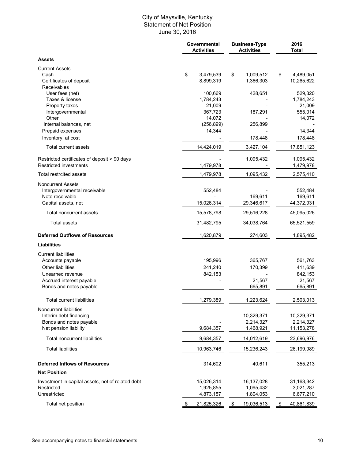# City of Maysville, Kentucky Statement of Net Position June 30, 2016

| <b>Assets</b><br><b>Current Assets</b><br>\$<br>3,479,539<br>\$<br>1,009,512<br>\$<br>4,489,051<br>Cash<br>8,899,319<br>1,366,303<br>10,265,622<br>Certificates of deposit<br>Receivables<br>User fees (net)<br>100,669<br>428,651<br>529,320<br>Taxes & license<br>1,784,243<br>1,784,243<br>21,009<br>21,009<br>Property taxes<br>Intergovernmental<br>367,723<br>187,291<br>555,014<br>14,072<br>Other<br>14,072<br>Internal balances, net<br>(256, 899)<br>256,899<br>14,344<br>14,344<br>Prepaid expenses<br>Inventory, at cost<br>178,448<br>178,448<br>14,424,019<br>3,427,104<br>Total current assets<br>17,851,123<br>Restricted certificates of deposit > 90 days<br>1,095,432<br>1,095,432<br><b>Restricted investments</b><br>1,479,978<br>1,479,978<br>1,479,978<br>1,095,432<br>Total restrcited assets<br>2,575,410<br><b>Noncurrent Assets</b><br>552,484<br>Intergovernmental receivable<br>552,484<br>Note receivable<br>169,611<br>169,611<br>15,026,314<br>29,346,617<br>44,372,931<br>Capital assets, net<br>Total noncurrent assets<br>15,578,798<br>29,516,228<br>45,095,026<br><b>Total assets</b><br>31,482,795<br>34,038,764<br>65,521,559<br><b>Deferred Outflows of Resources</b><br>1,895,482<br>1,620,879<br>274,603<br><b>Liabilities</b><br><b>Current liabilities</b><br>Accounts payable<br>195,996<br>365,767<br>561,763<br><b>Other liabilities</b><br>241,240<br>170,399<br>411,639<br>Unearned revenue<br>842,153<br>842,153<br>21,567<br>21,567<br>Accrued interest payable<br>665,891<br>Bonds and notes payable<br>665.891<br>1,279,389<br>1,223,624<br>2,503,013<br>Total current liabilities<br>Noncurrent liabilities<br>Interim debt financing<br>10,329,371<br>10,329,371<br>Bonds and notes payable<br>2,214,327<br>2,214,327<br>Net pension liability<br>11,153,278<br>9,684,357<br>1,468,921<br>Total noncurrent liabilities<br>9,684,357<br>14,012,619<br>23,696,976<br><b>Total liabilities</b><br>10,963,746<br>15,236,243<br>26,199,989<br><b>Deferred Inflows of Resources</b><br>314,602<br>40,611<br>355,213<br><b>Net Position</b><br>15,026,314<br>16,137,028<br>31, 163, 342<br>Investment in capital assets, net of related debt<br>Restricted<br>1,925,855<br>1,095,432<br>3,021,287<br>Unrestricted<br>4,873,157<br>1,804,053<br>6,677,210<br>Total net position<br>21,825,326<br>19,036,513<br>40,861,839<br>$\frac{1}{2}$<br>$\frac{1}{2}$ | Governmental<br><b>Activities</b> | <b>Business-Type</b><br><b>Activities</b> | 2016<br>Total |  |
|------------------------------------------------------------------------------------------------------------------------------------------------------------------------------------------------------------------------------------------------------------------------------------------------------------------------------------------------------------------------------------------------------------------------------------------------------------------------------------------------------------------------------------------------------------------------------------------------------------------------------------------------------------------------------------------------------------------------------------------------------------------------------------------------------------------------------------------------------------------------------------------------------------------------------------------------------------------------------------------------------------------------------------------------------------------------------------------------------------------------------------------------------------------------------------------------------------------------------------------------------------------------------------------------------------------------------------------------------------------------------------------------------------------------------------------------------------------------------------------------------------------------------------------------------------------------------------------------------------------------------------------------------------------------------------------------------------------------------------------------------------------------------------------------------------------------------------------------------------------------------------------------------------------------------------------------------------------------------------------------------------------------------------------------------------------------------------------------------------------------------------------------------------------------------------------------------------------------------------------------------------------------------------------------------------------------------------------------------------------------------------------------------------|-----------------------------------|-------------------------------------------|---------------|--|
|                                                                                                                                                                                                                                                                                                                                                                                                                                                                                                                                                                                                                                                                                                                                                                                                                                                                                                                                                                                                                                                                                                                                                                                                                                                                                                                                                                                                                                                                                                                                                                                                                                                                                                                                                                                                                                                                                                                                                                                                                                                                                                                                                                                                                                                                                                                                                                                                            |                                   |                                           |               |  |
|                                                                                                                                                                                                                                                                                                                                                                                                                                                                                                                                                                                                                                                                                                                                                                                                                                                                                                                                                                                                                                                                                                                                                                                                                                                                                                                                                                                                                                                                                                                                                                                                                                                                                                                                                                                                                                                                                                                                                                                                                                                                                                                                                                                                                                                                                                                                                                                                            |                                   |                                           |               |  |
|                                                                                                                                                                                                                                                                                                                                                                                                                                                                                                                                                                                                                                                                                                                                                                                                                                                                                                                                                                                                                                                                                                                                                                                                                                                                                                                                                                                                                                                                                                                                                                                                                                                                                                                                                                                                                                                                                                                                                                                                                                                                                                                                                                                                                                                                                                                                                                                                            |                                   |                                           |               |  |
|                                                                                                                                                                                                                                                                                                                                                                                                                                                                                                                                                                                                                                                                                                                                                                                                                                                                                                                                                                                                                                                                                                                                                                                                                                                                                                                                                                                                                                                                                                                                                                                                                                                                                                                                                                                                                                                                                                                                                                                                                                                                                                                                                                                                                                                                                                                                                                                                            |                                   |                                           |               |  |
|                                                                                                                                                                                                                                                                                                                                                                                                                                                                                                                                                                                                                                                                                                                                                                                                                                                                                                                                                                                                                                                                                                                                                                                                                                                                                                                                                                                                                                                                                                                                                                                                                                                                                                                                                                                                                                                                                                                                                                                                                                                                                                                                                                                                                                                                                                                                                                                                            |                                   |                                           |               |  |
|                                                                                                                                                                                                                                                                                                                                                                                                                                                                                                                                                                                                                                                                                                                                                                                                                                                                                                                                                                                                                                                                                                                                                                                                                                                                                                                                                                                                                                                                                                                                                                                                                                                                                                                                                                                                                                                                                                                                                                                                                                                                                                                                                                                                                                                                                                                                                                                                            |                                   |                                           |               |  |
|                                                                                                                                                                                                                                                                                                                                                                                                                                                                                                                                                                                                                                                                                                                                                                                                                                                                                                                                                                                                                                                                                                                                                                                                                                                                                                                                                                                                                                                                                                                                                                                                                                                                                                                                                                                                                                                                                                                                                                                                                                                                                                                                                                                                                                                                                                                                                                                                            |                                   |                                           |               |  |
|                                                                                                                                                                                                                                                                                                                                                                                                                                                                                                                                                                                                                                                                                                                                                                                                                                                                                                                                                                                                                                                                                                                                                                                                                                                                                                                                                                                                                                                                                                                                                                                                                                                                                                                                                                                                                                                                                                                                                                                                                                                                                                                                                                                                                                                                                                                                                                                                            |                                   |                                           |               |  |
|                                                                                                                                                                                                                                                                                                                                                                                                                                                                                                                                                                                                                                                                                                                                                                                                                                                                                                                                                                                                                                                                                                                                                                                                                                                                                                                                                                                                                                                                                                                                                                                                                                                                                                                                                                                                                                                                                                                                                                                                                                                                                                                                                                                                                                                                                                                                                                                                            |                                   |                                           |               |  |
|                                                                                                                                                                                                                                                                                                                                                                                                                                                                                                                                                                                                                                                                                                                                                                                                                                                                                                                                                                                                                                                                                                                                                                                                                                                                                                                                                                                                                                                                                                                                                                                                                                                                                                                                                                                                                                                                                                                                                                                                                                                                                                                                                                                                                                                                                                                                                                                                            |                                   |                                           |               |  |
|                                                                                                                                                                                                                                                                                                                                                                                                                                                                                                                                                                                                                                                                                                                                                                                                                                                                                                                                                                                                                                                                                                                                                                                                                                                                                                                                                                                                                                                                                                                                                                                                                                                                                                                                                                                                                                                                                                                                                                                                                                                                                                                                                                                                                                                                                                                                                                                                            |                                   |                                           |               |  |
|                                                                                                                                                                                                                                                                                                                                                                                                                                                                                                                                                                                                                                                                                                                                                                                                                                                                                                                                                                                                                                                                                                                                                                                                                                                                                                                                                                                                                                                                                                                                                                                                                                                                                                                                                                                                                                                                                                                                                                                                                                                                                                                                                                                                                                                                                                                                                                                                            |                                   |                                           |               |  |
|                                                                                                                                                                                                                                                                                                                                                                                                                                                                                                                                                                                                                                                                                                                                                                                                                                                                                                                                                                                                                                                                                                                                                                                                                                                                                                                                                                                                                                                                                                                                                                                                                                                                                                                                                                                                                                                                                                                                                                                                                                                                                                                                                                                                                                                                                                                                                                                                            |                                   |                                           |               |  |
|                                                                                                                                                                                                                                                                                                                                                                                                                                                                                                                                                                                                                                                                                                                                                                                                                                                                                                                                                                                                                                                                                                                                                                                                                                                                                                                                                                                                                                                                                                                                                                                                                                                                                                                                                                                                                                                                                                                                                                                                                                                                                                                                                                                                                                                                                                                                                                                                            |                                   |                                           |               |  |
|                                                                                                                                                                                                                                                                                                                                                                                                                                                                                                                                                                                                                                                                                                                                                                                                                                                                                                                                                                                                                                                                                                                                                                                                                                                                                                                                                                                                                                                                                                                                                                                                                                                                                                                                                                                                                                                                                                                                                                                                                                                                                                                                                                                                                                                                                                                                                                                                            |                                   |                                           |               |  |
|                                                                                                                                                                                                                                                                                                                                                                                                                                                                                                                                                                                                                                                                                                                                                                                                                                                                                                                                                                                                                                                                                                                                                                                                                                                                                                                                                                                                                                                                                                                                                                                                                                                                                                                                                                                                                                                                                                                                                                                                                                                                                                                                                                                                                                                                                                                                                                                                            |                                   |                                           |               |  |
|                                                                                                                                                                                                                                                                                                                                                                                                                                                                                                                                                                                                                                                                                                                                                                                                                                                                                                                                                                                                                                                                                                                                                                                                                                                                                                                                                                                                                                                                                                                                                                                                                                                                                                                                                                                                                                                                                                                                                                                                                                                                                                                                                                                                                                                                                                                                                                                                            |                                   |                                           |               |  |
|                                                                                                                                                                                                                                                                                                                                                                                                                                                                                                                                                                                                                                                                                                                                                                                                                                                                                                                                                                                                                                                                                                                                                                                                                                                                                                                                                                                                                                                                                                                                                                                                                                                                                                                                                                                                                                                                                                                                                                                                                                                                                                                                                                                                                                                                                                                                                                                                            |                                   |                                           |               |  |
|                                                                                                                                                                                                                                                                                                                                                                                                                                                                                                                                                                                                                                                                                                                                                                                                                                                                                                                                                                                                                                                                                                                                                                                                                                                                                                                                                                                                                                                                                                                                                                                                                                                                                                                                                                                                                                                                                                                                                                                                                                                                                                                                                                                                                                                                                                                                                                                                            |                                   |                                           |               |  |
|                                                                                                                                                                                                                                                                                                                                                                                                                                                                                                                                                                                                                                                                                                                                                                                                                                                                                                                                                                                                                                                                                                                                                                                                                                                                                                                                                                                                                                                                                                                                                                                                                                                                                                                                                                                                                                                                                                                                                                                                                                                                                                                                                                                                                                                                                                                                                                                                            |                                   |                                           |               |  |
|                                                                                                                                                                                                                                                                                                                                                                                                                                                                                                                                                                                                                                                                                                                                                                                                                                                                                                                                                                                                                                                                                                                                                                                                                                                                                                                                                                                                                                                                                                                                                                                                                                                                                                                                                                                                                                                                                                                                                                                                                                                                                                                                                                                                                                                                                                                                                                                                            |                                   |                                           |               |  |
|                                                                                                                                                                                                                                                                                                                                                                                                                                                                                                                                                                                                                                                                                                                                                                                                                                                                                                                                                                                                                                                                                                                                                                                                                                                                                                                                                                                                                                                                                                                                                                                                                                                                                                                                                                                                                                                                                                                                                                                                                                                                                                                                                                                                                                                                                                                                                                                                            |                                   |                                           |               |  |
|                                                                                                                                                                                                                                                                                                                                                                                                                                                                                                                                                                                                                                                                                                                                                                                                                                                                                                                                                                                                                                                                                                                                                                                                                                                                                                                                                                                                                                                                                                                                                                                                                                                                                                                                                                                                                                                                                                                                                                                                                                                                                                                                                                                                                                                                                                                                                                                                            |                                   |                                           |               |  |
|                                                                                                                                                                                                                                                                                                                                                                                                                                                                                                                                                                                                                                                                                                                                                                                                                                                                                                                                                                                                                                                                                                                                                                                                                                                                                                                                                                                                                                                                                                                                                                                                                                                                                                                                                                                                                                                                                                                                                                                                                                                                                                                                                                                                                                                                                                                                                                                                            |                                   |                                           |               |  |
|                                                                                                                                                                                                                                                                                                                                                                                                                                                                                                                                                                                                                                                                                                                                                                                                                                                                                                                                                                                                                                                                                                                                                                                                                                                                                                                                                                                                                                                                                                                                                                                                                                                                                                                                                                                                                                                                                                                                                                                                                                                                                                                                                                                                                                                                                                                                                                                                            |                                   |                                           |               |  |
|                                                                                                                                                                                                                                                                                                                                                                                                                                                                                                                                                                                                                                                                                                                                                                                                                                                                                                                                                                                                                                                                                                                                                                                                                                                                                                                                                                                                                                                                                                                                                                                                                                                                                                                                                                                                                                                                                                                                                                                                                                                                                                                                                                                                                                                                                                                                                                                                            |                                   |                                           |               |  |
|                                                                                                                                                                                                                                                                                                                                                                                                                                                                                                                                                                                                                                                                                                                                                                                                                                                                                                                                                                                                                                                                                                                                                                                                                                                                                                                                                                                                                                                                                                                                                                                                                                                                                                                                                                                                                                                                                                                                                                                                                                                                                                                                                                                                                                                                                                                                                                                                            |                                   |                                           |               |  |
|                                                                                                                                                                                                                                                                                                                                                                                                                                                                                                                                                                                                                                                                                                                                                                                                                                                                                                                                                                                                                                                                                                                                                                                                                                                                                                                                                                                                                                                                                                                                                                                                                                                                                                                                                                                                                                                                                                                                                                                                                                                                                                                                                                                                                                                                                                                                                                                                            |                                   |                                           |               |  |
|                                                                                                                                                                                                                                                                                                                                                                                                                                                                                                                                                                                                                                                                                                                                                                                                                                                                                                                                                                                                                                                                                                                                                                                                                                                                                                                                                                                                                                                                                                                                                                                                                                                                                                                                                                                                                                                                                                                                                                                                                                                                                                                                                                                                                                                                                                                                                                                                            |                                   |                                           |               |  |
|                                                                                                                                                                                                                                                                                                                                                                                                                                                                                                                                                                                                                                                                                                                                                                                                                                                                                                                                                                                                                                                                                                                                                                                                                                                                                                                                                                                                                                                                                                                                                                                                                                                                                                                                                                                                                                                                                                                                                                                                                                                                                                                                                                                                                                                                                                                                                                                                            |                                   |                                           |               |  |
|                                                                                                                                                                                                                                                                                                                                                                                                                                                                                                                                                                                                                                                                                                                                                                                                                                                                                                                                                                                                                                                                                                                                                                                                                                                                                                                                                                                                                                                                                                                                                                                                                                                                                                                                                                                                                                                                                                                                                                                                                                                                                                                                                                                                                                                                                                                                                                                                            |                                   |                                           |               |  |
|                                                                                                                                                                                                                                                                                                                                                                                                                                                                                                                                                                                                                                                                                                                                                                                                                                                                                                                                                                                                                                                                                                                                                                                                                                                                                                                                                                                                                                                                                                                                                                                                                                                                                                                                                                                                                                                                                                                                                                                                                                                                                                                                                                                                                                                                                                                                                                                                            |                                   |                                           |               |  |
|                                                                                                                                                                                                                                                                                                                                                                                                                                                                                                                                                                                                                                                                                                                                                                                                                                                                                                                                                                                                                                                                                                                                                                                                                                                                                                                                                                                                                                                                                                                                                                                                                                                                                                                                                                                                                                                                                                                                                                                                                                                                                                                                                                                                                                                                                                                                                                                                            |                                   |                                           |               |  |
|                                                                                                                                                                                                                                                                                                                                                                                                                                                                                                                                                                                                                                                                                                                                                                                                                                                                                                                                                                                                                                                                                                                                                                                                                                                                                                                                                                                                                                                                                                                                                                                                                                                                                                                                                                                                                                                                                                                                                                                                                                                                                                                                                                                                                                                                                                                                                                                                            |                                   |                                           |               |  |
|                                                                                                                                                                                                                                                                                                                                                                                                                                                                                                                                                                                                                                                                                                                                                                                                                                                                                                                                                                                                                                                                                                                                                                                                                                                                                                                                                                                                                                                                                                                                                                                                                                                                                                                                                                                                                                                                                                                                                                                                                                                                                                                                                                                                                                                                                                                                                                                                            |                                   |                                           |               |  |
|                                                                                                                                                                                                                                                                                                                                                                                                                                                                                                                                                                                                                                                                                                                                                                                                                                                                                                                                                                                                                                                                                                                                                                                                                                                                                                                                                                                                                                                                                                                                                                                                                                                                                                                                                                                                                                                                                                                                                                                                                                                                                                                                                                                                                                                                                                                                                                                                            |                                   |                                           |               |  |
|                                                                                                                                                                                                                                                                                                                                                                                                                                                                                                                                                                                                                                                                                                                                                                                                                                                                                                                                                                                                                                                                                                                                                                                                                                                                                                                                                                                                                                                                                                                                                                                                                                                                                                                                                                                                                                                                                                                                                                                                                                                                                                                                                                                                                                                                                                                                                                                                            |                                   |                                           |               |  |
|                                                                                                                                                                                                                                                                                                                                                                                                                                                                                                                                                                                                                                                                                                                                                                                                                                                                                                                                                                                                                                                                                                                                                                                                                                                                                                                                                                                                                                                                                                                                                                                                                                                                                                                                                                                                                                                                                                                                                                                                                                                                                                                                                                                                                                                                                                                                                                                                            |                                   |                                           |               |  |
|                                                                                                                                                                                                                                                                                                                                                                                                                                                                                                                                                                                                                                                                                                                                                                                                                                                                                                                                                                                                                                                                                                                                                                                                                                                                                                                                                                                                                                                                                                                                                                                                                                                                                                                                                                                                                                                                                                                                                                                                                                                                                                                                                                                                                                                                                                                                                                                                            |                                   |                                           |               |  |
|                                                                                                                                                                                                                                                                                                                                                                                                                                                                                                                                                                                                                                                                                                                                                                                                                                                                                                                                                                                                                                                                                                                                                                                                                                                                                                                                                                                                                                                                                                                                                                                                                                                                                                                                                                                                                                                                                                                                                                                                                                                                                                                                                                                                                                                                                                                                                                                                            |                                   |                                           |               |  |
|                                                                                                                                                                                                                                                                                                                                                                                                                                                                                                                                                                                                                                                                                                                                                                                                                                                                                                                                                                                                                                                                                                                                                                                                                                                                                                                                                                                                                                                                                                                                                                                                                                                                                                                                                                                                                                                                                                                                                                                                                                                                                                                                                                                                                                                                                                                                                                                                            |                                   |                                           |               |  |
|                                                                                                                                                                                                                                                                                                                                                                                                                                                                                                                                                                                                                                                                                                                                                                                                                                                                                                                                                                                                                                                                                                                                                                                                                                                                                                                                                                                                                                                                                                                                                                                                                                                                                                                                                                                                                                                                                                                                                                                                                                                                                                                                                                                                                                                                                                                                                                                                            |                                   |                                           |               |  |
|                                                                                                                                                                                                                                                                                                                                                                                                                                                                                                                                                                                                                                                                                                                                                                                                                                                                                                                                                                                                                                                                                                                                                                                                                                                                                                                                                                                                                                                                                                                                                                                                                                                                                                                                                                                                                                                                                                                                                                                                                                                                                                                                                                                                                                                                                                                                                                                                            |                                   |                                           |               |  |
|                                                                                                                                                                                                                                                                                                                                                                                                                                                                                                                                                                                                                                                                                                                                                                                                                                                                                                                                                                                                                                                                                                                                                                                                                                                                                                                                                                                                                                                                                                                                                                                                                                                                                                                                                                                                                                                                                                                                                                                                                                                                                                                                                                                                                                                                                                                                                                                                            |                                   |                                           |               |  |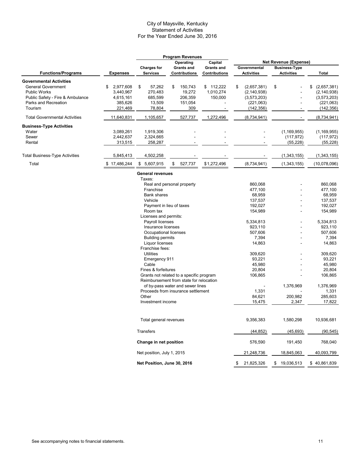#### City of Maysville, Kentucky Statement of Activities For the Year Ended June 30, 2016

|                                       |                 |                                                  | <b>Program Revenues</b> |                   |                      |                              |                    |
|---------------------------------------|-----------------|--------------------------------------------------|-------------------------|-------------------|----------------------|------------------------------|--------------------|
|                                       |                 |                                                  | Operating               | Capital           |                      | <b>Net Revenue (Expense)</b> |                    |
|                                       |                 | <b>Charges for</b>                               | <b>Grants and</b>       | <b>Grants and</b> | Governmental         | <b>Business-Type</b>         |                    |
| <b>Functions/Programs</b>             | <b>Expenses</b> | <b>Services</b>                                  | <b>Contributions</b>    | Contributions     | <b>Activities</b>    | <b>Activities</b>            | <b>Total</b>       |
| <b>Governmental Activities</b>        |                 |                                                  |                         |                   |                      |                              |                    |
| <b>General Government</b>             | \$<br>2,977,608 | \$<br>57,262                                     | \$<br>150,743           | \$112,222         | \$<br>(2,657,381)    | \$                           | (2,657,381)<br>\$  |
| <b>Public Works</b>                   | 3,440,967       | 270,483                                          | 19,272                  | 1,010,274         | (2, 140, 938)        |                              | (2, 140, 938)      |
| Public Safety - Fire & Ambulance      | 4,615,161       | 685,599                                          | 206,359                 | 150,000           | (3,573,203)          |                              | (3,573,203)        |
| Parks and Recreation                  | 385,626         | 13,509                                           | 151,054                 |                   | (221,063)            |                              | (221,063)          |
| Tourism                               | 221,469         | 78,804                                           | 309                     |                   | (142, 356)           |                              | (142, 356)         |
| <b>Total Governmental Activities</b>  | 11,640,831      | 1,105,657                                        | 527,737                 | 1,272,496         | (8,734,941)          |                              | (8,734,941)        |
| <b>Business-Type Activities</b>       |                 |                                                  |                         |                   |                      |                              |                    |
| Water                                 | 3,089,261       | 1,919,306                                        |                         |                   |                      | (1, 169, 955)                | (1, 169, 955)      |
| Sewer                                 | 2,442,637       | 2,324,665                                        |                         |                   |                      | (117, 972)                   | (117, 972)         |
| Rental                                | 313,515         | 258,287                                          |                         |                   |                      | (55, 228)                    | (55, 228)          |
| <b>Total Business-Type Activities</b> | 5,845,413       | 4,502,258                                        |                         |                   |                      | (1,343,155)                  | (1,343,155)        |
| Total                                 | 17,486,244<br>S | 5,607,915<br>\$                                  | 527,737                 | \$1,272,496       | (8,734,941)          | (1,343,155)                  | (10,078,096)       |
|                                       |                 | <b>General revenues</b>                          |                         |                   |                      |                              |                    |
|                                       |                 | Taxes:                                           |                         |                   |                      |                              |                    |
|                                       |                 | Real and personal property                       |                         |                   | 860,068              |                              | 860,068            |
|                                       |                 | Franchise                                        |                         |                   | 477,100              |                              | 477,100            |
|                                       |                 | <b>Bank shares</b><br>Vehicle                    |                         |                   | 68,959               |                              | 68,959             |
|                                       |                 |                                                  |                         |                   | 137,537<br>192,027   |                              | 137,537<br>192,027 |
|                                       |                 | Payment in lieu of taxes<br>Room tax             |                         |                   |                      |                              | 154,989            |
|                                       |                 |                                                  |                         |                   | 154,989              |                              |                    |
|                                       |                 | Licenses and permits:<br>Payroll licenses        |                         |                   |                      |                              | 5,334,813          |
|                                       |                 | Insurance licenses                               |                         |                   | 5,334,813<br>923,110 |                              | 923,110            |
|                                       |                 |                                                  |                         |                   | 507,606              | ٠                            |                    |
|                                       |                 | Occupational licenses<br><b>Building permits</b> |                         |                   | 7,394                |                              | 507,606<br>7,394   |
|                                       |                 | Liquor licenses                                  |                         |                   | 14,863               |                              | 14,863             |
|                                       |                 | Franchise fees:                                  |                         |                   |                      |                              |                    |
|                                       |                 | Utilities                                        |                         |                   | 309,620              |                              | 309,620            |
|                                       |                 | Emergency 911                                    |                         |                   | 93,221               |                              | 93,221             |
|                                       |                 | Cable                                            |                         |                   | 45,980               |                              | 45,980             |
|                                       |                 | Fines & forfeitures                              |                         |                   | 20,804               |                              | 20,804             |
|                                       |                 | Grants not related to a specific program         |                         |                   | 106,865              |                              | 106,865            |
|                                       |                 | Reimbursement from state for relocation          |                         |                   |                      |                              |                    |
|                                       |                 | of by-pass water and sewer lines                 |                         |                   |                      | 1,376,969                    | 1,376,969          |
|                                       |                 | Proceeds from insurance settlement               |                         |                   | 1,331                |                              | 1,331              |
|                                       |                 | Other                                            |                         |                   | 84,621               | 200,982                      | 285,603            |
|                                       |                 | Investment income                                |                         |                   | 15,475               | 2,347                        | 17,822             |
|                                       |                 |                                                  |                         |                   |                      |                              |                    |
|                                       |                 | Total general revenues                           |                         |                   | 9,356,383            | 1,580,298                    | 10,936,681         |
|                                       |                 | Transfers                                        |                         |                   | (44, 852)            | (45, 693)                    | (90, 545)          |
|                                       |                 | Change in net position                           |                         |                   | 576,590              | 191,450                      | 768,040            |
|                                       |                 | Net position, July 1, 2015                       |                         |                   | 21,248,736           | 18,845,063                   | 40,093,799         |
|                                       |                 | Net Position, June 30, 2016                      |                         |                   | \$<br>21,825,326     | \$19,036,513                 | \$40,861,839       |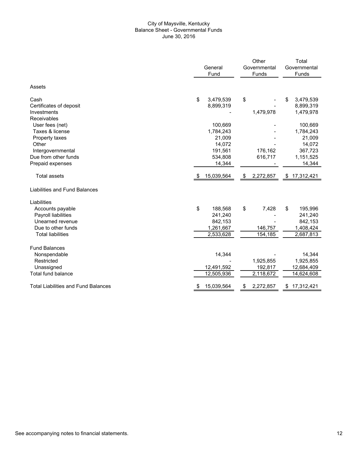#### City of Maysville, Kentucky Balance Sheet - Governmental Funds June 30, 2016

|                                            | General<br>Fund |            | Other<br>Governmental<br>Funds |           | Total<br>Governmental<br>Funds |            |
|--------------------------------------------|-----------------|------------|--------------------------------|-----------|--------------------------------|------------|
| Assets                                     |                 |            |                                |           |                                |            |
| Cash                                       | \$              | 3,479,539  | \$                             |           | \$                             | 3,479,539  |
| Certificates of deposit                    |                 | 8,899,319  |                                |           |                                | 8,899,319  |
| Investments<br>Receivables                 |                 |            |                                | 1,479,978 |                                | 1,479,978  |
| User fees (net)                            |                 | 100,669    |                                |           |                                | 100,669    |
| Taxes & license                            |                 | 1,784,243  |                                |           |                                | 1,784,243  |
| Property taxes                             |                 | 21,009     |                                |           |                                | 21,009     |
| Other                                      |                 | 14,072     |                                |           |                                | 14,072     |
| Intergovernmental                          |                 | 191,561    |                                | 176,162   |                                | 367,723    |
| Due from other funds                       |                 | 534,808    |                                | 616,717   |                                | 1,151,525  |
| Prepaid expenses                           |                 | 14,344     |                                |           |                                | 14,344     |
| <b>Total assets</b>                        | \$              | 15,039,564 | \$                             | 2,272,857 | \$                             | 17,312,421 |
| Liabilities and Fund Balances              |                 |            |                                |           |                                |            |
| Liabilities                                |                 |            |                                |           |                                |            |
| Accounts payable                           | \$              | 188,568    | \$                             | 7,428     | \$                             | 195,996    |
| Payroll liabilities                        |                 | 241,240    |                                |           |                                | 241,240    |
| Unearned revenue                           |                 | 842,153    |                                |           |                                | 842,153    |
| Due to other funds                         |                 | 1,261,667  |                                | 146,757   |                                | 1,408,424  |
| <b>Total liabilities</b>                   |                 | 2,533,628  |                                | 154,185   |                                | 2,687,813  |
| <b>Fund Balances</b>                       |                 |            |                                |           |                                |            |
| Nonspendable                               |                 | 14,344     |                                |           |                                | 14,344     |
| Restricted                                 |                 |            |                                | 1,925,855 |                                | 1,925,855  |
| Unassigned                                 |                 | 12,491,592 |                                | 192,817   |                                | 12,684,409 |
| <b>Total fund balance</b>                  |                 | 12,505,936 |                                | 2,118,672 |                                | 14,624,608 |
| <b>Total Liabilities and Fund Balances</b> | \$              | 15,039,564 | \$                             | 2,272,857 | S.                             | 17,312,421 |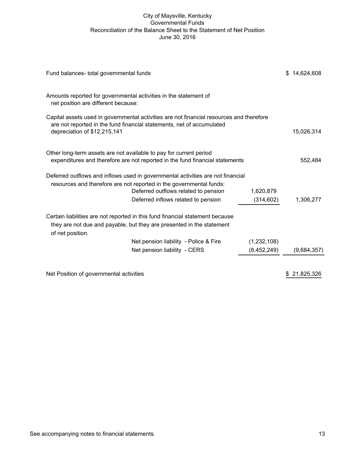# City of Maysville, Kentucky Governmental Funds Reconciliation of the Balance Sheet to the Statement of Net Position June 30, 2016

| Fund balances- total governmental funds                                                                                                                                                                                                                          | \$14,624,608 |
|------------------------------------------------------------------------------------------------------------------------------------------------------------------------------------------------------------------------------------------------------------------|--------------|
| Amounts reported for governmental activities in the statement of<br>net position are different because:                                                                                                                                                          |              |
| Capital assets used in governmental activities are not financial resources and therefore<br>are not reported in the fund financial statements, net of accumulated<br>depreciation of \$12,215,141                                                                | 15,026,314   |
| Other long-term assets are not available to pay for current period<br>expenditures and therefore are not reported in the fund financial statements                                                                                                               | 552,484      |
| Deferred outflows and inflows used in governmental activities are not financial<br>resources and therefore are not reported in the governmental funds:<br>Deferred outflows related to pension<br>1,620,879<br>(314, 602)<br>Deferred inflows related to pension | 1,306,277    |
| Certain liabilities are not reported in this fund financial statement because<br>they are not due and payable, but they are presented in the statement<br>of net position.                                                                                       |              |
| Net pension liability - Police & Fire<br>(1,232,108)<br>(8,452,249)<br>Net pension liability - CERS                                                                                                                                                              | (9,684,357)  |
| Net Position of governmental activities                                                                                                                                                                                                                          | 21,825,326   |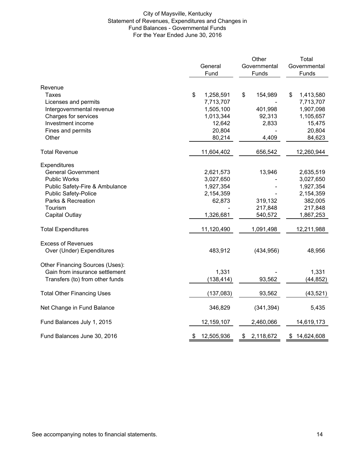# City of Maysville, Kentucky Statement of Revenues, Expenditures and Changes in Fund Balances - Governmental Funds For the Year Ended June 30, 2016

|                                   | General<br>Fund  | Other<br>Governmental<br>Funds | Total<br>Governmental<br>Funds |  |
|-----------------------------------|------------------|--------------------------------|--------------------------------|--|
| Revenue                           |                  |                                |                                |  |
| Taxes                             | \$<br>1,258,591  | \$<br>154,989                  | 1,413,580<br>S                 |  |
| Licenses and permits              | 7,713,707        |                                | 7,713,707                      |  |
| Intergovernmental revenue         | 1,505,100        | 401,998                        | 1,907,098                      |  |
| Charges for services              | 1,013,344        | 92,313                         | 1,105,657                      |  |
| Investment income                 | 12,642           | 2,833                          | 15,475                         |  |
| Fines and permits                 | 20,804           |                                | 20,804                         |  |
| Other                             | 80,214           | 4,409                          | 84,623                         |  |
| <b>Total Revenue</b>              | 11,604,402       | 656,542                        | 12,260,944                     |  |
| Expenditures                      |                  |                                |                                |  |
| <b>General Government</b>         | 2,621,573        | 13,946                         | 2,635,519                      |  |
| <b>Public Works</b>               | 3,027,650        |                                | 3,027,650                      |  |
| Public Safety-Fire & Ambulance    | 1,927,354        |                                | 1,927,354                      |  |
| <b>Public Safety-Police</b>       | 2,154,359        |                                | 2,154,359                      |  |
| Parks & Recreation                | 62,873           | 319,132                        | 382,005                        |  |
| Tourism                           |                  | 217,848                        | 217,848                        |  |
| <b>Capital Outlay</b>             | 1,326,681        | 540,572                        | 1,867,253                      |  |
| <b>Total Expenditures</b>         | 11,120,490       | 1,091,498                      | 12,211,988                     |  |
| <b>Excess of Revenues</b>         |                  |                                |                                |  |
| Over (Under) Expenditures         | 483,912          | (434, 956)                     | 48,956                         |  |
| Other Financing Sources (Uses):   |                  |                                |                                |  |
| Gain from insurance settlement    | 1,331            |                                | 1,331                          |  |
| Transfers (to) from other funds   | (138, 414)       | 93,562                         | (44, 852)                      |  |
| <b>Total Other Financing Uses</b> | (137, 083)       | 93,562                         | (43, 521)                      |  |
| Net Change in Fund Balance        | 346,829          | (341, 394)                     | 5,435                          |  |
| Fund Balances July 1, 2015        | 12,159,107       | 2,460,066                      | 14,619,173                     |  |
| Fund Balances June 30, 2016       | 12,505,936<br>\$ | \$<br>2,118,672                | 14,624,608<br>\$               |  |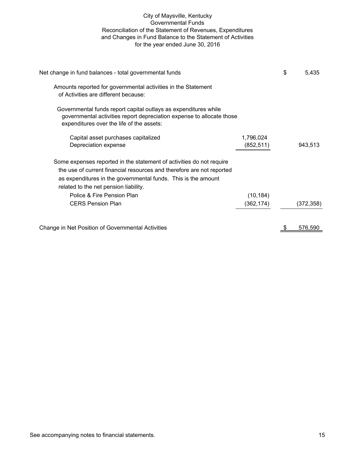# City of Maysville, Kentucky Governmental Funds Reconciliation of the Statement of Revenues, Expenditures and Changes in Fund Balance to the Statement of Activities for the year ended June 30, 2016

| Net change in fund balances - total governmental funds                                                                                                                                                                                                  |                         | \$<br>5,435 |
|---------------------------------------------------------------------------------------------------------------------------------------------------------------------------------------------------------------------------------------------------------|-------------------------|-------------|
| Amounts reported for governmental activities in the Statement<br>of Activities are different because:                                                                                                                                                   |                         |             |
| Governmental funds report capital outlays as expenditures while<br>governmental activities report depreciation expense to allocate those<br>expenditures over the life of the assets:                                                                   |                         |             |
| Capital asset purchases capitalized<br>Depreciation expense                                                                                                                                                                                             | 1,796,024<br>(852, 511) | 943,513     |
| Some expenses reported in the statement of activities do not require<br>the use of current financial resources and therefore are not reported<br>as expenditures in the governmental funds. This is the amount<br>related to the net pension liability. |                         |             |
| Police & Fire Pension Plan                                                                                                                                                                                                                              | (10, 184)               |             |
| <b>CERS Pension Plan</b>                                                                                                                                                                                                                                | (362, 174)              | (372, 358)  |
| Change in Net Position of Governmental Activities                                                                                                                                                                                                       |                         | 576,590     |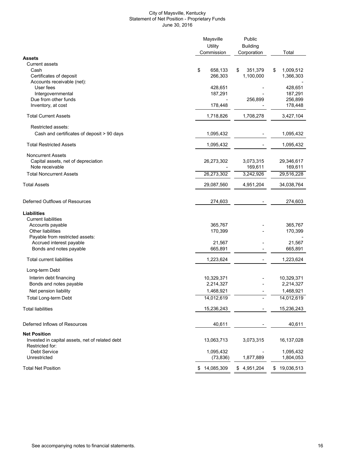#### City of Maysville, Kentucky Statement of Net Position - Proprietary Funds June 30, 2016

|                                                 | Maysville              | Public          |                        |
|-------------------------------------------------|------------------------|-----------------|------------------------|
|                                                 | Utility                | <b>Building</b> |                        |
|                                                 | Commission             | Corporation     | Total                  |
| Assets                                          |                        |                 |                        |
| <b>Current assets</b>                           |                        |                 |                        |
| Cash                                            | \$<br>658,133          | \$<br>351,379   | \$<br>1,009,512        |
| Certificates of deposit                         | 266,303                | 1,100,000       | 1,366,303              |
| Accounts receivable (net):<br>User fees         | 428,651                |                 | 428,651                |
| Intergovernmental                               | 187,291                |                 | 187,291                |
| Due from other funds                            |                        | 256,899         | 256,899                |
| Inventory, at cost                              | 178,448                |                 | 178,448                |
| <b>Total Current Assets</b>                     | 1,718,826              | 1,708,278       | 3,427,104              |
|                                                 |                        |                 |                        |
| Restricted assets:                              |                        |                 |                        |
| Cash and certificates of deposit > 90 days      | 1,095,432              |                 | 1,095,432              |
| <b>Total Restricted Assets</b>                  | 1,095,432              |                 | 1,095,432              |
| <b>Noncurrent Assets</b>                        |                        |                 |                        |
| Capital assets, net of depreciation             | 26,273,302             | 3,073,315       | 29,346,617             |
| Note receivable                                 |                        | 169,611         | 169,611                |
| <b>Total Noncurrent Assets</b>                  | 26,273,302             | 3,242,926       | 29,516,228             |
| <b>Total Assets</b>                             | 29,087,560             | 4,951,204       | 34,038,764             |
| Deferred Outflows of Resources                  | 274,603                |                 | 274,603                |
| <b>Liabilities</b>                              |                        |                 |                        |
| <b>Current liabilities</b>                      |                        |                 |                        |
| Accounts payable                                | 365,767                |                 | 365,767                |
| Other liabilities                               | 170,399                |                 | 170,399                |
| Payable from restricted assets:                 |                        |                 |                        |
| Accrued interest payable                        | 21,567                 |                 | 21,567                 |
| Bonds and notes payable                         | 665,891                |                 | 665,891                |
| Total current liabilities                       | 1,223,624              |                 | 1,223,624              |
| Long-term Debt                                  |                        |                 |                        |
| Interim debt financing                          | 10,329,371             |                 | 10,329,371             |
| Bonds and notes payable                         | 2,214,327              |                 | 2,214,327              |
| Net pension liability                           | 1,468,921              | Ē,              | 1,468,921              |
| Total Long-term Debt                            | 14,012,619             |                 | 14,012,619             |
| <b>Total liabilities</b>                        | 15,236,243             |                 | 15,236,243             |
|                                                 |                        |                 |                        |
| Deferred Inflows of Resources                   | 40,611                 |                 | 40,611                 |
| <b>Net Position</b>                             |                        |                 |                        |
| Invested in capital assets, net of related debt | 13,063,713             | 3,073,315       | 16,137,028             |
| Restricted for:                                 |                        |                 |                        |
| <b>Debt Service</b><br>Unrestricted             | 1,095,432<br>(73, 836) | 1,877,889       | 1,095,432<br>1,804,053 |
| <b>Total Net Position</b>                       | \$14,085,309           | \$4,951,204     | \$19,036,513           |
|                                                 |                        |                 |                        |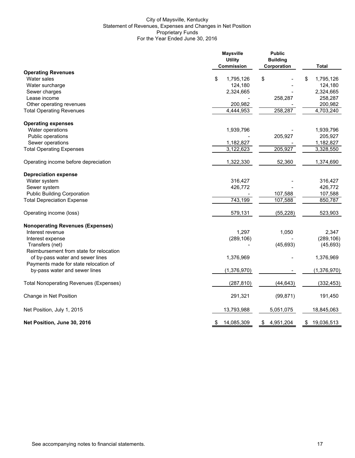#### City of Maysville, Kentucky Statement of Revenues, Expenses and Changes in Net Position Proprietary Funds For the Year Ended June 30, 2016

|                                               | <b>Maysville</b><br><b>Utility</b><br><b>Commission</b> | <b>Public</b><br><b>Building</b><br>Corporation | <b>Total</b>     |
|-----------------------------------------------|---------------------------------------------------------|-------------------------------------------------|------------------|
| <b>Operating Revenues</b>                     |                                                         |                                                 |                  |
| Water sales                                   | \$<br>1,795,126                                         | \$                                              | \$<br>1,795,126  |
| Water surcharge                               | 124,180                                                 |                                                 | 124,180          |
| Sewer charges                                 | 2,324,665                                               |                                                 | 2,324,665        |
| Lease income                                  |                                                         | 258,287                                         | 258,287          |
| Other operating revenues                      | 200,982                                                 |                                                 | 200,982          |
| <b>Total Operating Revenues</b>               | 4,444,953                                               | 258,287                                         | 4,703,240        |
| <b>Operating expenses</b>                     |                                                         |                                                 |                  |
| Water operations                              | 1,939,796                                               |                                                 | 1,939,796        |
| Public operations                             |                                                         | 205,927                                         | 205,927          |
| Sewer operations                              | 1,182,827                                               |                                                 | 1,182,827        |
| <b>Total Operating Expenses</b>               | 3,122,623                                               | 205,927                                         | 3,328,550        |
| Operating income before depreciation          | 1,322,330                                               | 52,360                                          | 1,374,690        |
| <b>Depreciation expense</b>                   |                                                         |                                                 |                  |
| Water system                                  | 316,427                                                 |                                                 | 316,427          |
| Sewer system                                  | 426,772                                                 |                                                 | 426,772          |
| <b>Public Building Corporation</b>            |                                                         | 107,588                                         | 107,588          |
| <b>Total Depreciation Expense</b>             | 743,199                                                 | 107,588                                         | 850,787          |
| Operating income (loss)                       | 579,131                                                 | (55, 228)                                       | 523,903          |
| <b>Nonoperating Revenues (Expenses)</b>       |                                                         |                                                 |                  |
| Interest revenue                              | 1,297                                                   | 1,050                                           | 2,347            |
| Interest expense                              | (289, 106)                                              |                                                 | (289, 106)       |
| Transfers (net)                               |                                                         | (45, 693)                                       | (45, 693)        |
| Reimbursement from state for relocation       |                                                         |                                                 |                  |
| of by-pass water and sewer lines              | 1,376,969                                               |                                                 | 1,376,969        |
| Payments made for state relocation of         |                                                         |                                                 |                  |
| by-pass water and sewer lines                 | (1,376,970)                                             |                                                 | (1,376,970)      |
| <b>Total Nonoperating Revenues (Expenses)</b> | (287, 810)                                              | (44, 643)                                       | (332, 453)       |
| Change in Net Position                        | 291,321                                                 | (99, 871)                                       | 191,450          |
| Net Position, July 1, 2015                    | 13,793,988                                              | 5,051,075                                       | 18,845,063       |
| Net Position, June 30, 2016                   | 14,085,309<br>\$                                        | 4,951,204<br>\$                                 | 19,036,513<br>\$ |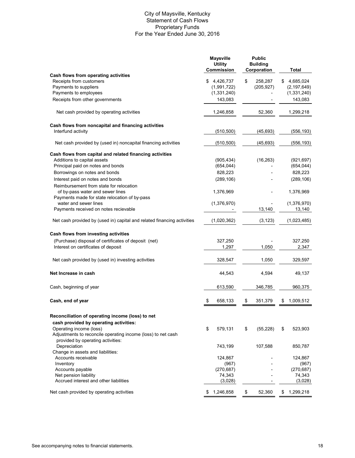## City of Maysville, Kentucky Statement of Cash Flows Proprietary Funds For the Year Ended June 30, 2016

|                                                                         | <b>Maysville</b><br><b>Utility</b><br>Commission | <b>Public</b><br><b>Building</b><br>Corporation | Total           |
|-------------------------------------------------------------------------|--------------------------------------------------|-------------------------------------------------|-----------------|
| Cash flows from operating activities                                    |                                                  |                                                 |                 |
| Receipts from customers                                                 | \$4,426,737                                      | \$<br>258,287                                   | 4,685,024       |
| Payments to suppliers                                                   | (1,991,722)                                      | (205, 927)                                      | (2, 197, 649)   |
| Payments to employees                                                   | (1, 331, 240)                                    |                                                 | (1, 331, 240)   |
| Receipts from other governments                                         | 143,083                                          |                                                 | 143,083         |
| Net cash provided by operating activities                               | 1,246,858                                        | 52,360                                          | 1,299,218       |
| Cash flows from noncapital and financing activities                     |                                                  |                                                 |                 |
| Interfund activity                                                      | (510, 500)                                       | (45, 693)                                       | (556, 193)      |
| Net cash provided by (used in) noncapital financing activities          | (510, 500)                                       | (45, 693)                                       | (556, 193)      |
| Cash flows from capital and related financing activities                |                                                  |                                                 |                 |
| Additions to capital assets                                             | (905,434)                                        | (16, 263)                                       | (921, 697)      |
| Principal paid on notes and bonds                                       | (654, 044)                                       |                                                 | (654, 044)      |
| Borrowings on notes and bonds                                           | 828,223                                          |                                                 | 828,223         |
| Interest paid on notes and bonds                                        | (289, 106)                                       |                                                 | (289, 106)      |
| Reimbursement from state for relocation                                 |                                                  |                                                 |                 |
| of by-pass water and sewer lines                                        | 1,376,969                                        |                                                 | 1,376,969       |
| Payments made for state relocation of by-pass                           |                                                  |                                                 |                 |
| water and sewer lines                                                   | (1,376,970)                                      |                                                 | (1,376,970)     |
| Payments received on notes recievable                                   |                                                  | 13,140                                          | 13,140          |
| Net cash provided by (used in) capital and related financing activities | (1,020,362)                                      | (3, 123)                                        | (1,023,485)     |
| Cash flows from investing activities                                    |                                                  |                                                 |                 |
| (Purchase) disposal of certificates of deposit (net)                    | 327,250                                          |                                                 | 327,250         |
| Interest on certificates of deposit                                     | 1,297                                            | 1,050                                           | 2,347           |
|                                                                         |                                                  |                                                 |                 |
| Net cash provided by (used in) investing activities                     | 328,547                                          | 1,050                                           | 329,597         |
| Net Increase in cash                                                    | 44,543                                           | 4,594                                           | 49,137          |
| Cash, beginning of year                                                 | 613,590                                          | 346,785                                         | 960,375         |
| Cash, end of year                                                       | 658,133<br>\$                                    | \$<br>351,379                                   | 1,009,512<br>\$ |
| Reconciliation of operating income (loss) to net                        |                                                  |                                                 |                 |
| cash provided by operating activities:                                  |                                                  |                                                 |                 |
| Operating income (loss)                                                 | \$<br>579,131                                    | \$<br>(55, 228)                                 | 523,903<br>\$   |
| Adjustments to reconcile operating income (loss) to net cash            |                                                  |                                                 |                 |
| provided by operating activities:                                       |                                                  |                                                 |                 |
| Depreciation                                                            | 743,199                                          | 107,588                                         | 850,787         |
| Change in assets and liabilities:                                       |                                                  |                                                 |                 |
| Accounts receivable                                                     | 124,867                                          |                                                 | 124,867         |
| Inventory                                                               | (967)                                            |                                                 | (967)           |
| Accounts payable                                                        | (270, 687)                                       |                                                 | (270, 687)      |
| Net pension liability                                                   | 74,343                                           |                                                 | 74,343          |
| Accrued interest and other liabilities                                  | (3,028)                                          |                                                 | (3,028)         |
| Net cash provided by operating activities                               | 1,246,858<br>\$                                  | \$<br>52,360                                    | 1,299,218<br>\$ |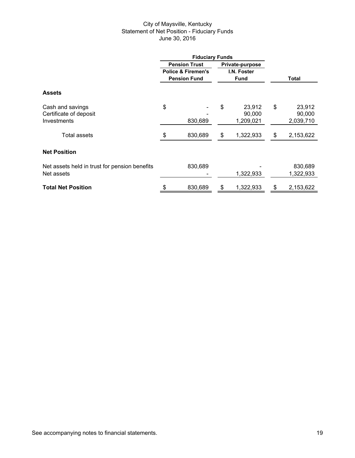# City of Maysville, Kentucky Statement of Net Position - Fiduciary Funds June 30, 2016

|                                               | <b>Fiduciary Funds</b> |                               |                    |                  |                        |
|-----------------------------------------------|------------------------|-------------------------------|--------------------|------------------|------------------------|
|                                               | <b>Pension Trust</b>   |                               |                    | Private-purpose  |                        |
|                                               |                        | <b>Police &amp; Firemen's</b> | <b>I.N. Foster</b> |                  |                        |
|                                               |                        | <b>Pension Fund</b>           |                    | <b>Fund</b>      | <b>Total</b>           |
| <b>Assets</b>                                 |                        |                               |                    |                  |                        |
| Cash and savings<br>Certificate of deposit    | \$                     |                               | \$                 | 23,912<br>90,000 | \$<br>23,912<br>90,000 |
| Investments                                   |                        | 830,689                       |                    | 1,209,021        | 2,039,710              |
| Total assets                                  | \$                     | 830,689                       | \$                 | 1,322,933        | \$<br>2,153,622        |
| <b>Net Position</b>                           |                        |                               |                    |                  |                        |
| Net assets held in trust for pension benefits |                        | 830,689                       |                    |                  | 830,689                |
| Net assets                                    |                        |                               |                    | 1,322,933        | 1,322,933              |
| <b>Total Net Position</b>                     | \$                     | 830,689                       | \$                 | 1,322,933        | \$<br>2,153,622        |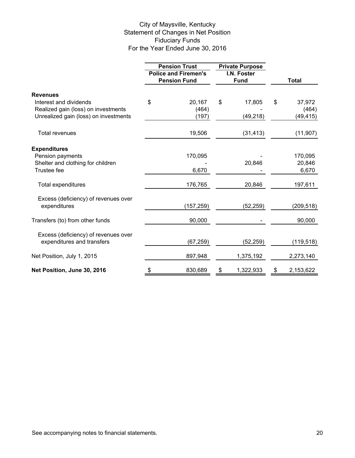# City of Maysville, Kentucky Statement of Changes in Net Position Fiduciary Funds For the Year Ended June 30, 2016

|                                       | <b>Pension Trust</b><br><b>Private Purpose</b> |                             |             |             |    |              |
|---------------------------------------|------------------------------------------------|-----------------------------|-------------|-------------|----|--------------|
|                                       |                                                | <b>Police and Firemen's</b> |             | I.N. Foster |    |              |
|                                       |                                                | <b>Pension Fund</b>         | <b>Fund</b> |             |    | <b>Total</b> |
| <b>Revenues</b>                       |                                                |                             |             |             |    |              |
| Interest and dividends                | \$                                             | 20,167                      | \$          | 17,805      | \$ | 37,972       |
| Realized gain (loss) on investments   |                                                | (464)                       |             |             |    | (464)        |
| Unrealized gain (loss) on investments |                                                | (197)                       |             | (49, 218)   |    | (49, 415)    |
| <b>Total revenues</b>                 |                                                | 19,506                      |             | (31, 413)   |    | (11, 907)    |
| <b>Expenditures</b>                   |                                                |                             |             |             |    |              |
| Pension payments                      |                                                | 170,095                     |             |             |    | 170,095      |
| Shelter and clothing for children     |                                                |                             |             | 20,846      |    | 20,846       |
| Trustee fee                           |                                                | 6,670                       |             |             |    | 6,670        |
| Total expenditures                    |                                                | 176,765                     |             | 20,846      |    | 197,611      |
| Excess (deficiency) of revenues over  |                                                |                             |             |             |    |              |
| expenditures                          |                                                | (157, 259)                  |             | (52, 259)   |    | (209, 518)   |
| Transfers (to) from other funds       |                                                | 90,000                      |             |             |    | 90,000       |
| Excess (deficiency) of revenues over  |                                                |                             |             |             |    |              |
| expenditures and transfers            |                                                | (67, 259)                   |             | (52, 259)   |    | (119, 518)   |
| Net Position, July 1, 2015            |                                                | 897,948                     |             | 1,375,192   |    | 2,273,140    |
| Net Position, June 30, 2016           | \$                                             | 830,689                     | \$          | 1,322,933   | \$ | 2,153,622    |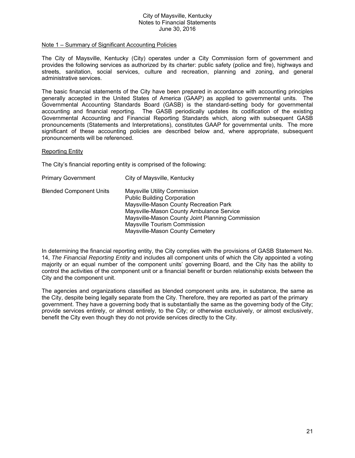#### Note 1 – Summary of Significant Accounting Policies

The City of Maysville, Kentucky (City) operates under a City Commission form of government and provides the following services as authorized by its charter: public safety (police and fire), highways and streets, sanitation, social services, culture and recreation, planning and zoning, and general administrative services.

The basic financial statements of the City have been prepared in accordance with accounting principles generally accepted in the United States of America (GAAP) as applied to governmental units. The Governmental Accounting Standards Board (GASB) is the standard-setting body for governmental accounting and financial reporting. The GASB periodically updates its codification of the existing Governmental Accounting and Financial Reporting Standards which, along with subsequent GASB pronouncements (Statements and Interpretations), constitutes GAAP for governmental units. The more significant of these accounting policies are described below and, where appropriate, subsequent pronouncements will be referenced.

#### Reporting Entity

The City's financial reporting entity is comprised of the following:

| <b>Primary Government</b>      | City of Maysville, Kentucky                                                                                                                                                                                                                                                     |
|--------------------------------|---------------------------------------------------------------------------------------------------------------------------------------------------------------------------------------------------------------------------------------------------------------------------------|
| <b>Blended Component Units</b> | Maysville Utility Commission<br><b>Public Building Corporation</b><br>Maysville-Mason County Recreation Park<br>Maysville-Mason County Ambulance Service<br>Maysville-Mason County Joint Planning Commission<br>Maysville Tourism Commission<br>Maysville-Mason County Cemetery |

In determining the financial reporting entity, the City complies with the provisions of GASB Statement No. 14, *The Financial Reporting Entity* and includes all component units of which the City appointed a voting majority or an equal number of the component units' governing Board, and the City has the ability to control the activities of the component unit or a financial benefit or burden relationship exists between the City and the component unit.

The agencies and organizations classified as blended component units are, in substance, the same as the City, despite being legally separate from the City. Therefore, they are reported as part of the primary government. They have a governing body that is substantially the same as the governing body of the City; provide services entirely, or almost entirely, to the City; or otherwise exclusively, or almost exclusively, benefit the City even though they do not provide services directly to the City.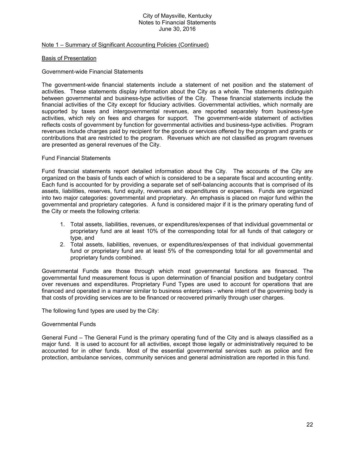#### Note 1 – Summary of Significant Accounting Policies (Continued)

#### Basis of Presentation

#### Government-wide Financial Statements

The government-wide financial statements include a statement of net position and the statement of activities. These statements display information about the City as a whole. The statements distinguish between governmental and business-type activities of the City. These financial statements include the financial activities of the City except for fiduciary activities. Governmental activities, which normally are supported by taxes and intergovernmental revenues, are reported separately from business-type activities, which rely on fees and charges for support. The government-wide statement of activities reflects costs of government by function for governmental activities and business-type activities. Program revenues include charges paid by recipient for the goods or services offered by the program and grants or contributions that are restricted to the program. Revenues which are not classified as program revenues are presented as general revenues of the City.

#### Fund Financial Statements

Fund financial statements report detailed information about the City. The accounts of the City are organized on the basis of funds each of which is considered to be a separate fiscal and accounting entity. Each fund is accounted for by providing a separate set of self-balancing accounts that is comprised of its assets, liabilities, reserves, fund equity, revenues and expenditures or expenses. Funds are organized into two major categories: governmental and proprietary. An emphasis is placed on major fund within the governmental and proprietary categories. A fund is considered major if it is the primary operating fund of the City or meets the following criteria:

- 1. Total assets, liabilities, revenues, or expenditures/expenses of that individual governmental or proprietary fund are at least 10% of the corresponding total for all funds of that category or type, and
- 2. Total assets, liabilities, revenues, or expenditures/expenses of that individual governmental fund or proprietary fund are at least 5% of the corresponding total for all governmental and proprietary funds combined.

Governmental Funds are those through which most governmental functions are financed. The governmental fund measurement focus is upon determination of financial position and budgetary control over revenues and expenditures. Proprietary Fund Types are used to account for operations that are financed and operated in a manner similar to business enterprises - where intent of the governing body is that costs of providing services are to be financed or recovered primarily through user charges.

The following fund types are used by the City:

#### Governmental Funds

General Fund – The General Fund is the primary operating fund of the City and is always classified as a major fund. It is used to account for all activities, except those legally or administratively required to be accounted for in other funds. Most of the essential governmental services such as police and fire protection, ambulance services, community services and general administration are reported in this fund.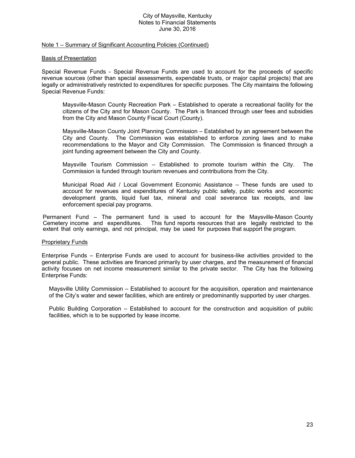#### Note 1 – Summary of Significant Accounting Policies (Continued)

#### Basis of Presentation

Special Revenue Funds - Special Revenue Funds are used to account for the proceeds of specific revenue sources (other than special assessments, expendable trusts, or major capital projects) that are legally or administratively restricted to expenditures for specific purposes. The City maintains the following Special Revenue Funds:

Maysville-Mason County Recreation Park – Established to operate a recreational facility for the citizens of the City and for Mason County. The Park is financed through user fees and subsidies from the City and Mason County Fiscal Court (County).

Maysville-Mason County Joint Planning Commission – Established by an agreement between the City and County. The Commission was established to enforce zoning laws and to make recommendations to the Mayor and City Commission. The Commission is financed through a joint funding agreement between the City and County.

Maysville Tourism Commission – Established to promote tourism within the City. The Commission is funded through tourism revenues and contributions from the City.

Municipal Road Aid / Local Government Economic Assistance – These funds are used to account for revenues and expenditures of Kentucky public safety, public works and economic development grants, liquid fuel tax, mineral and coal severance tax receipts, and law enforcement special pay programs.

Permanent Fund– The permanent fund is used to account for the Maysville-Mason County Cemetery income and expenditures. This fund reports resources that are legally restricted to the extent that only earnings, and not principal, may be used for purposes that support the program.

#### Proprietary Funds

Enterprise Funds – Enterprise Funds are used to account for business-like activities provided to the general public. These activities are financed primarily by user charges, and the measurement of financial activity focuses on net income measurement similar to the private sector. The City has the following Enterprise Funds:

Maysville Utility Commission – Established to account for the acquisition, operation and maintenance of the City's water and sewer facilities, which are entirely or predominantly supported by user charges.

Public Building Corporation – Established to account for the construction and acquisition of public facilities, which is to be supported by lease income.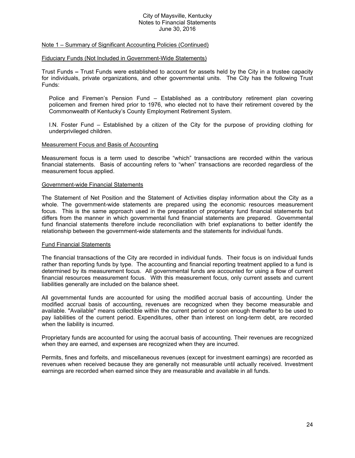#### Note 1 – Summary of Significant Accounting Policies (Continued)

#### Fiduciary Funds (Not Included in Government-Wide Statements)

Trust Funds **–** Trust Funds were established to account for assets held by the City in a trustee capacity for individuals, private organizations, and other governmental units. The City has the following Trust Funds:

Police and Firemen's Pension Fund – Established as a contributory retirement plan covering policemen and firemen hired prior to 1976, who elected not to have their retirement covered by the Commonwealth of Kentucky's County Employment Retirement System.

I.N. Foster Fund – Established by a citizen of the City for the purpose of providing clothing for underprivileged children.

#### Measurement Focus and Basis of Accounting

Measurement focus is a term used to describe "which" transactions are recorded within the various financial statements. Basis of accounting refers to "when" transactions are recorded regardless of the measurement focus applied.

#### Government-wide Financial Statements

The Statement of Net Position and the Statement of Activities display information about the City as a whole. The government-wide statements are prepared using the economic resources measurement focus. This is the same approach used in the preparation of proprietary fund financial statements but differs from the manner in which governmental fund financial statements are prepared. Governmental fund financial statements therefore include reconciliation with brief explanations to better identify the relationship between the government-wide statements and the statements for individual funds.

#### Fund Financial Statements

The financial transactions of the City are recorded in individual funds. Their focus is on individual funds rather than reporting funds by type. The accounting and financial reporting treatment applied to a fund is determined by its measurement focus. All governmental funds are accounted for using a flow of current financial resources measurement focus. With this measurement focus, only current assets and current liabilities generally are included on the balance sheet.

All governmental funds are accounted for using the modified accrual basis of accounting. Under the modified accrual basis of accounting, revenues are recognized when they become measurable and available. "Available" means collectible within the current period or soon enough thereafter to be used to pay liabilities of the current period. Expenditures, other than interest on long-term debt, are recorded when the liability is incurred.

Proprietary funds are accounted for using the accrual basis of accounting. Their revenues are recognized when they are earned, and expenses are recognized when they are incurred.

Permits, fines and forfeits, and miscellaneous revenues (except for investment earnings) are recorded as revenues when received because they are generally not measurable until actually received. Investment earnings are recorded when earned since they are measurable and available in all funds.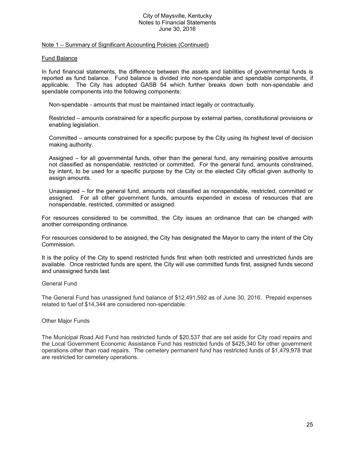Note 1 – Summary of Significant Accounting Policies (Continued)

#### Fund Balance

In fund financial statements, the difference between the assets and liabilities of governmental funds is reported as fund balance. Fund balance is divided into non-spendable and spendable components, if applicable. The City has adopted GASB 54 which further breaks down both non-spendable and spendable components into the following components:

Non-spendable - amounts that must be maintained intact legally or contractually.

Restricted – amounts constrained for a specific purpose by external parties, constitutional provisions or enabling legislation.

Committed – amounts constrained for a specific purpose by the City using its highest level of decision making authority.

Assigned – for all governmental funds, other than the general fund, any remaining positive amounts not classified as nonspendable, restricted or committed. For the general fund, amounts constrained, by intent, to be used for a specific purpose by the City or the elected City official given authority to assign amounts.

Unassigned – for the general fund, amounts not classified as nonspendable, restricted, committed or assigned. For all other government funds, amounts expended in excess of resources that are nonspendable, restricted, committed or assigned.

For resources considered to be committed, the City issues an ordinance that can be changed with another corresponding ordinance.

For resources considered to be assigned, the City has designated the Mayor to carry the intent of the City Commission.

It is the policy of the City to spend restricted funds first when both restricted and unrestricted funds are available. Once restricted funds are spent, the City will use committed funds first, assigned funds second and unassigned funds last.

#### General Fund

The General Fund has unassigned fund balance of \$12,491,592 as of June 30, 2016. Prepaid expenses related to fuel of \$14,344 are considered non-spendable.

#### Other Major Funds

The Municipal Road Aid Fund has restricted funds of \$20,537 that are set aside for City road repairs and the Local Government Economic Assistance Fund has restricted funds of \$425,340 for other government operations other than road repairs. The cemetery permanent fund has restricted funds of \$1,479,978 that are restricted for cemetery operations.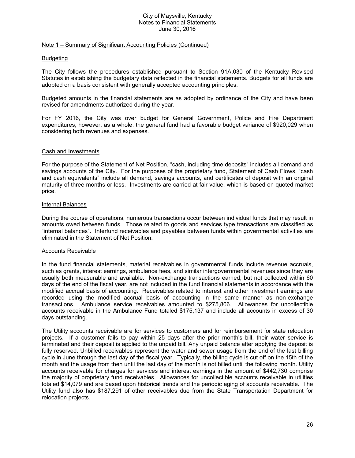#### Note 1 – Summary of Significant Accounting Policies (Continued)

#### Budgeting

The City follows the procedures established pursuant to Section 91A.030 of the Kentucky Revised Statutes in establishing the budgetary data reflected in the financial statements. Budgets for all funds are adopted on a basis consistent with generally accepted accounting principles.

Budgeted amounts in the financial statements are as adopted by ordinance of the City and have been revised for amendments authorized during the year.

For FY 2016, the City was over budget for General Government, Police and Fire Department expenditures; however, as a whole, the general fund had a favorable budget variance of \$920,029 when considering both revenues and expenses.

#### Cash and Investments

For the purpose of the Statement of Net Position, "cash, including time deposits" includes all demand and savings accounts of the City. For the purposes of the proprietary fund, Statement of Cash Flows, "cash and cash equivalents" include all demand, savings accounts, and certificates of deposit with an original maturity of three months or less. Investments are carried at fair value, which is based on quoted market price.

#### Internal Balances

During the course of operations, numerous transactions occur between individual funds that may result in amounts owed between funds. Those related to goods and services type transactions are classified as "internal balances". Interfund receivables and payables between funds within governmental activities are eliminated in the Statement of Net Position.

#### Accounts Receivable

In the fund financial statements, material receivables in governmental funds include revenue accruals, such as grants, interest earnings, ambulance fees, and similar intergovernmental revenues since they are usually both measurable and available. Non-exchange transactions earned, but not collected within 60 days of the end of the fiscal year, are not included in the fund financial statements in accordance with the modified accrual basis of accounting. Receivables related to interest and other investment earnings are recorded using the modified accrual basis of accounting in the same manner as non-exchange transactions. Ambulance service receivables amounted to \$275,806. Allowances for uncollectible accounts receivable in the Ambulance Fund totaled \$175,137 and include all accounts in excess of 30 days outstanding.

The Utility accounts receivable are for services to customers and for reimbursement for state relocation projects. If a customer fails to pay within 25 days after the prior month's bill, their water service is terminated and their deposit is applied to the unpaid bill. Any unpaid balance after applying the deposit is fully reserved. Unbilled receivables represent the water and sewer usage from the end of the last billing cycle in June through the last day of the fiscal year. Typically, the billing cycle is cut off on the 15th of the month and the usage from then until the last day of the month is not billed until the following month. Utility accounts receivable for charges for services and interest earnings in the amount of \$442,730 comprise the majority of proprietary fund receivables. Allowances for uncollectible accounts receivable in utilities totaled \$14,079 and are based upon historical trends and the periodic aging of accounts receivable. The Utility fund also has \$187,291 of other receivables due from the State Transportation Department for relocation projects.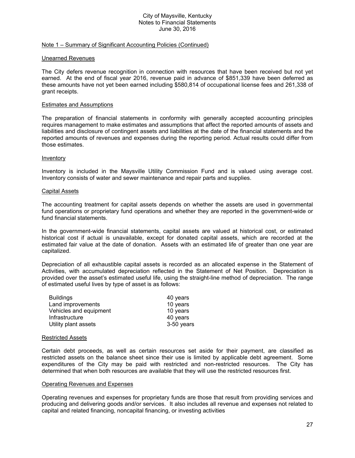#### Note 1 – Summary of Significant Accounting Policies (Continued)

#### Unearned Revenues

The City defers revenue recognition in connection with resources that have been received but not yet earned. At the end of fiscal year 2016, revenue paid in advance of \$851,339 have been deferred as these amounts have not yet been earned including \$580,814 of occupational license fees and 261,338 of grant receipts.

#### Estimates and Assumptions

The preparation of financial statements in conformity with generally accepted accounting principles requires management to make estimates and assumptions that affect the reported amounts of assets and liabilities and disclosure of contingent assets and liabilities at the date of the financial statements and the reported amounts of revenues and expenses during the reporting period. Actual results could differ from those estimates.

#### Inventory

Inventory is included in the Maysville Utility Commission Fund and is valued using average cost. Inventory consists of water and sewer maintenance and repair parts and supplies.

#### Capital Assets

The accounting treatment for capital assets depends on whether the assets are used in governmental fund operations or proprietary fund operations and whether they are reported in the government-wide or fund financial statements.

In the government-wide financial statements, capital assets are valued at historical cost, or estimated historical cost if actual is unavailable, except for donated capital assets, which are recorded at the estimated fair value at the date of donation. Assets with an estimated life of greater than one year are capitalized.

Depreciation of all exhaustible capital assets is recorded as an allocated expense in the Statement of Activities, with accumulated depreciation reflected in the Statement of Net Position. Depreciation is provided over the asset's estimated useful life, using the straight-line method of depreciation. The range of estimated useful lives by type of asset is as follows:

| <b>Buildings</b>       | 40 years   |
|------------------------|------------|
| Land improvements      | 10 years   |
| Vehicles and equipment | 10 years   |
| Infrastructure         | 40 years   |
| Utility plant assets   | 3-50 years |

#### Restricted Assets

Certain debt proceeds, as well as certain resources set aside for their payment, are classified as restricted assets on the balance sheet since their use is limited by applicable debt agreement. Some expenditures of the City may be paid with restricted and non-restricted resources. The City has determined that when both resources are available that they will use the restricted resources first.

#### Operating Revenues and Expenses

Operating revenues and expenses for proprietary funds are those that result from providing services and producing and delivering goods and/or services. It also includes all revenue and expenses not related to capital and related financing, noncapital financing, or investing activities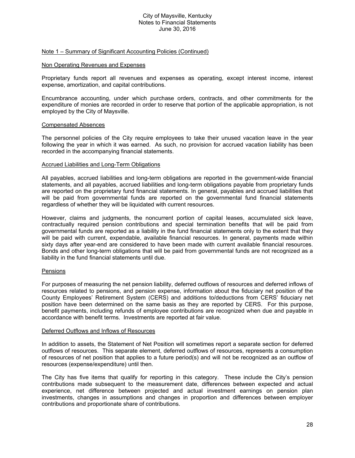#### Note 1 – Summary of Significant Accounting Policies (Continued)

#### Non Operating Revenues and Expenses

Proprietary funds report all revenues and expenses as operating, except interest income, interest expense, amortization, and capital contributions.

Encumbrance accounting, under which purchase orders, contracts, and other commitments for the expenditure of monies are recorded in order to reserve that portion of the applicable appropriation, is not employed by the City of Maysville.

#### Compensated Absences

The personnel policies of the City require employees to take their unused vacation leave in the year following the year in which it was earned. As such, no provision for accrued vacation liability has been recorded in the accompanying financial statements.

#### Accrued Liabilities and Long-Term Obligations

All payables, accrued liabilities and long-term obligations are reported in the government-wide financial statements, and all payables, accrued liabilities and long-term obligations payable from proprietary funds are reported on the proprietary fund financial statements. In general, payables and accrued liabilities that will be paid from governmental funds are reported on the governmental fund financial statements regardless of whether they will be liquidated with current resources.

However, claims and judgments, the noncurrent portion of capital leases, accumulated sick leave, contractually required pension contributions and special termination benefits that will be paid from governmental funds are reported as a liability in the fund financial statements only to the extent that they will be paid with current, expendable, available financial resources. In general, payments made within sixty days after year-end are considered to have been made with current available financial resources. Bonds and other long-term obligations that will be paid from governmental funds are not recognized as a liability in the fund financial statements until due.

#### Pensions

For purposes of measuring the net pension liability, deferred outflows of resources and deferred inflows of resources related to pensions, and pension expense, information about the fiduciary net position of the County Employees' Retirement System (CERS) and additions to/deductions from CERS' fiduciary net position have been determined on the same basis as they are reported by CERS. For this purpose, benefit payments, including refunds of employee contributions are recognized when due and payable in accordance with benefit terms. Investments are reported at fair value.

#### Deferred Outflows and Inflows of Resources

In addition to assets, the Statement of Net Position will sometimes report a separate section for deferred outflows of resources. This separate element, deferred outflows of resources, represents a consumption of resources of net position that applies to a future period(s) and will not be recognized as an outflow of resources (expense/expenditure) until then.

The City has five items that qualify for reporting in this category. These include the City's pension contributions made subsequent to the measurement date, differences between expected and actual experience, net difference between projected and actual investment earnings on pension plan investments, changes in assumptions and changes in proportion and differences between employer contributions and proportionate share of contributions.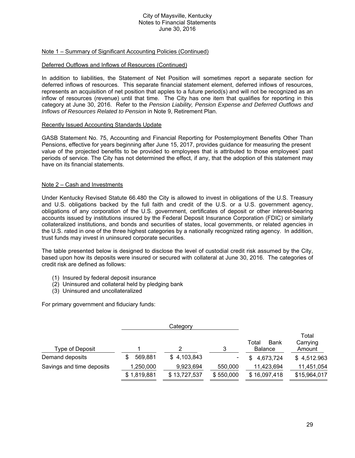#### Note 1 – Summary of Significant Accounting Policies (Continued)

#### Deferred Outflows and Inflows of Resources (Continued)

In addition to liabilities, the Statement of Net Position will sometimes report a separate section for deferred inflows of resources. This separate financial statement element, deferred inflows of resources, represents an acquisition of net position that apples to a future period(s) and will not be recognized as an inflow of resources (revenue) until that time. The City has one item that qualifies for reporting in this category at June 30, 2016. Refer to the *Pension Liability, Pension Expense and Deferred Outflows and Inflows of Resources Related to Pension* in Note 9, Retirement Plan.

#### Recently Issued Accounting Standards Update

GASB Statement No. 75, Accounting and Financial Reporting for Postemployment Benefits Other Than Pensions, effective for years beginning after June 15, 2017, provides guidance for measuring the present value of the projected benefits to be provided to employees that is attributed to those employees' past periods of service. The City has not determined the effect, if any, that the adoption of this statement may have on its financial statements.

#### Note 2 – Cash and Investments

Under Kentucky Revised Statute 66.480 the City is allowed to invest in obligations of the U.S. Treasury and U.S. obligations backed by the full faith and credit of the U.S. or a U.S. government agency, obligations of any corporation of the U.S. government, certificates of deposit or other interest-bearing accounts issued by institutions insured by the Federal Deposit Insurance Corporation (FDIC) or similarly collateralized institutions, and bonds and securities of states, local governments, or related agencies in the U.S. rated in one of the three highest categories by a nationally recognized rating agency. In addition, trust funds may invest in uninsured corporate securities.

The table presented below is designed to disclose the level of custodial credit risk assumed by the City, based upon how its deposits were insured or secured with collateral at June 30, 2016. The categories of credit risk are defined as follows:

- (1) Insured by federal deposit insurance
- (2) Uninsured and collateral held by pledging bank
- (3) Uninsured and uncollateralized

For primary government and fiduciary funds:

|                           |              | Category     |           |                                 |                             |
|---------------------------|--------------|--------------|-----------|---------------------------------|-----------------------------|
| Type of Deposit           |              |              |           | Bank<br>Total<br><b>Balance</b> | Total<br>Carrying<br>Amount |
| Demand deposits           | 569,881<br>S | \$4,103,843  |           | 4,673,724<br>\$.                | \$4,512.963                 |
| Savings and time deposits | 1,250,000    | 9,923,694    | 550,000   | 11,423,694                      | 11,451,054                  |
|                           | \$1,819,881  | \$13,727,537 | \$550,000 | \$16,097,418                    | \$15,964,017                |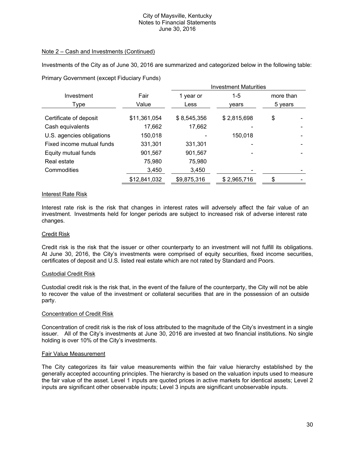## Note 2 – Cash and Investments (Continued)

Investments of the City as of June 30, 2016 are summarized and categorized below in the following table:

|                           |              | <b>Investment Maturities</b> |             |           |  |  |  |
|---------------------------|--------------|------------------------------|-------------|-----------|--|--|--|
| Investment                | Fair         | 1 year or                    | 1-5         | more than |  |  |  |
| Type                      | Value        | Less<br>vears                |             | 5 years   |  |  |  |
| Certificate of deposit    | \$11,361,054 | \$8,545,356                  | \$2,815,698 | \$        |  |  |  |
| Cash equivalents          | 17,662       | 17,662                       |             |           |  |  |  |
| U.S. agencies obligations | 150,018      |                              | 150,018     |           |  |  |  |
| Fixed income mutual funds | 331,301      | 331,301                      |             |           |  |  |  |
| Equity mutual funds       | 901,567      | 901,567                      |             |           |  |  |  |
| Real estate               | 75,980       | 75,980                       |             |           |  |  |  |
| Commodities               | 3,450        | 3,450                        |             |           |  |  |  |
|                           | \$12,841,032 | \$9,875,316                  | \$2,965,716 | S.        |  |  |  |
|                           |              |                              |             |           |  |  |  |

Primary Government (except Fiduciary Funds)

#### Interest Rate Risk

Interest rate risk is the risk that changes in interest rates will adversely affect the fair value of an investment. Investments held for longer periods are subject to increased risk of adverse interest rate changes.

#### Credit Risk

Credit risk is the risk that the issuer or other counterparty to an investment will not fulfill its obligations. At June 30, 2016, the City's investments were comprised of equity securities, fixed income securities, certificates of deposit and U.S. listed real estate which are not rated by Standard and Poors.

#### Custodial Credit Risk

Custodial credit risk is the risk that, in the event of the failure of the counterparty, the City will not be able to recover the value of the investment or collateral securities that are in the possession of an outside party.

#### Concentration of Credit Risk

Concentration of credit risk is the risk of loss attributed to the magnitude of the City's investment in a single issuer. All of the City's investments at June 30, 2016 are invested at two financial institutions. No single holding is over 10% of the City's investments.

#### Fair Value Measurement

The City categorizes its fair value measurements within the fair value hierarchy established by the generally accepted accounting principles. The hierarchy is based on the valuation inputs used to measure the fair value of the asset. Level 1 inputs are quoted prices in active markets for identical assets; Level 2 inputs are significant other observable inputs; Level 3 inputs are significant unobservable inputs.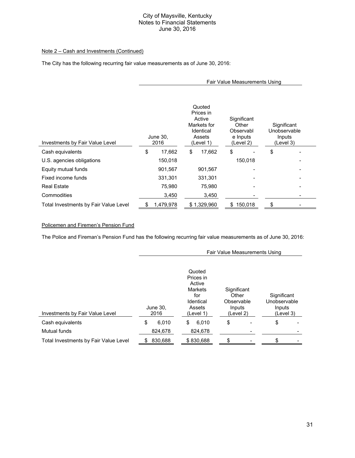## Note 2 – Cash and Investments (Continued)

The City has the following recurring fair value measurements as of June 30, 2016:

|                                       | Fair Value Measurements Using |                  |    |                                                                                  |    |                                                            |    |                                                    |
|---------------------------------------|-------------------------------|------------------|----|----------------------------------------------------------------------------------|----|------------------------------------------------------------|----|----------------------------------------------------|
| Investments by Fair Value Level       |                               | June 30,<br>2016 |    | Quoted<br>Prices in<br>Active<br>Markets for<br>Identical<br>Assets<br>(Level 1) |    | Significant<br>Other<br>Observabl<br>e Inputs<br>(Level 2) |    | Significant<br>Unobservable<br>Inputs<br>(Level 3) |
| Cash equivalents                      | \$                            | 17,662           | \$ | 17,662                                                                           | \$ |                                                            | \$ |                                                    |
| U.S. agencies obligations             |                               | 150,018          |    |                                                                                  |    | 150,018                                                    |    |                                                    |
| Equity mutual funds                   |                               | 901,567          |    | 901,567                                                                          |    |                                                            |    |                                                    |
| Fixed income funds                    |                               | 331,301          |    | 331,301                                                                          |    |                                                            |    |                                                    |
| <b>Real Estate</b>                    |                               | 75,980           |    | 75,980                                                                           |    |                                                            |    |                                                    |
| Commodities                           |                               | 3,450            |    | 3,450                                                                            |    |                                                            |    |                                                    |
| Total Investments by Fair Value Level | \$                            | 1,479,978        |    | \$1,329,960                                                                      |    | \$150,018                                                  | \$ |                                                    |

## Policemen and Firemen's Pension Fund

The Police and Fireman's Pension Fund has the following recurring fair value measurements as of June 30, 2016:

|                                       |                  | <b>Fair Value Measurements Using</b>                                                       |                                                           |                                                    |  |  |
|---------------------------------------|------------------|--------------------------------------------------------------------------------------------|-----------------------------------------------------------|----------------------------------------------------|--|--|
| Investments by Fair Value Level       | June 30,<br>2016 | Quoted<br>Prices in<br>Active<br><b>Markets</b><br>for<br>Identical<br>Assets<br>(Level 1) | Significant<br>Other<br>Observable<br>Inputs<br>(Level 2) | Significant<br>Unobservable<br>Inputs<br>(Level 3) |  |  |
| Cash equivalents                      | \$<br>6,010      | \$<br>6,010                                                                                | \$                                                        | \$                                                 |  |  |
| Mutual funds                          | 824,678          | 824,678                                                                                    |                                                           |                                                    |  |  |
| Total Investments by Fair Value Level | 830,688          | \$830,688                                                                                  | \$                                                        |                                                    |  |  |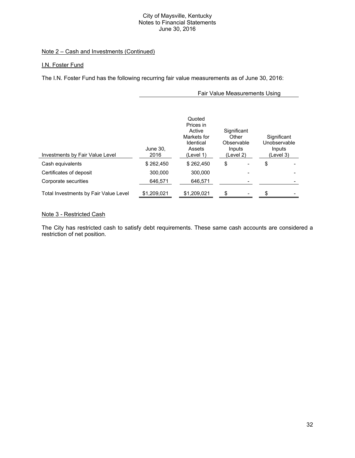# Note 2 – Cash and Investments (Continued)

## I.N. Foster Fund

The I.N. Foster Fund has the following recurring fair value measurements as of June 30, 2016:

|                                       | Fair Value Measurements Using |                                                                                  |                                                           |  |                                                    |  |
|---------------------------------------|-------------------------------|----------------------------------------------------------------------------------|-----------------------------------------------------------|--|----------------------------------------------------|--|
| Investments by Fair Value Level       | June 30,<br>2016              | Quoted<br>Prices in<br>Active<br>Markets for<br>Identical<br>Assets<br>(Level 1) | Significant<br>Other<br>Observable<br>Inputs<br>(Level 2) |  | Significant<br>Unobservable<br>Inputs<br>(Level 3) |  |
| Cash equivalents                      | \$262,450                     | \$262,450                                                                        | \$                                                        |  | \$                                                 |  |
| Certificates of deposit               | 300,000                       | 300,000                                                                          |                                                           |  |                                                    |  |
| Corporate securities                  | 646.571                       | 646,571                                                                          |                                                           |  |                                                    |  |
| Total Investments by Fair Value Level | \$1,209,021                   | \$1,209,021                                                                      | \$                                                        |  |                                                    |  |

#### Note 3 - Restricted Cash

The City has restricted cash to satisfy debt requirements. These same cash accounts are considered a restriction of net position.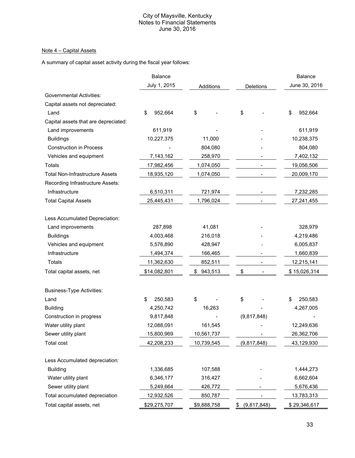#### Note 4 – Capital Assets

A summary of capital asset activity during the fiscal year follows:

|                                        | <b>Balance</b> |             |                   | Balance       |
|----------------------------------------|----------------|-------------|-------------------|---------------|
|                                        | July 1, 2015   | Additions   | Deletions         | June 30, 2016 |
| <b>Governmental Activities:</b>        |                |             |                   |               |
| Capital assets not depreciated:        |                |             |                   |               |
| Land                                   | \$<br>952,664  | \$          | \$                | \$<br>952,664 |
| Capital assets that are depreciated:   |                |             |                   |               |
| Land improvements                      | 611,919        |             |                   | 611,919       |
| <b>Buildings</b>                       | 10,227,375     | 11,000      |                   | 10,238,375    |
| <b>Construction in Process</b>         |                | 804,080     |                   | 804,080       |
| Vehicles and equipment                 | 7,143,162      | 258,970     |                   | 7,402,132     |
| <b>Totals</b>                          | 17,982,456     | 1,074,050   |                   | 19,056,506    |
| <b>Total Non-Infrastructure Assets</b> | 18,935,120     | 1,074,050   |                   | 20,009,170    |
| Recording Infrastructure Assets:       |                |             |                   |               |
| Infrastructure                         | 6,510,311      | 721,974     |                   | 7,232,285     |
| <b>Total Capital Assets</b>            | 25,445,431     | 1,796,024   |                   | 27,241,455    |
|                                        |                |             |                   |               |
| Less Accumulated Depreciation:         |                |             |                   |               |
| Land improvements                      | 287,898        | 41,081      |                   | 328,979       |
| <b>Buildings</b>                       | 4,003,468      | 216,018     |                   | 4,219,486     |
| Vehicles and equipment                 | 5,576,890      | 428,947     |                   | 6,005,837     |
| Infrastructure                         | 1,494,374      | 166,465     |                   | 1,660,839     |
| <b>Totals</b>                          | 11,362,630     | 852,511     |                   | 12,215,141    |
| Total capital assets, net              | \$14,082,801   | \$943,513   | \$                | \$15,026,314  |
|                                        |                |             |                   |               |
| <b>Business-Type Activities:</b>       |                |             |                   |               |
| Land                                   | \$<br>250,583  | \$          | \$                | 250,583<br>\$ |
| <b>Building</b>                        | 4,250,742      | 16,263      |                   | 4,267,005     |
| Construction in progress               | 9,817,848      |             | (9,817,848)       |               |
| Water utility plant                    | 12,088,091     | 161,545     |                   | 12,249,636    |
| Sewer utility plant                    | 15,800,969     | 10,561,737  | -                 | 26,362,706    |
| Total cost                             | 42,208,233     | 10,739,545  | (9,817,848)       | 43,129,930    |
| Less Accumulated depreciation:         |                |             |                   |               |
| <b>Building</b>                        | 1,336,685      | 107,588     |                   | 1,444,273     |
| Water utility plant                    | 6,346,177      | 316,427     |                   | 6,662,604     |
| Sewer utility plant                    | 5,249,664      | 426,772     |                   | 5,676,436     |
| Total accumulated depreciation         | 12,932,526     | 850,787     |                   | 13,783,313    |
| Total capital assets, net              | \$29,275,707   | \$9,888,758 | (9,817,848)<br>\$ | \$29,346,617  |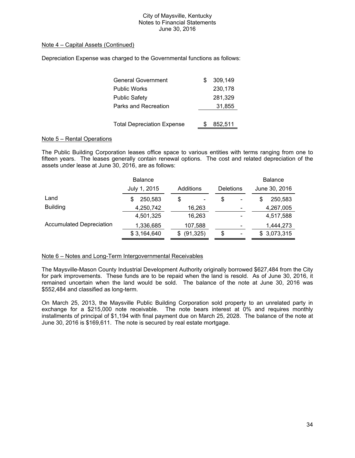#### Note 4 – Capital Assets (Continued)

Depreciation Expense was charged to the Governmental functions as follows:

| <b>General Government</b>         | S | 309,149 |
|-----------------------------------|---|---------|
| <b>Public Works</b>               |   | 230,178 |
| <b>Public Safety</b>              |   | 281,329 |
| Parks and Recreation              |   | 31,855  |
|                                   |   |         |
| <b>Total Depreciation Expense</b> |   | 852,511 |

#### Note 5 – Rental Operations

The Public Building Corporation leases office space to various entities with terms ranging from one to fifteen years. The leases generally contain renewal options. The cost and related depreciation of the assets under lease at June 30, 2016, are as follows:

|                                 | <b>Balance</b> |           |                      | <b>Balance</b> |
|---------------------------------|----------------|-----------|----------------------|----------------|
|                                 | July 1, 2015   | Additions | <b>Deletions</b>     | June 30, 2016  |
| Land                            | 250,583<br>\$  | \$<br>۰   | \$<br>-              | 250,583<br>S   |
| <b>Building</b>                 | 4,250,742      | 16,263    |                      | 4,267,005      |
|                                 | 4,501,325      | 16,263    | $\blacksquare$       | 4,517,588      |
| <b>Accumulated Depreciation</b> | 1,336,685      | 107,588   | ٠                    | 1,444,273      |
|                                 | \$3,164,640    | (91, 325) | \$<br>$\blacksquare$ | \$3,073,315    |

## Note 6 – Notes and Long-Term Intergovernmental Receivables

The Maysville-Mason County Industrial Development Authority originally borrowed \$627,484 from the City for park improvements. These funds are to be repaid when the land is resold. As of June 30, 2016, it remained uncertain when the land would be sold. The balance of the note at June 30, 2016 was \$552,484 and classified as long-term.

On March 25, 2013, the Maysville Public Building Corporation sold property to an unrelated party in exchange for a \$215,000 note receivable. The note bears interest at 0% and requires monthly installments of principal of \$1,194 with final payment due on March 25, 2028. The balance of the note at June 30, 2016 is \$169,611. The note is secured by real estate mortgage.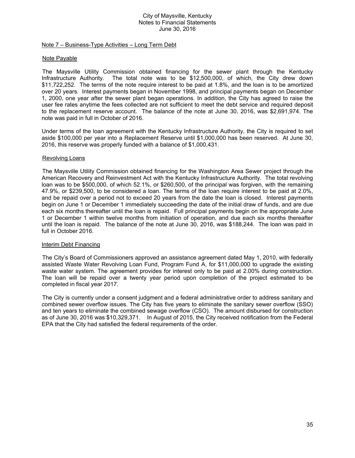Note 7 – Business-Type Activities – Long Term Debt

#### Note Payable

The Maysville Utility Commission obtained financing for the sewer plant through the Kentucky Infrastructure Authority. The total note was to be \$12,500,000, of which, the City drew down \$11,722,252. The terms of the note require interest to be paid at 1.8%, and the loan is to be amortized over 20 years. Interest payments began in November 1998, and principal payments began on December 1, 2000, one year after the sewer plant began operations. In addition, the City has agreed to raise the user fee rates anytime the fees collected are not sufficient to meet the debt service and required deposit to the replacement reserve account. The balance of the note at June 30, 2016, was \$2,691,974. The note was paid in full in October of 2016.

Under terms of the loan agreement with the Kentucky Infrastructure Authority, the City is required to set aside \$100,000 per year into a Replacement Reserve until \$1,000,000 has been reserved. At June 30, 2016, this reserve was properly funded with a balance of \$1,000,431.

#### Revolving Loans

The Maysville Utility Commission obtained financing for the Washington Area Sewer project through the American Recovery and Reinvestment Act with the Kentucky Infrastructure Authority. The total revolving loan was to be \$500,000, of which 52.1%, or \$260,500, of the principal was forgiven, with the remaining 47.9%, or \$239,500, to be considered a loan. The terms of the loan require interest to be paid at 2.0%, and be repaid over a period not to exceed 20 years from the date the loan is closed. Interest payments begin on June 1 or December 1 immediately succeeding the date of the initial draw of funds, and are due each six months thereafter until the loan is repaid. Full principal payments begin on the appropriate June 1 or December 1 within twelve months from initiation of operation, and due each six months thereafter until the loan is repaid. The balance of the note at June 30, 2016, was \$188,244. The loan was paid in full in October 2016.

#### Interim Debt Financing

The City's Board of Commissioners approved an assistance agreement dated May 1, 2010, with federally assisted Waste Water Revolving Loan Fund, Program Fund A, for \$11,000,000 to upgrade the existing waste water system. The agreement provides for interest only to be paid at 2.00% during construction. The loan will be repaid over a twenty year period upon completion of the project estimated to be completed in fiscal year 2017.

The City is currently under a consent judgment and a federal administrative order to address sanitary and combined sewer overflow issues. The City has five years to eliminate the sanitary sewer overflow (SSO) and ten years to eliminate the combined sewage overflow (CSO). The amount disbursed for construction as of June 30, 2016 was \$10,329,371. In August of 2015, the City received notification from the Federal EPA that the City had satisfied the federal requirements of the order.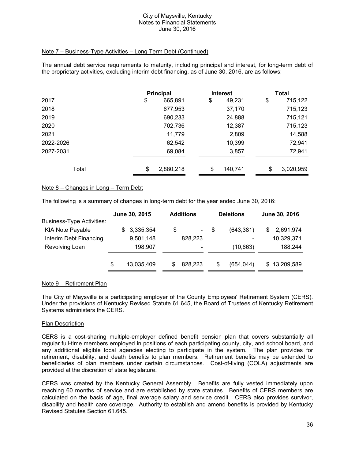## Note 7 – Business-Type Activities – Long Term Debt (Continued)

The annual debt service requirements to maturity, including principal and interest, for long-term debt of the proprietary activities, excluding interim debt financing, as of June 30, 2016, are as follows:

|           | <b>Principal</b> | <b>Interest</b> | Total           |
|-----------|------------------|-----------------|-----------------|
| 2017      | \$<br>665,891    | \$<br>49,231    | \$<br>715,122   |
| 2018      | 677,953          | 37,170          | 715,123         |
| 2019      | 690,233          | 24,888          | 715,121         |
| 2020      | 702,736          | 12,387          | 715,123         |
| 2021      | 11,779           | 2,809           | 14,588          |
| 2022-2026 | 62,542           | 10,399          | 72,941          |
| 2027-2031 | 69,084           | 3,857           | 72,941          |
| Total     | \$<br>2,880,218  | \$<br>140,741   | \$<br>3,020,959 |

## Note 8 – Changes in Long – Term Debt

The following is a summary of changes in long-term debt for the year ended June 30, 2016:

|                                  | June 30, 2015    |    | <b>Additions</b> |    | <b>Deletions</b> |   | June 30, 2016 |  |           |         |  |
|----------------------------------|------------------|----|------------------|----|------------------|---|---------------|--|-----------|---------|--|
| <b>Business-Type Activities:</b> |                  |    |                  |    |                  |   |               |  |           |         |  |
| KIA Note Payable                 | 3,335,354<br>S.  | \$ | $\sim$           | \$ | (643.381)        | S | 2,691,974     |  |           |         |  |
| Interim Debt Financing           | 9,501,148        |    | 828,223          |    | $\blacksquare$   |   | 10,329,371    |  |           |         |  |
| Revolving Loan                   | 198,907          |    |                  |    |                  |   |               |  | (10, 663) | 188,244 |  |
|                                  | \$<br>13,035,409 | S  | 828,223          | S  | (654.044)        |   | \$13,209,589  |  |           |         |  |

#### Note 9 – Retirement Plan

The City of Maysville is a participating employer of the County Employees' Retirement System (CERS). Under the provisions of Kentucky Revised Statute 61.645, the Board of Trustees of Kentucky Retirement Systems administers the CERS.

#### Plan Description

CERS is a cost-sharing multiple-employer defined benefit pension plan that covers substantially all regular full-time members employed in positions of each participating county, city, and school board, and any additional eligible local agencies electing to participate in the system. The plan provides for retirement, disability, and death benefits to plan members. Retirement benefits may be extended to beneficiaries of plan members under certain circumstances. Cost-of-living (COLA) adjustments are provided at the discretion of state legislature.

CERS was created by the Kentucky General Assembly. Benefits are fully vested immediately upon reaching 60 months of service and are established by state statutes. Benefits of CERS members are calculated on the basis of age, final average salary and service credit. CERS also provides survivor, disability and health care coverage. Authority to establish and amend benefits is provided by Kentucky Revised Statutes Section 61.645.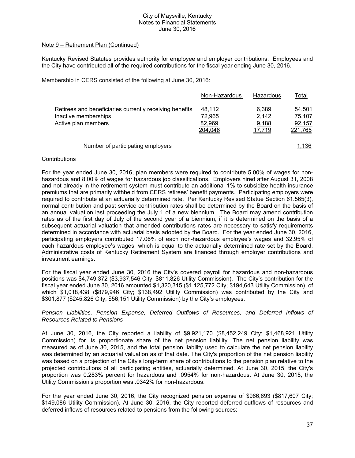#### Note 9 – Retirement Plan (Continued)

Kentucky Revised Statutes provides authority for employee and employer contributions. Employees and the City have contributed all of the required contributions for the fiscal year ending June 30, 2016.

Membership in CERS consisted of the following at June 30, 2016:

|                                                                                                        | Non-Hazardous              | Hazardous               | Total                      |
|--------------------------------------------------------------------------------------------------------|----------------------------|-------------------------|----------------------------|
| Retirees and beneficiaries currently receiving benefits<br>Inactive memberships<br>Active plan members | 48.112<br>72,965<br>82,969 | 6.389<br>2,142<br>9,188 | 54.501<br>75,107<br>92,157 |
|                                                                                                        | 204,046                    | <u>17,719</u>           | 221,765                    |
| Number of participating employers                                                                      |                            |                         | 1,136                      |

#### **Contributions**

For the year ended June 30, 2016, plan members were required to contribute 5.00% of wages for nonhazardous and 8.00% of wages for hazardous job classifications. Employers hired after August 31, 2008 and not already in the retirement system must contribute an additional 1% to subsidize health insurance premiums that are primarily withheld from CERS retirees' benefit payments. Participating employers were required to contribute at an actuarially determined rate. Per Kentucky Revised Statue Section 61.565(3), normal contribution and past service contribution rates shall be determined by the Board on the basis of an annual valuation last proceeding the July 1 of a new biennium. The Board may amend contribution rates as of the first day of July of the second year of a biennium, if it is determined on the basis of a subsequent actuarial valuation that amended contributions rates are necessary to satisfy requirements determined in accordance with actuarial basis adopted by the Board. For the year ended June 30, 2016, participating employers contributed 17.06% of each non-hazardous employee's wages and 32.95% of each hazardous employee's wages, which is equal to the actuarially determined rate set by the Board. Administrative costs of Kentucky Retirement System are financed through employer contributions and investment earnings.

For the fiscal year ended June 30, 2016 the City's covered payroll for hazardous and non-hazardous positions was \$4,749,372 (\$3,937,546 City, \$811,826 Utility Commission). The City's contribution for the fiscal year ended June 30, 2016 amounted \$1,320,315 (\$1,125,772 City; \$194,643 Utility Commission), of which \$1,018,438 (\$879,946 City; \$138,492 Utility Commission) was contributed by the City and \$301,877 (\$245,826 City; \$56,151 Utility Commission) by the City's employees.

*Pension Liabilities, Pension Expense, Deferred Outflows of Resources, and Deferred Inflows of Resources Related to Pensions* 

At June 30, 2016, the City reported a liability of \$9,921,170 (\$8,452,249 City; \$1,468,921 Utility Commission) for its proportionate share of the net pension liability. The net pension liability was measured as of June 30, 2015, and the total pension liability used to calculate the net pension liability was determined by an actuarial valuation as of that date. The City's proportion of the net pension liability was based on a projection of the City's long-term share of contributions to the pension plan relative to the projected contributions of all participating entities, actuarially determined. At June 30, 2015, the City's proportion was 0.283% percent for hazardous and .0954% for non-hazardous. At June 30, 2015, the Utility Commission's proportion was .0342% for non-hazardous.

For the year ended June 30, 2016, the City recognized pension expense of \$966,693 (\$817,607 City; \$149,086 Utility Commission). At June 30, 2016, the City reported deferred outflows of resources and deferred inflows of resources related to pensions from the following sources: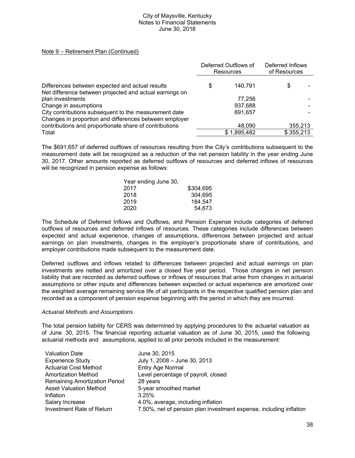#### Note 9 – Retirement Plan (Continued)

|                                                         | Deferred Outflows of<br><b>Resources</b> |             | Deferred Inflows<br>of Resources |           |
|---------------------------------------------------------|------------------------------------------|-------------|----------------------------------|-----------|
| Differences between expected and actual results         | \$                                       | 140,791     | \$                               |           |
| Net difference between projected and actual earnings on |                                          |             |                                  |           |
| plan investments                                        |                                          | 77,256      |                                  |           |
| Change in assumptions                                   |                                          | 937,688     |                                  |           |
| City contributions subsequent to the measurement date   |                                          | 691,657     |                                  |           |
| Changes in proportion and differences between employer  |                                          |             |                                  |           |
| contributions and proportionate share of contributions  |                                          | 48.090      |                                  | 355,213   |
| Total                                                   |                                          | \$1,895,482 |                                  | \$355,213 |

The \$691,657 of deferred outflows of resources resulting from the City's contributions subsequent to the measurement date will be recognized as a reduction of the net pension liability in the year ending June 30, 2017. Other amounts reported as deferred outflows of resources and deferred inflows of resources will be recognized in pension expense as follows:

| Year ending June 30, |           |
|----------------------|-----------|
| 2017                 | \$304.695 |
| 2018                 | 304,695   |
| 2019                 | 184,547   |
| 2020                 | 54,673    |

The Schedule of Deferred Inflows and Outflows, and Pension Expense include categories of deferred outflows of resources and deferred inflows of resources. These categories include differences between expected and actual experience, changes of assumptions, differences between projected and actual earnings on plan investments, changes in the employer's proportionate share of contributions, and employer contributions made subsequent to the measurement date.

Deferred outflows and inflows related to differences between projected and actual earnings on plan investments are netted and amortized over a closed five year period. Those changes in net pension liability that are recorded as deferred outflows or inflows of resources that arise from changes in actuarial assumptions or other inputs and differences between expected or actual experience are amortized over the weighted average remaining service life of all participants in the respective qualified pension plan and recorded as a component of pension expense beginning with the period in which they are incurred.

#### *Actuarial Methods and Assumptions*

The total pension liability for CERS was determined by applying procedures to the actuarial valuation as of June 30, 2015. The financial reporting actuarial valuation as of June 30, 2015, used the following actuarial methods and assumptions, applied to all prior periods included in the measurement:

| <b>Valuation Date</b>                | June 30, 2015                                                      |
|--------------------------------------|--------------------------------------------------------------------|
| <b>Experience Study</b>              | July 1, 2008 - June 30, 2013                                       |
| <b>Actuarial Cost Method</b>         | Entry Age Normal                                                   |
| <b>Amortization Method</b>           | Level percentage of payroll, closed                                |
| <b>Remaining Amortization Period</b> | 28 years                                                           |
| <b>Asset Valuation Method</b>        | 5-year smoothed market                                             |
| Inflation                            | 3.25%                                                              |
| Salary Increase                      | 4.0%, average, including inflation                                 |
| Investment Rate of Return            | 7.50%, net of pension plan investment expense, including inflation |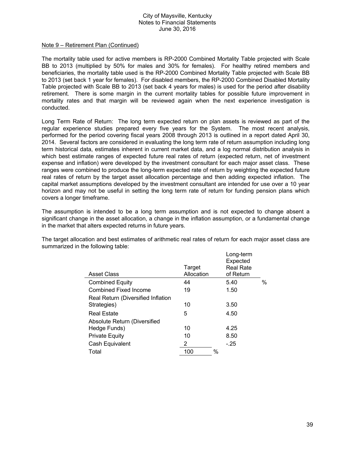#### Note 9 – Retirement Plan (Continued)

The mortality table used for active members is RP-2000 Combined Mortality Table projected with Scale BB to 2013 (multiplied by 50% for males and 30% for females). For healthy retired members and beneficiaries, the mortality table used is the RP-2000 Combined Mortality Table projected with Scale BB to 2013 (set back 1 year for females). For disabled members, the RP-2000 Combined Disabled Mortality Table projected with Scale BB to 2013 (set back 4 years for males) is used for the period after disability retirement. There is some margin in the current mortality tables for possible future improvement in mortality rates and that margin will be reviewed again when the next experience investigation is conducted.

Long Term Rate of Return: The long term expected return on plan assets is reviewed as part of the regular experience studies prepared every five years for the System. The most recent analysis, performed for the period covering fiscal years 2008 through 2013 is outlined in a report dated April 30, 2014. Several factors are considered in evaluating the long term rate of return assumption including long term historical data, estimates inherent in current market data, and a log normal distribution analysis in which best estimate ranges of expected future real rates of return (expected return, net of investment expense and inflation) were developed by the investment consultant for each major asset class. These ranges were combined to produce the long-term expected rate of return by weighting the expected future real rates of return by the target asset allocation percentage and then adding expected inflation. The capital market assumptions developed by the investment consultant are intended for use over a 10 year horizon and may not be useful in setting the long term rate of return for funding pension plans which covers a longer timeframe.

The assumption is intended to be a long term assumption and is not expected to change absent a significant change in the asset allocation, a change in the inflation assumption, or a fundamental change in the market that alters expected returns in future years.

The target allocation and best estimates of arithmetic real rates of return for each major asset class are summarized in the following table:

| <b>Asset Class</b>                                | Target<br>Allocation | Long-term<br>Expected<br><b>Real Rate</b><br>of Return |   |
|---------------------------------------------------|----------------------|--------------------------------------------------------|---|
| <b>Combined Equity</b>                            | 44                   | 5.40                                                   | % |
| Combined Fixed Income                             | 19                   | 1.50                                                   |   |
| Real Return (Diversified Inflation<br>Strategies) | 10                   | 3.50                                                   |   |
| <b>Real Estate</b>                                | 5                    | 4.50                                                   |   |
| Absolute Return (Diversified                      |                      |                                                        |   |
| Hedge Funds)                                      | 10                   | 4.25                                                   |   |
| <b>Private Equity</b>                             | 10                   | 8.50                                                   |   |
| Cash Equivalent                                   | 2                    | $-.25$                                                 |   |
| Total                                             | 100                  | %                                                      |   |
|                                                   |                      |                                                        |   |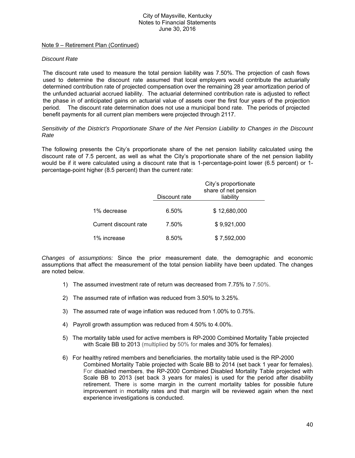#### Note 9 – Retirement Plan (Continued)

#### *Discount Rate*

The discount rate used to measure the total pension liability was 7.50%. The projection of cash flows used to determine the discount rate assumed that local employers would contribute the actuarially determined contribution rate of projected compensation over the remaining 28 year amortization period of the unfunded actuarial accrued liability. The actuarial determined contribution rate is adjusted to reflect the phase in of anticipated gains on actuarial value of assets over the first four years of the projection period. The discount rate determination does not use a municipal bond rate. The periods of projected benefit payments for all current plan members were projected through 2117.

## *Sensitivity of the District's Proportionate Share of the Net Pension Liability to Changes in the Discount Rate*

The following presents the City's proportionate share of the net pension liability calculated using the discount rate of 7.5 percent, as well as what the City's proportionate share of the net pension liability would be if it were calculated using a discount rate that is 1-percentage-point lower (6.5 percent) or 1 percentage-point higher (8.5 percent) than the current rate:

|                       | Discount rate | City's proportionate<br>share of net pension<br>liability |
|-----------------------|---------------|-----------------------------------------------------------|
| 1% decrease           | 6.50%         | \$12,680,000                                              |
| Current discount rate | 7.50%         | \$9,921,000                                               |
| 1% increase           | 8.50%         | \$7,592,000                                               |

*Changes of assumptions:* Since the prior measurement date, the demographic and economic assumptions that affect the measurement of the total pension liability have been updated. The changes are noted below.

- 1) The assumed investment rate of return was decreased from 7.75% to 7.50%.
- 2) The assumed rate of inflation was reduced from 3.50% to 3.25%.
- 3) The assumed rate of wage inflation was reduced from 1.00% to 0.75%.
- 4) Payroll growth assumption was reduced from 4.50% to 4.00%.
- 5) The mortality table used for active members is RP-2000 Combined Mortality Table projected with Scale BB to 2013 (multiplied by 50% for males and 30% for females).
- 6) For healthy retired members and beneficiaries, the mortality table used is the RP-2000 Combined Mortality Table projected with Scale BB to 2014 (set back 1 year for females). For disabled members, the RP-2000 Combined Disabled Mortality Table projected with Scale BB to 2013 (set back 3 years for males) is used for the period after disability retirement. There is some margin in the current mortality tables for possible future improvement in mortality rates and that margin will be reviewed again when the next experience investigations is conducted.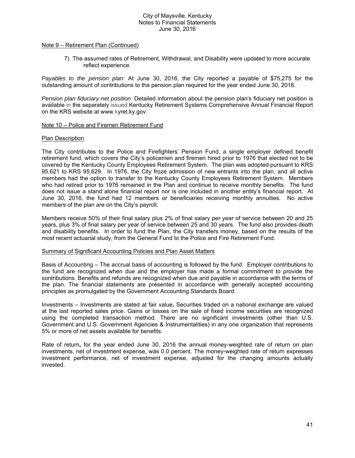#### Note 9 – Retirement Plan (Continued)

 7) The assumed rates of Retirement, Withdrawal, and Disability were updated to more accurate reflect experience.

*Payables to the pension plan:* At June 30, 2016, the City reported a payable of \$75,275 for the outstanding amount of contributions to the pension plan required for the year ended June 30, 2016.

*Pension plan fiduciary net position:* Detailed information about the pension plan's fiduciary net position is available in the separately issued Kentucky Retirement Systems Comprehensive Annual Financial Report on the KRS website at www.kyret.ky.gov.

#### Note 10 – Police and Firemen Retirement Fund

#### Plan Description

The City contributes to the Police and Firefighters' Pension Fund, a single employer defined benefit retirement fund, which covers the City's policemen and firemen hired prior to 1976 that elected not to be covered by the Kentucky County Employees Retirement System. The plan was adopted pursuant to KRS 95.621 to KRS 95.629. In 1976, the City froze admission of new entrants into the plan, and all active members had the option to transfer to the Kentucky County Employees Retirement System. Members who had retired prior to 1976 remained in the Plan and continue to receive monthly benefits. The fund does not issue a stand alone financial report nor is one included in another entity's financial report. At June 30, 2016, the fund had 12 members or beneficiaries receiving monthly annuities. No active members of the plan are on the City's payroll.

Members receive 50% of their final salary plus 2% of final salary per year of service between 20 and 25 years, plus 3% of final salary per year of service between 25 and 30 years. The fund also provides death and disability benefits. In order to fund the Plan, the City transfers money, based on the results of the most recent actuarial study, from the General Fund to the Police and Fire Retirement Fund.

#### Summary of Significant Accounting Policies and Plan Asset Matters

Basis of Accounting – The accrual basis of accounting is followed by the fund. Employer contributions to the fund are recognized when due and the employer has made a formal commitment to provide the contributions. Benefits and refunds are recognized when due and payable in accordance with the terms of the plan. The financial statements are presented in accordance with generally accepted accounting principles as promulgated by the Government Accounting Standards Board.

Investments – Investments are stated at fair value**.** Securities traded on a national exchange are valued at the last reported sales price. Gains or losses on the sale of fixed income securities are recognized using the completed transaction method. There are no significant investments (other than U.S. Government and U.S. Government Agencies & Instrumentalities) in any one organization that represents 5% or more of net assets available for benefits.

Rate of return**,** for the year ended June 30, 2016 the annual money-weighted rate of return on plan investments, net of investment expense, was 0.0 percent. The money-weighted rate of return expresses investment performance, net of investment expense, adjusted for the changing amounts actually invested.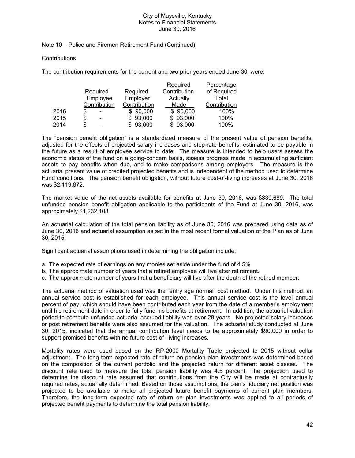## Note 10 – Police and Firemen Retirement Fund (Continued)

#### **Contributions**

The contribution requirements for the current and two prior years ended June 30, were:

|      |                      |              | Required     | Percentage   |
|------|----------------------|--------------|--------------|--------------|
|      | Required             | Required     | Contribution | of Required  |
|      | Employee             | Employer     | Actually     | Total        |
|      | Contribution         | Contribution | Made         | Contribution |
| 2016 | \$<br>-              | \$90,000     | \$90,000     | 100%         |
| 2015 | \$<br>$\blacksquare$ | \$93,000     | \$93,000     | 100%         |
| 2014 | \$<br>-              | \$93,000     | \$93,000     | 100%         |

The "pension benefit obligation" is a standardized measure of the present value of pension benefits, adjusted for the effects of projected salary increases and step-rate benefits, estimated to be payable in the future as a result of employee service to date. The measure is intended to help users assess the economic status of the fund on a going-concern basis, assess progress made in accumulating sufficient assets to pay benefits when due, and to make comparisons among employers. The measure is the actuarial present value of credited projected benefits and is independent of the method used to determine Fund conditions. The pension benefit obligation, without future cost-of-living increases at June 30, 2016 was \$2,119,872.

The market value of the net assets available for benefits at June 30, 2016, was \$830,689. The total unfunded pension benefit obligation applicable to the participants of the Fund at June 30, 2016, was approximately \$1,232,108.

An actuarial calculation of the total pension liability as of June 30, 2016 was prepared using data as of June 30, 2016 and actuarial assumption as set in the most recent formal valuation of the Plan as of June 30, 2015.

Significant actuarial assumptions used in determining the obligation include:

- a. The expected rate of earnings on any monies set aside under the fund of 4.5%
- b. The approximate number of years that a retired employee will live after retirement.
- c. The approximate number of years that a beneficiary will live after the death of the retired member.

The actuarial method of valuation used was the "entry age normal" cost method. Under this method, an annual service cost is established for each employee. This annual service cost is the level annual percent of pay, which should have been contributed each year from the date of a member's employment until his retirement date in order to fully fund his benefits at retirement. In addition, the actuarial valuation period to compute unfunded actuarial accrued liability was over 20 years. No projected salary increases or post retirement benefits were also assumed for the valuation. The actuarial study conducted at June 30, 2015, indicated that the annual contribution level needs to be approximately \$90,000 in order to support promised benefits with no future cost-of- living increases.

Mortality rates were used based on the RP-2000 Mortality Table projected to 2015 without collar adjustment. The long term expected rate of return on pension plan investments was determined based on the composition of the current portfolio and the projected return for different asset classes. The discount rate used to measure the total pension liability was 4.5 percent. The projection used to determine the discount rate assumed that contributions from the City will be made at contractually required rates, actuarially determined. Based on those assumptions, the plan's fiduciary net position was projected to be available to make all projected future benefit payments of current plan members. Therefore, the long-term expected rate of return on plan investments was applied to all periods of projected benefit payments to determine the total pension liability.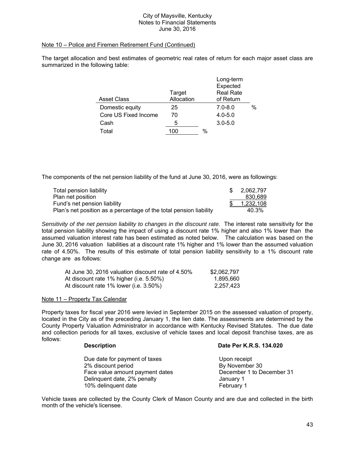## Note 10 – Police and Firemen Retirement Fund (Continued)

The target allocation and best estimates of geometric real rates of return for each major asset class are summarized in the following table:

| Target |            | Expected<br><b>Real Rate</b> |                        |
|--------|------------|------------------------------|------------------------|
| 25     |            | $7.0 - 8.0$                  | $\%$                   |
| 70     |            | $4.0 - 5.0$                  |                        |
| 5      |            | $3.0 - 5.0$                  |                        |
| 100    | %          |                              |                        |
|        | Allocation |                              | Long-term<br>of Return |

The components of the net pension liability of the fund at June 30, 2016, were as followings:

| Total pension liability                                            | 2,062,797 |
|--------------------------------------------------------------------|-----------|
| Plan net position                                                  | 830.689   |
| Fund's net pension liability                                       | 1.232.108 |
| Plan's net position as a percentage of the total pension liability | 40.3%     |

*Sensitivity of the net pension liability to changes in the discount rate.* The interest rate sensitivity for the total pension liability showing the impact of using a discount rate 1% higher and also 1% lower than the assumed valuation interest rate has been estimated as noted below. The calculation was based on the June 30, 2016 valuation liabilities at a discount rate 1% higher and 1% lower than the assumed valuation rate of 4.50%. The results of this estimate of total pension liability sensitivity to a 1% discount rate change are as follows:

| At June 30, 2016 valuation discount rate of 4.50% | \$2,062,797 |
|---------------------------------------------------|-------------|
| At discount rate 1% higher (i.e. 5.50%)           | 1.895.660   |
| At discount rate 1% lower (i.e. 3.50%)            | 2.257.423   |

## Note 11 – Property Tax Calendar

Property taxes for fiscal year 2016 were levied in September 2015 on the assessed valuation of property, located in the City as of the preceding January 1, the lien date. The assessments are determined by the County Property Valuation Administrator in accordance with Kentucky Revised Statutes. The due date and collection periods for all taxes, exclusive of vehicle taxes and local deposit franchise taxes, are as follows:

#### **Description Date Per K.R.S. 134.020**

| Due date for payment of taxes   | Upon receipt              |
|---------------------------------|---------------------------|
| 2% discount period              | By November 30            |
| Face value amount payment dates | December 1 to December 31 |
| Delinguent date, 2% penalty     | January 1                 |
| 10% delinquent date             | February 1                |

Vehicle taxes are collected by the County Clerk of Mason County and are due and collected in the birth month of the vehicle's licensee.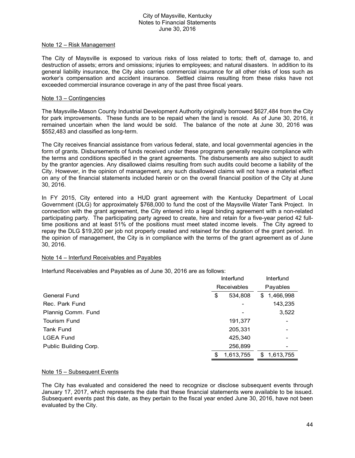#### Note 12 – Risk Management

The City of Maysville is exposed to various risks of loss related to torts; theft of, damage to, and destruction of assets; errors and omissions; injuries to employees; and natural disasters. In addition to its general liability insurance, the City also carries commercial insurance for all other risks of loss such as worker's compensation and accident insurance. Settled claims resulting from these risks have not exceeded commercial insurance coverage in any of the past three fiscal years.

#### Note 13 – Contingencies

The Maysville-Mason County Industrial Development Authority originally borrowed \$627,484 from the City for park improvements. These funds are to be repaid when the land is resold. As of June 30, 2016, it remained uncertain when the land would be sold. The balance of the note at June 30, 2016 was \$552,483 and classified as long-term.

The City receives financial assistance from various federal, state, and local governmental agencies in the form of grants. Disbursements of funds received under these programs generally require compliance with the terms and conditions specified in the grant agreements. The disbursements are also subject to audit by the grantor agencies. Any disallowed claims resulting from such audits could become a liability of the City. However, in the opinion of management, any such disallowed claims will not have a material effect on any of the financial statements included herein or on the overall financial position of the City at June 30, 2016.

In FY 2015, City entered into a HUD grant agreement with the Kentucky Department of Local Government (DLG) for approximately \$768,000 to fund the cost of the Maysville Water Tank Project. In connection with the grant agreement, the City entered into a legal binding agreement with a non-related participating party. The participating party agreed to create, hire and retain for a five-year period 42 fulltime positions and at least 51% of the positions must meet stated income levels. The City agreed to repay the DLG \$19,200 per job not properly created and retained for the duration of the grant period. In the opinion of management, the City is in compliance with the terms of the grant agreement as of June 30, 2016.

#### Note 14 – Interfund Receivables and Payables

Interfund Receivables and Payables as of June 30, 2016 are as follows:

|                       | Interfund          | Interfund       |
|-----------------------|--------------------|-----------------|
|                       | <b>Receivables</b> | Payables        |
| <b>General Fund</b>   | \$<br>534,808      | \$<br>1,466,998 |
| Rec. Park Fund        |                    | 143,235         |
| Plannig Comm. Fund    | ۰                  | 3,522           |
| <b>Tourism Fund</b>   | 191,377            |                 |
| <b>Tank Fund</b>      | 205,331            |                 |
| <b>LGEA Fund</b>      | 425,340            |                 |
| Public Building Corp. | 256,899            |                 |
|                       | \$<br>1,613,755    | \$<br>1,613,755 |

#### Note 15 – Subsequent Events

The City has evaluated and considered the need to recognize or disclose subsequent events through January 17, 2017, which represents the date that these financial statements were available to be issued. Subsequent events past this date, as they pertain to the fiscal year ended June 30, 2016, have not been evaluated by the City.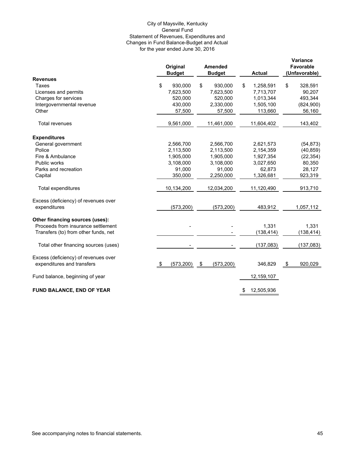#### City of Maysville, Kentucky General Fund Statement of Revenues, Expenditures and Changes in Fund Balance-Budget and Actual for the year ended June 30, 2016

|                                                                    |    | Original<br><b>Budget</b> | <b>Amended</b><br><b>Budget</b> | <b>Actual</b>    | Variance<br><b>Favorable</b><br>(Unfavorable) |            |  |
|--------------------------------------------------------------------|----|---------------------------|---------------------------------|------------------|-----------------------------------------------|------------|--|
| <b>Revenues</b>                                                    |    |                           |                                 |                  |                                               |            |  |
| Taxes                                                              | \$ | 930,000                   | \$<br>930,000                   | \$<br>1,258,591  | \$                                            | 328,591    |  |
| Licenses and permits                                               |    | 7,623,500                 | 7,623,500                       | 7,713,707        |                                               | 90,207     |  |
| Charges for services                                               |    | 520,000                   | 520,000                         | 1,013,344        |                                               | 493,344    |  |
| Intergovernmental revenue                                          |    | 430,000                   | 2,330,000                       | 1,505,100        |                                               | (824,900)  |  |
| Other                                                              |    | 57,500                    | 57,500                          | 113,660          |                                               | 56,160     |  |
| <b>Total revenues</b>                                              |    | 9,561,000                 | 11,461,000                      | 11,604,402       |                                               | 143,402    |  |
| <b>Expenditures</b>                                                |    |                           |                                 |                  |                                               |            |  |
| General government                                                 |    | 2,566,700                 | 2,566,700                       | 2,621,573        |                                               | (54, 873)  |  |
| Police                                                             |    | 2,113,500                 | 2,113,500                       | 2,154,359        |                                               | (40, 859)  |  |
| Fire & Ambulance                                                   |    | 1,905,000                 | 1,905,000                       | 1,927,354        |                                               | (22, 354)  |  |
| Public works                                                       |    | 3,108,000                 | 3,108,000                       | 3,027,650        |                                               | 80,350     |  |
| Parks and recreation                                               |    | 91,000                    | 91,000                          | 62,873           |                                               | 28,127     |  |
| Capital                                                            |    | 350,000                   | 2,250,000                       | 1,326,681        |                                               | 923,319    |  |
| Total expenditures                                                 |    | 10,134,200                | 12,034,200                      | 11,120,490       |                                               | 913,710    |  |
| Excess (deficiency) of revenues over                               |    |                           |                                 |                  |                                               |            |  |
| expenditures                                                       |    | (573, 200)                | (573, 200)                      | 483,912          |                                               | 1,057,112  |  |
| Other financing sources (uses):                                    |    |                           |                                 |                  |                                               |            |  |
| Proceeds from insurance settlement                                 |    |                           |                                 | 1,331            |                                               | 1,331      |  |
| Transfers (to) from other funds, net                               |    |                           |                                 | (138, 414)       |                                               | (138, 414) |  |
| Total other financing sources (uses)                               |    |                           |                                 | (137, 083)       |                                               | (137, 083) |  |
| Excess (deficiency) of revenues over<br>expenditures and transfers |    | (573, 200)                | \$<br>(573, 200)                | 346,829          | \$                                            | 920,029    |  |
| Fund balance, beginning of year                                    |    |                           |                                 | 12,159,107       |                                               |            |  |
| <b>FUND BALANCE, END OF YEAR</b>                                   |    |                           |                                 | \$<br>12,505,936 |                                               |            |  |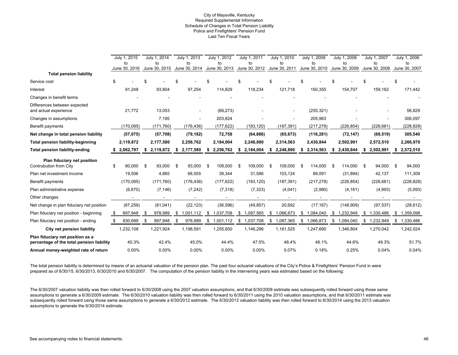#### City of Maysville, Kentucky Required Supplemental Information Schedule of Changes in Total Pension Liability Police and Firefighters' Pension Fund Last Ten Fiscal Years

|                                                                               |     | July 1, 2015<br>to<br>June 30, 2016 |    | July 1, 2014<br>to<br>June 30, 2015 | July 1, 2013<br>to<br>June 30, 2014 |    | July 1, 2012<br>to<br>June 30, 2013 |     | July 1, 2011<br>to<br>June 30, 2012 |     | July 1, 2010<br>to<br>June 30, 2011 | July 1, 2009<br>to<br>June 30, 2010 |    | July 1, 2008<br>t٥<br>June 30, 2009 |     | July 1, 2007<br>to<br>June 30, 2008 |     | July 1, 2006<br>to<br>June 30, 2007 |
|-------------------------------------------------------------------------------|-----|-------------------------------------|----|-------------------------------------|-------------------------------------|----|-------------------------------------|-----|-------------------------------------|-----|-------------------------------------|-------------------------------------|----|-------------------------------------|-----|-------------------------------------|-----|-------------------------------------|
| <b>Total pension liability</b>                                                |     |                                     |    |                                     |                                     |    |                                     |     |                                     |     |                                     |                                     |    |                                     |     |                                     |     |                                     |
| Service cost                                                                  | \$  |                                     |    |                                     | \$                                  |    |                                     | \$  |                                     | \$  |                                     |                                     |    |                                     |     |                                     |     |                                     |
| Interest                                                                      |     | 91,248                              |    | 93,804                              | 97,254                              |    | 114,829                             |     | 118,234                             |     | 121,718                             | 150,355                             |    | 154,707                             |     | 159,162                             |     | 171,442                             |
| Changes in benefit terms                                                      |     |                                     |    |                                     |                                     |    |                                     |     |                                     |     |                                     |                                     |    |                                     |     |                                     |     |                                     |
| Differences between expected<br>and actual experience                         |     | 21,772                              |    | 13,053                              | $\blacksquare$                      |    | (68, 273)                           |     |                                     |     | $\overline{\phantom{a}}$            | (255, 321)                          |    |                                     |     |                                     |     | 56,829                              |
| Changes in assumptions                                                        |     |                                     |    | 7,195                               | $\blacksquare$                      |    | 203,824                             |     |                                     |     |                                     | 205,963                             |    |                                     |     |                                     |     | 306,097                             |
| Benefit payments                                                              |     | (170, 095)                          |    | (171, 760)                          | (176, 436)                          |    | (177, 622)                          |     | (183,120)                           |     | (187, 391)                          | (217, 278)                          |    | (226, 854)                          |     | (228, 681)                          |     | (228, 828)                          |
| Net change in total pension liability                                         |     | (57, 075)                           |    | (57, 708)                           | (79, 182)                           |    | 72,758                              |     | (64, 886)                           |     | (65, 673)                           | (116, 281)                          |    | (72, 147)                           |     | (69, 519)                           |     | 305,540                             |
| <b>Total pension liability-beginning</b>                                      |     | 2,119,872                           |    | 2,177,580                           | 2,256,762                           |    | 2,184,004                           |     | 2,248,890                           |     | 2,314,563                           | 2,430,844                           |    | 2,502,991                           |     | 2,572,510                           |     | 2,266,970                           |
| <b>Total pension liability-ending</b>                                         |     | 2,062,797                           | s. | 2,119,872                           | \$<br>2,177,580                     | 5  | 2,256,762                           | - 5 | 2,184,004                           | 5   | 2,248,890                           | \$<br>2,314,563                     | S  | 2,430,844                           | 5   | 2,502,991                           | S   | 2,572,510                           |
| Plan fiduciary net position<br>Contrubution from City                         |     | 90.000                              | \$ | 93,000                              | \$<br>93,000                        | \$ | 109,000                             | \$  | 109,000                             | \$. | 109,000                             | \$<br>114,000                       |    | 114,000                             | -\$ | 94,000                              | -\$ | 94,000                              |
| Plan net investment income                                                    |     | 19,506                              |    | 4,865                               | 68,555                              |    | 39,344                              |     | 31,586                              |     | 103,124                             | 89,091                              |    | (31, 894)                           |     | 42,137                              |     | 111,309                             |
| Benefit payments                                                              |     | (170, 095)                          |    | (171, 760)                          | (176, 436)                          |    | (177, 622)                          |     | (183, 120)                          |     | (187, 391)                          | (217, 278)                          |    | (226, 854)                          |     | (228, 681)                          |     | (228, 828)                          |
| Plan administrative expense                                                   |     | (6,670)                             |    | (7, 146)                            | (7, 242)                            |    | (7, 318)                            |     | (7, 323)                            |     | (4,041)                             | (2,980)                             |    | (4, 161)                            |     | (4,993)                             |     | (5,093)                             |
| Other changes                                                                 |     |                                     |    |                                     |                                     |    |                                     |     |                                     |     |                                     |                                     |    |                                     |     |                                     |     |                                     |
| Net change in plan fiduciary net position                                     |     | (67, 259)                           |    | (81,041)                            | (22, 123)                           |    | (36, 596)                           |     | (49, 857)                           |     | 20,692                              | (17, 167)                           |    | (148,909)                           |     | (97, 537)                           |     | (28, 612)                           |
| Plan fiduciary net position - beginning                                       | -SS | 897,948                             | S  | 978,989                             | \$<br>1,001,112                     | \$ | 1,037,708                           | \$  | ,087,565                            | S   | .066,673                            | \$<br>1,084,040                     | S  | ,232,949                            | S.  | ,330,486                            | -SS | ,359,098<br>$\overline{\mathbf{1}}$ |
| Plan fiduciary net position - ending                                          |     | 830,689                             |    | 897,948                             | \$<br>978,989                       | \$ | 1,001,112                           | \$  | 1,037,708                           | \$  | 1,087,365                           | \$<br>1,066,873                     | \$ | 1,084,040                           |     | 1,232,949                           | S   | 1,330,486                           |
| City net pension liability                                                    |     | 1,232,108                           |    | 1,221,924                           | 1,198,591                           |    | 1,255,650                           |     | 1,146,296                           |     | 1,161,525                           | 1,247,690                           |    | 1,346,804                           |     | 1,270,042                           |     | 1,242,024                           |
| Plan fiduciary net position as a<br>percentage of the total pension liability |     | 40.3%                               |    | 42.4%                               | 45.0%                               |    | 44.4%                               |     | 47.5%                               |     | 48.4%                               | 46.1%                               |    | 44.6%                               |     | 49.3%                               |     | 51.7%                               |
| Annual money-weighted rate of return                                          |     | $0.00\%$                            |    | 0.00%                               | 0.00%                               |    | 0.00%                               |     | 0.00%                               |     | 0.07%                               | 0.18%                               |    | 0.25%                               |     | 0.04%                               |     | 0.04%                               |

The total pension liability is determined by means of an actuarial valuation of the pension plan. The past four actuarial valuations of the City's Police & Firefighters' Pension Fund in were prepared as of 6/30/15, 6/30/2013, 6/30/2010 and 6/30/2007. The computation of the pension liability in the intervening years was estimated based on the following:

The 6/30/2007 valuation liability was then rolled forward to 6/30/2008 using the 2007 valuation assumptions, and that 6/30/2008 estimate was subsequently rolled forward using those same assumptions to generate a 6/30/2009 estimate. The 6/30/2010 valuation liability was then rolled forward to 6/30/2011 using the 2010 valuation assumptions, and that 6/30/2011 estimate was subsequently rolled forward using those same assumptions to generate a 6/30/2012 estimate. The 6/30/2013 valuation liability was then rolled forward to 6/30/2014 using the 2013 valuation assumptions to generate the 6/30/2014 estimate.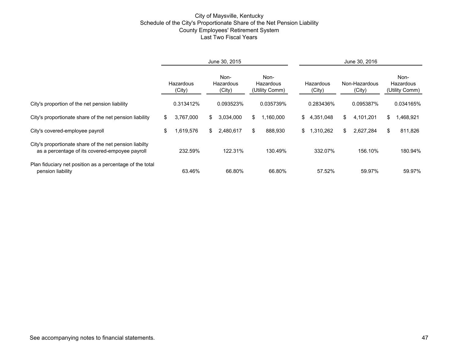# City of Maysville, Kentucky Schedule of the City's Proportionate Share of the Net Pension Liability County Employees' Retirement System Last Two Fiscal Years

|                                                                                                          |                     |           |                             | June 30, 2015 |                                     |           |                     |             |                         |           |    |                                     |
|----------------------------------------------------------------------------------------------------------|---------------------|-----------|-----------------------------|---------------|-------------------------------------|-----------|---------------------|-------------|-------------------------|-----------|----|-------------------------------------|
|                                                                                                          | Hazardous<br>(City) |           | Non-<br>Hazardous<br>(City) |               | Non-<br>Hazardous<br>(Utility Comm) |           | Hazardous<br>(City) |             | Non-Hazardous<br>(City) |           |    | Non-<br>Hazardous<br>(Utility Comm) |
| City's proportion of the net pension liability                                                           |                     | 0.313412% |                             | 0.093523%     |                                     | 0.035739% |                     | 0.283436%   |                         | 0.095387% |    | 0.034165%                           |
| City's proportionate share of the net pension liability                                                  | \$                  | 3,767,000 | \$                          | 3,034,000     | \$                                  | 1,160,000 |                     | \$4,351,048 | \$                      | 4,101,201 | \$ | 1,468,921                           |
| City's covered-employee payroll                                                                          | \$                  | 1,619,576 | \$                          | 2,480,617     | \$                                  | 888,930   | \$                  | 1,310,262   | \$                      | 2,627,284 | \$ | 811,826                             |
| City's proportionate share of the net pension liabilty<br>as a percentage of its covered-empoyee payroll |                     | 232.59%   |                             | 122.31%       |                                     | 130.49%   |                     | 332.07%     |                         | 156.10%   |    | 180.94%                             |
| Plan fiduciary net position as a percentage of the total<br>pension liability                            |                     | 63.46%    |                             | 66.80%        |                                     | 66.80%    |                     | 57.52%      |                         | 59.97%    |    | 59.97%                              |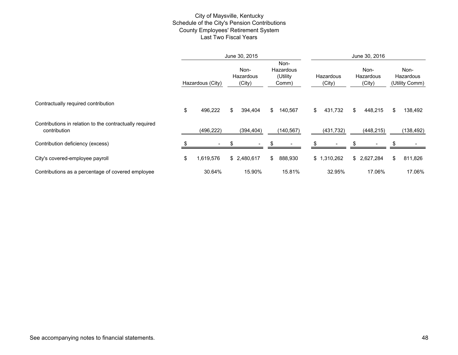## City of Maysville, Kentucky Schedule of the City's Pension Contributions County Employees' Retirement System Last Two Fiscal Years

|                                                                         |                  |            |                             | June 30, 2015 |                                        |            | June 30, 2016       |             |    |                             |    |                                     |  |
|-------------------------------------------------------------------------|------------------|------------|-----------------------------|---------------|----------------------------------------|------------|---------------------|-------------|----|-----------------------------|----|-------------------------------------|--|
|                                                                         | Hazardous (City) |            | Non-<br>Hazardous<br>(City) |               | Non-<br>Hazardous<br>(Utility<br>Comm) |            | Hazardous<br>(City) |             |    | Non-<br>Hazardous<br>(City) |    | Non-<br>Hazardous<br>(Utility Comm) |  |
| Contractually required contribution                                     | \$               | 496,222    | \$                          | 394,404       | \$                                     | 140,567    | \$                  | 431,732     | \$ | 448,215                     | \$ | 138,492                             |  |
| Contributions in relation to the contractually required<br>contribution |                  | (496, 222) |                             | (394, 404)    |                                        | (140, 567) |                     | (431, 732)  |    | (448, 215)                  |    | (138, 492)                          |  |
| Contribution deficiency (excess)                                        |                  |            |                             |               |                                        |            |                     |             |    |                             |    |                                     |  |
| City's covered-employee payroll                                         | \$               | 1,619,576  |                             | \$2,480,617   | \$                                     | 888,930    |                     | \$1,310,262 |    | \$2,627,284                 | \$ | 811,826                             |  |
| Contributions as a percentage of covered employee                       |                  | 30.64%     |                             | 15.90%        |                                        | 15.81%     |                     | 32.95%      |    | 17.06%                      |    | 17.06%                              |  |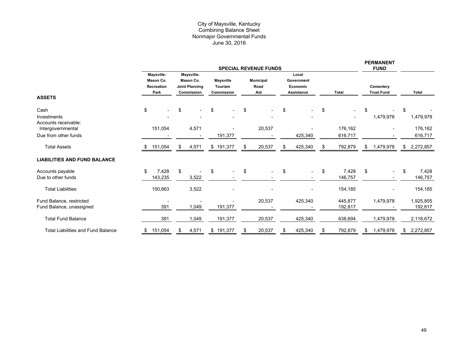#### City of Maysville, Kentucky Combining Balance Sheet Nonmajor Governmental Funds June 30, 2016

|                                                      |    |                                               |    |                                                                |    |                                           |    | <b>SPECIAL REVENUE FUNDS</b>    |    |                                               |    |                    |    | <b>PERMANENT</b><br><b>FUND</b> |    |                      |
|------------------------------------------------------|----|-----------------------------------------------|----|----------------------------------------------------------------|----|-------------------------------------------|----|---------------------------------|----|-----------------------------------------------|----|--------------------|----|---------------------------------|----|----------------------|
| <b>ASSETS</b>                                        |    | Maysville-<br>Mason Co.<br>Recreation<br>Park |    | Maysville-<br>Mason Co.<br><b>Joint Planning</b><br>Commission |    | <b>Maysville</b><br>Tourism<br>Commission |    | <b>Municipal</b><br>Road<br>Aid |    | Local<br>Government<br>Economic<br>Assistance |    | <b>Total</b>       |    | Cementery<br><b>Trust Fund</b>  |    | Total                |
| Cash<br>Investments<br>Accounts receivable:          | \$ |                                               | \$ |                                                                | \$ |                                           | \$ |                                 | \$ |                                               | \$ |                    | \$ | 1,479,978                       | \$ | 1,479,978            |
| Intergovernmental<br>Due from other funds            |    | 151,054                                       |    | 4,571                                                          |    | 191,377                                   |    | 20,537                          |    | 425,340                                       |    | 176,162<br>616,717 |    |                                 |    | 176,162<br>616,717   |
| <b>Total Assets</b>                                  |    | 151,054                                       | \$ | 4,571                                                          |    | \$191,377                                 | \$ | 20,537                          | \$ | 425,340                                       |    | 792,879            | \$ | 1,479,978                       | \$ | 2,272,857            |
| <b>LIABILITIES AND FUND BALANCE</b>                  |    |                                               |    |                                                                |    |                                           |    |                                 |    |                                               |    |                    |    |                                 |    |                      |
| Accounts payable<br>Due to other funds               | \$ | 7,428<br>143,235                              | \$ | 3,522                                                          | \$ |                                           | \$ |                                 | \$ |                                               | \$ | 7,428<br>146,757   | \$ |                                 | \$ | 7,428<br>146,757     |
| <b>Total Liabilities</b>                             |    | 150,663                                       |    | 3,522                                                          |    |                                           |    |                                 |    |                                               |    | 154,185            |    |                                 |    | 154,185              |
| Fund Balance, restricted<br>Fund Balance, unassigned |    | 391                                           |    | 1,049                                                          |    | 191,377                                   |    | 20,537                          |    | 425,340                                       |    | 445,877<br>192,817 |    | 1,479,978                       |    | 1,925,855<br>192,817 |
| <b>Total Fund Balance</b>                            |    | 391                                           |    | 1,049                                                          |    | 191,377                                   |    | 20,537                          |    | 425,340                                       |    | 638,694            |    | 1,479,978                       |    | 2,118,672            |
| <b>Total Liabilities and Fund Balance</b>            | \$ | 151,054                                       | \$ | 4,571                                                          |    | \$191,377                                 | S  | 20,537                          | \$ | 425,340                                       | S  | 792,879            | S  | 1,479,978                       | \$ | 2,272,857            |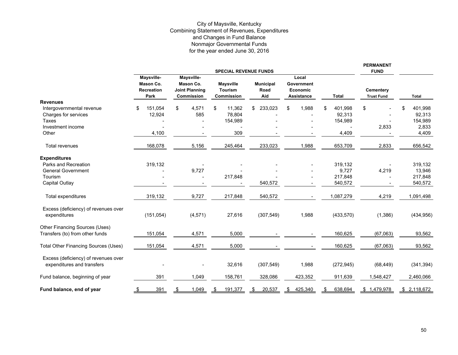#### City of Maysville, Kentucky Combining Statement of Revenues, Expenditures and Changes in Fund Balance Nonmajor Governmental Funds for the year ended June 30, 2016

|                                                                                                                    |            |                                                      |     |                                                                |    | <b>SPECIAL REVENUE FUNDS</b>                     |    |                                 |    |                                                      |              |                                        |                                | <b>PERMANENT</b><br><b>FUND</b> |                                                      |
|--------------------------------------------------------------------------------------------------------------------|------------|------------------------------------------------------|-----|----------------------------------------------------------------|----|--------------------------------------------------|----|---------------------------------|----|------------------------------------------------------|--------------|----------------------------------------|--------------------------------|---------------------------------|------------------------------------------------------|
|                                                                                                                    |            | Maysville-<br>Mason Co.<br><b>Recreation</b><br>Park |     | Maysville-<br>Mason Co.<br><b>Joint Planning</b><br>Commission |    | <b>Maysville</b><br><b>Tourism</b><br>Commission |    | <b>Municipal</b><br>Road<br>Aid |    | Local<br>Government<br>Economic<br><b>Assistance</b> | <b>Total</b> |                                        | Cementery<br><b>Trust Fund</b> |                                 | <b>Total</b>                                         |
| <b>Revenues</b><br>Intergovernmental revenue<br>Charges for services<br><b>Taxes</b><br>Investment income<br>Other | \$         | 151,054<br>12,924<br>4,100                           | \$  | 4,571<br>585                                                   | \$ | 11,362<br>78,804<br>154,989<br>309               | \$ | 233,023                         | \$ | 1,988                                                | \$           | 401,998<br>92,313<br>154,989<br>4,409  | \$                             | 2,833                           | \$<br>401,998<br>92,313<br>154,989<br>2,833<br>4,409 |
| <b>Total revenues</b>                                                                                              |            | 168,078                                              |     | 5,156                                                          |    | 245,464                                          |    | 233,023                         |    | 1,988                                                |              | 653,709                                |                                | 2,833                           | 656,542                                              |
| <b>Expenditures</b><br>Parks and Recreation<br><b>General Government</b><br>Tourism<br>Capital Outlay              |            | 319,132                                              |     | 9,727                                                          |    | 217,848                                          |    | 540,572                         |    |                                                      |              | 319,132<br>9,727<br>217,848<br>540,572 |                                | 4,219                           | 319,132<br>13,946<br>217,848<br>540,572              |
| Total expenditures                                                                                                 |            | 319,132                                              |     | 9,727                                                          |    | 217,848                                          |    | 540,572                         |    |                                                      |              | 1,087,279                              |                                | 4,219                           | 1,091,498                                            |
| Excess (deficiency) of revenues over<br>expenditures                                                               |            | (151, 054)                                           |     | (4, 571)                                                       |    | 27,616                                           |    | (307, 549)                      |    | 1,988                                                |              | (433, 570)                             |                                | (1, 386)                        | (434, 956)                                           |
| Other Financing Sources (Uses)<br>Transfers (to) from other funds                                                  |            | 151,054                                              |     | 4,571                                                          |    | 5,000                                            |    |                                 |    |                                                      |              | 160,625                                |                                | (67,063)                        | 93,562                                               |
| <b>Total Other Financing Sources (Uses)</b>                                                                        |            | 151,054                                              |     | 4,571                                                          |    | 5,000                                            |    |                                 |    |                                                      |              | 160,625                                |                                | (67,063)                        | 93,562                                               |
| Excess (deficiency) of revenues over<br>expenditures and transfers                                                 |            |                                                      |     |                                                                |    | 32,616                                           |    | (307, 549)                      |    | 1,988                                                |              | (272, 945)                             |                                | (68, 449)                       | (341, 394)                                           |
| Fund balance, beginning of year                                                                                    |            | 391                                                  |     | 1,049                                                          |    | 158,761                                          |    | 328,086                         |    | 423,352                                              |              | 911,639                                |                                | 1,548,427                       | 2,460,066                                            |
| Fund balance, end of year                                                                                          | $\sqrt{3}$ | 391                                                  | -\$ | 1,049                                                          | \$ | 191,377                                          | \$ | 20,537                          | \$ | 425,340                                              | \$           | 638,694                                |                                | \$1,479,978                     | \$2,118,672                                          |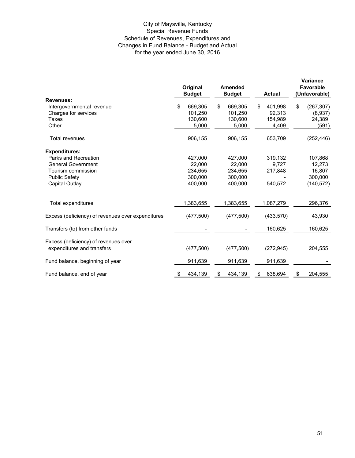## City of Maysville, Kentucky Special Revenue Funds Schedule of Revenues, Expenditures and Changes in Fund Balance - Budget and Actual for the year ended June 30, 2016

|                                                   |    | Original<br><b>Budget</b> | <b>Amended</b><br><b>Budget</b> |           | <b>Actual</b> |            | Variance<br><b>Favorable</b><br>(Unfavorable) |            |  |
|---------------------------------------------------|----|---------------------------|---------------------------------|-----------|---------------|------------|-----------------------------------------------|------------|--|
| <b>Revenues:</b>                                  |    |                           |                                 |           |               |            |                                               |            |  |
| Intergovernmental revenue                         | \$ | 669,305                   | \$                              | 669,305   | \$            | 401,998    | \$                                            | (267, 307) |  |
| Charges for services                              |    | 101.250                   |                                 | 101.250   |               | 92.313     |                                               | (8,937)    |  |
| Taxes                                             |    | 130,600                   |                                 | 130,600   |               | 154,989    |                                               | 24,389     |  |
| Other                                             |    | 5,000                     |                                 | 5,000     |               | 4,409      |                                               | (591)      |  |
| <b>Total revenues</b>                             |    | 906,155                   |                                 | 906,155   |               | 653,709    |                                               | (252, 446) |  |
| <b>Expenditures:</b>                              |    |                           |                                 |           |               |            |                                               |            |  |
| Parks and Recreation                              |    | 427,000                   |                                 | 427,000   |               | 319,132    |                                               | 107,868    |  |
| <b>General Government</b>                         |    | 22.000                    |                                 | 22.000    |               | 9,727      |                                               | 12,273     |  |
| Tourism commission                                |    | 234,655                   |                                 | 234,655   |               | 217,848    |                                               | 16,807     |  |
| <b>Public Safety</b>                              |    | 300,000                   |                                 | 300,000   |               |            |                                               | 300,000    |  |
| Capital Outlay                                    |    | 400,000                   |                                 | 400,000   |               | 540,572    |                                               | (140,572)  |  |
| Total expenditures                                |    | 1,383,655                 |                                 | 1,383,655 |               | 1,087,279  |                                               | 296,376    |  |
| Excess (deficiency) of revenues over expenditures |    | (477,500)                 |                                 | (477,500) |               | (433, 570) |                                               | 43,930     |  |
| Transfers (to) from other funds                   |    |                           |                                 |           |               | 160,625    |                                               | 160,625    |  |
| Excess (deficiency) of revenues over              |    |                           |                                 |           |               |            |                                               |            |  |
| expenditures and transfers                        |    | (477,500)                 |                                 | (477,500) |               | (272, 945) |                                               | 204,555    |  |
| Fund balance, beginning of year                   |    | 911,639                   |                                 | 911,639   |               | 911,639    |                                               |            |  |
| Fund balance, end of year                         | \$ | 434,139                   | \$                              | 434,139   | \$            | 638,694    | \$                                            | 204,555    |  |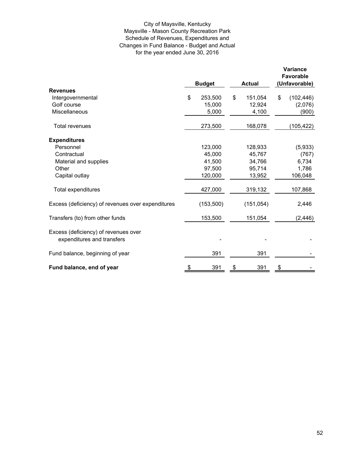## City of Maysville, Kentucky Maysville - Mason County Recreation Park Schedule of Revenues, Expenditures and Changes in Fund Balance - Budget and Actual for the year ended June 30, 2016

|                                                                    |               |               | <b>Variance</b><br><b>Favorable</b> |
|--------------------------------------------------------------------|---------------|---------------|-------------------------------------|
|                                                                    | <b>Budget</b> | <b>Actual</b> | (Unfavorable)                       |
| <b>Revenues</b>                                                    |               |               |                                     |
| Intergovernmental                                                  | \$<br>253,500 | \$<br>151,054 | \$<br>(102, 446)                    |
| Golf course                                                        | 15,000        | 12,924        | (2,076)                             |
| Miscellaneous                                                      | 5,000         | 4,100         | (900)                               |
| <b>Total revenues</b>                                              | 273,500       | 168,078       | (105,422)                           |
| <b>Expenditures</b>                                                |               |               |                                     |
| Personnel                                                          | 123,000       | 128,933       | (5,933)                             |
| Contractual                                                        | 45,000        | 45,767        | (767)                               |
| Material and supplies                                              | 41,500        | 34,766        | 6,734                               |
| Other                                                              | 97,500        | 95,714        | 1,786                               |
| Capital outlay                                                     | 120,000       | 13,952        | 106,048                             |
| <b>Total expenditures</b>                                          | 427,000       | 319,132       | 107,868                             |
| Excess (deficiency) of revenues over expenditures                  | (153,500)     | (151, 054)    | 2,446                               |
| Transfers (to) from other funds                                    | 153,500       | 151,054       | (2, 446)                            |
| Excess (deficiency) of revenues over<br>expenditures and transfers |               |               |                                     |
| Fund balance, beginning of year                                    | 391           | 391           |                                     |
| Fund balance, end of year                                          | 391           | 391           |                                     |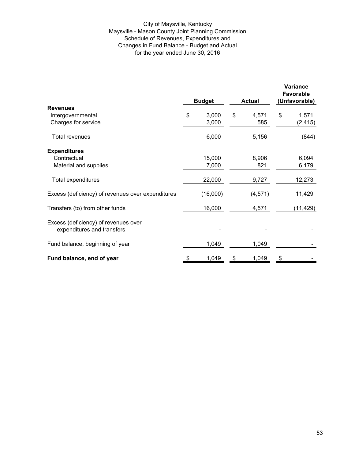## City of Maysville, Kentucky Maysville - Mason County Joint Planning Commission Schedule of Revenues, Expenditures and Changes in Fund Balance - Budget and Actual for the year ended June 30, 2016

|                                                                    | <b>Budget</b> |    | <b>Actual</b> | Variance<br>Favorable<br>(Unfavorable) |
|--------------------------------------------------------------------|---------------|----|---------------|----------------------------------------|
| <b>Revenues</b>                                                    |               |    |               |                                        |
| Intergovernmental                                                  | \$<br>3,000   | \$ | 4,571         | \$<br>1,571                            |
| Charges for service                                                | 3,000         |    | 585           | (2, 415)                               |
| Total revenues                                                     | 6,000         |    | 5,156         | (844)                                  |
| <b>Expenditures</b>                                                |               |    |               |                                        |
| Contractual                                                        | 15,000        |    | 8,906         | 6,094                                  |
| Material and supplies                                              | 7,000         |    | 821           | 6,179                                  |
| Total expenditures                                                 | 22,000        |    | 9,727         | 12,273                                 |
| Excess (deficiency) of revenues over expenditures                  | (16,000)      |    | (4,571)       | 11,429                                 |
| Transfers (to) from other funds                                    | 16,000        |    | 4,571         | (11, 429)                              |
| Excess (deficiency) of revenues over<br>expenditures and transfers |               |    |               |                                        |
| Fund balance, beginning of year                                    | 1,049         |    | 1,049         |                                        |
| Fund balance, end of year                                          | 1,049         | S  | 1,049         |                                        |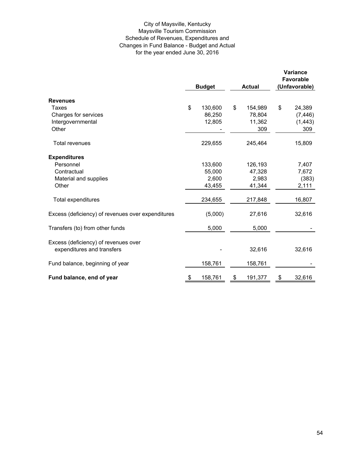## City of Maysville, Kentucky Maysville Tourism Commission Schedule of Revenues, Expenditures and Changes in Fund Balance - Budget and Actual for the year ended June 30, 2016

|                                                   |                         |                         | <b>Variance</b><br>Favorable |
|---------------------------------------------------|-------------------------|-------------------------|------------------------------|
|                                                   | <b>Budget</b>           | <b>Actual</b>           | (Unfavorable)                |
| <b>Revenues</b>                                   |                         |                         |                              |
| Taxes<br>Charges for services                     | \$<br>130,600<br>86,250 | \$<br>154,989<br>78,804 | \$<br>24,389<br>(7, 446)     |
| Intergovernmental                                 | 12,805                  | 11,362                  | (1, 443)                     |
| Other                                             |                         | 309                     | 309                          |
| <b>Total revenues</b>                             | 229,655                 | 245,464                 | 15,809                       |
| <b>Expenditures</b>                               |                         |                         |                              |
| Personnel                                         | 133,600                 | 126,193                 | 7,407                        |
| Contractual                                       | 55,000                  | 47,328                  | 7,672                        |
| Material and supplies                             | 2,600                   | 2,983                   | (383)                        |
| Other                                             | 43,455                  | 41,344                  | 2,111                        |
| <b>Total expenditures</b>                         | 234,655                 | 217,848                 | 16,807                       |
| Excess (deficiency) of revenues over expenditures | (5,000)                 | 27,616                  | 32,616                       |
| Transfers (to) from other funds                   | 5,000                   | 5,000                   |                              |
| Excess (deficiency) of revenues over              |                         |                         |                              |
| expenditures and transfers                        |                         | 32,616                  | 32,616                       |
| Fund balance, beginning of year                   | 158,761                 | 158,761                 |                              |
| Fund balance, end of year                         | \$<br>158,761           | \$<br>191,377           | \$<br>32,616                 |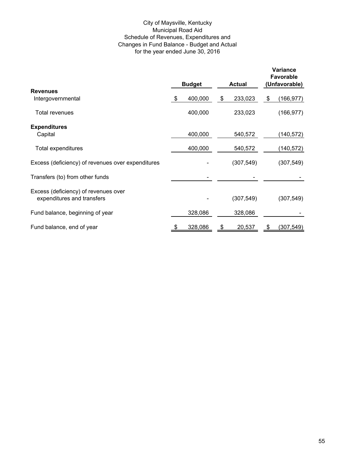# City of Maysville, Kentucky Municipal Road Aid Schedule of Revenues, Expenditures and Changes in Fund Balance - Budget and Actual for the year ended June 30, 2016

|                                                                    |   | <b>Budget</b> | <b>Actual</b> | Variance<br>Favorable<br>(Unfavorable) |
|--------------------------------------------------------------------|---|---------------|---------------|----------------------------------------|
| <b>Revenues</b>                                                    |   |               |               |                                        |
| Intergovernmental                                                  | S | 400,000       | \$<br>233,023 | \$<br>(166, 977)                       |
| Total revenues                                                     |   | 400,000       | 233,023       | (166, 977)                             |
| <b>Expenditures</b>                                                |   |               |               |                                        |
| Capital                                                            |   | 400,000       | 540,572       | (140,572)                              |
| Total expenditures                                                 |   | 400,000       | 540,572       | (140, 572)                             |
| Excess (deficiency) of revenues over expenditures                  |   |               | (307, 549)    | (307, 549)                             |
| Transfers (to) from other funds                                    |   |               |               |                                        |
| Excess (deficiency) of revenues over<br>expenditures and transfers |   |               | (307, 549)    | (307, 549)                             |
|                                                                    |   |               |               |                                        |
| Fund balance, beginning of year                                    |   | 328,086       | 328,086       |                                        |
| Fund balance, end of year                                          |   | 328,086       | 20,537        | (307, 549)                             |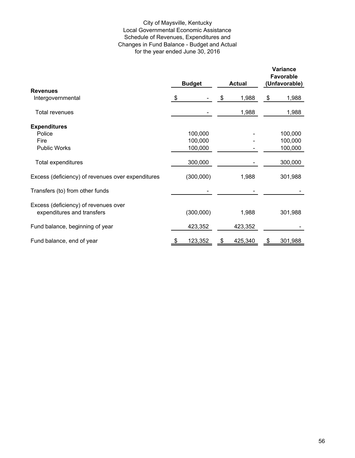# City of Maysville, Kentucky Local Governmental Economic Assistance Schedule of Revenues, Expenditures and Changes in Fund Balance - Budget and Actual for the year ended June 30, 2016

|                                                   | <b>Budget</b> | <b>Actual</b> | Variance<br>Favorable<br>(Unfavorable) |
|---------------------------------------------------|---------------|---------------|----------------------------------------|
| <b>Revenues</b>                                   |               |               |                                        |
| Intergovernmental                                 | \$            | \$<br>1,988   | \$<br>1,988                            |
| <b>Total revenues</b>                             |               | 1,988         | 1,988                                  |
| <b>Expenditures</b>                               |               |               |                                        |
| Police                                            | 100,000       |               | 100,000                                |
| Fire                                              | 100,000       |               | 100,000                                |
| <b>Public Works</b>                               | 100,000       |               | 100,000                                |
| Total expenditures                                | 300,000       |               | 300,000                                |
| Excess (deficiency) of revenues over expenditures | (300,000)     | 1,988         | 301,988                                |
| Transfers (to) from other funds                   |               |               |                                        |
| Excess (deficiency) of revenues over              |               |               |                                        |
| expenditures and transfers                        | (300,000)     | 1,988         | 301,988                                |
| Fund balance, beginning of year                   | 423,352       | 423,352       |                                        |
| Fund balance, end of year                         | 123,352       | \$<br>425,340 | 301,988                                |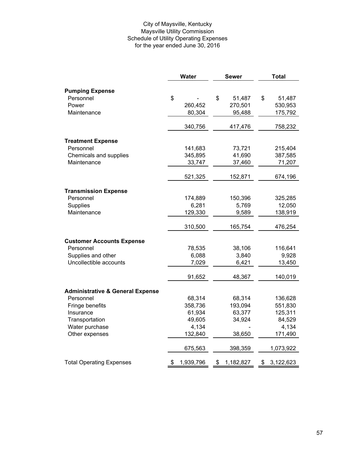## City of Maysville, Kentucky Maysville Utility Commission Schedule of Utility Operating Expenses for the year ended June 30, 2016

|                                             | <b>Water</b>    | <b>Sewer</b>    | <b>Total</b>    |
|---------------------------------------------|-----------------|-----------------|-----------------|
| <b>Pumping Expense</b><br>Personnel         | \$              | \$<br>51,487    | \$<br>51,487    |
| Power                                       | 260,452         | 270,501         | 530,953         |
| Maintenance                                 | 80,304          | 95,488          | 175,792         |
|                                             | 340,756         | 417,476         | 758,232         |
| <b>Treatment Expense</b>                    |                 |                 |                 |
| Personnel                                   | 141,683         | 73,721          | 215,404         |
| Chemicals and supplies                      | 345,895         | 41,690          | 387,585         |
| Maintenance                                 | 33,747          | 37,460          | 71,207          |
|                                             | 521,325         | 152,871         | 674,196         |
| <b>Transmission Expense</b>                 |                 |                 |                 |
| Personnel                                   | 174,889         | 150,396         | 325,285         |
| Supplies                                    | 6,281           | 5,769           | 12,050          |
| Maintenance                                 | 129,330         | 9,589           | 138,919         |
|                                             | 310,500         | 165,754         | 476,254         |
| <b>Customer Accounts Expense</b>            |                 |                 |                 |
| Personnel                                   | 78,535          | 38,106          | 116,641         |
| Supplies and other                          | 6,088           | 3,840           | 9,928           |
| Uncollectible accounts                      | 7,029           | 6,421           | 13,450          |
|                                             | 91,652          | 48,367          | 140,019         |
| <b>Administrative &amp; General Expense</b> |                 |                 |                 |
| Personnel                                   | 68,314          | 68,314          | 136,628         |
| Fringe benefits                             | 358,736         | 193,094         | 551,830         |
| Insurance                                   | 61,934          | 63,377          | 125,311         |
| Transportation                              | 49,605          | 34,924          | 84,529          |
| Water purchase                              | 4,134           |                 | 4,134           |
| Other expenses                              | 132,840         | 38,650          | 171,490         |
|                                             | 675,563         | 398,359         | 1,073,922       |
| <b>Total Operating Expenses</b>             | \$<br>1,939,796 | \$<br>1,182,827 | \$<br>3,122,623 |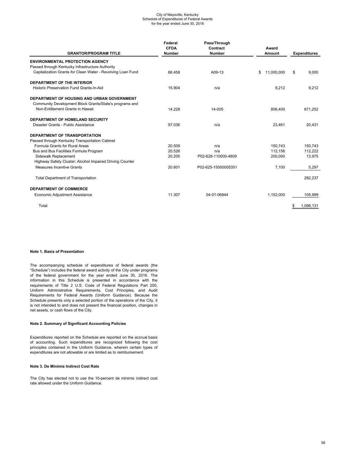## City of Maysville, Kentucky Schedule of Expenditures of Federal Awards for the year ended June 30, 2016

|                                                                                            | Federal               | Pass/Through              |                  |                     |
|--------------------------------------------------------------------------------------------|-----------------------|---------------------------|------------------|---------------------|
| <b>GRANTOR/PROGRAM TITLE</b>                                                               | CFDA<br><b>Number</b> | Contract<br><b>Number</b> | Award<br>Amount  | <b>Expenditures</b> |
|                                                                                            |                       |                           |                  |                     |
| <b>ENVIRONMENTAL PROTECTION AGENCY</b><br>Passed through Kentucky Infrastructure Authority |                       |                           |                  |                     |
| Capitalization Grants for Clean Water - Revolving Loan Fund                                | 66.458                | A09-13                    | 11.000.000<br>\$ | \$<br>9.000         |
|                                                                                            |                       |                           |                  |                     |
| <b>DEPARTMENT OF THE INTERIOR</b>                                                          |                       |                           |                  |                     |
| Historic Preservation Fund Grants-In-Aid                                                   | 15.904                | n/a                       | 9,212            | 9,212               |
| <b>DEPARTMENT OF HOUSING AND URBAN GOVERNMENT</b>                                          |                       |                           |                  |                     |
| Community Development Block Grants/State's programs and                                    |                       |                           |                  |                     |
| Non-Entitlement Grants in Hawaii                                                           | 14.228                | 14-005                    | 806,400          | 671,252             |
| <b>DEPARTMENT OF HOMELAND SECURITY</b>                                                     |                       |                           |                  |                     |
| Disaster Grants - Public Assistance                                                        | 97.036                | n/a                       | 23,461           | 20,431              |
| DEPARTMENT OF TRANSPORTATION                                                               |                       |                           |                  |                     |
| Passed through Kentucky Transportation Cabinet                                             |                       |                           |                  |                     |
| Formula Grants for Rural Areas                                                             | 20.509                | n/a                       | 150,743          | 150,743             |
| Bus and Bus Facilities Formula Program                                                     | 20.526                | n/a                       | 112,156          | 112,222             |
| Sidewalk Replacement                                                                       | 20.205                | P02-628-110000-4809       | 200,000          | 13,975              |
| Highway Safety Cluster; Alcohol Impaired Driving Counter                                   |                       |                           |                  |                     |
| Measures Incentive Grants                                                                  | 20.601                | P02-625-15000005351       | 7,100            | 5.297               |
| <b>Total Department of Transportation</b>                                                  |                       |                           |                  | 282,237             |
| <b>DEPARTMENT OF COMMERCE</b>                                                              |                       |                           |                  |                     |
| Economic Adjustment Assistance                                                             | 11.307                | 04-01-06944               | 1.152.000        | 105,999             |
| Total                                                                                      |                       |                           |                  | 1,098,131           |

#### **Note 1. Basis of Presentation**

The accompanying schedule of expenditures of federal awards (the "Schedule") includes the federal award activity of the City under programs of the federal government for the year ended June 30, 2016. The information in this Schedule is presented in accordance with the requirements of Title 2 U.S. Code of Federal Regulations Part 200, Uniform Administrative Requirements, Cost Principles, and Audit Requirements for Federal Awards (Uniform Guidance). Because the Schedule presents only a selected portion of the operations of the City, it is not intended to and does not present the financial position, changes in net assets, or cash flows of the City.

#### **Note 2. Summary of Significant Accounting Policies**

Expenditures reported on the Schedule are reported on the accrual basis of accounting. Such expenditures are recognized following the cost principles contained in the Uniform Guidance, wherein certain types of expenditures are not allowable or are limited as to reimbursement.

#### **Note 3. De Minimis Indirect Cost Rate**

The City has elected not to use the 10-percent de minimis indirect cost rate allowed under the Uniform Guidance.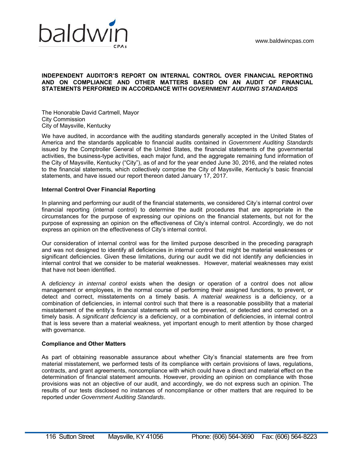

#### **INDEPENDENT AUDITOR'S REPORT ON INTERNAL CONTROL OVER FINANCIAL REPORTING AND ON COMPLIANCE AND OTHER MATTERS BASED ON AN AUDIT OF FINANCIAL STATEMENTS PERFORMED IN ACCORDANCE WITH** *GOVERNMENT AUDITING STANDARDS*

The Honorable David Cartmell, Mayor City Commission City of Maysville, Kentucky

We have audited, in accordance with the auditing standards generally accepted in the United States of America and the standards applicable to financial audits contained in *Government Auditing Standards* issued by the Comptroller General of the United States, the financial statements of the governmental activities, the business-type activities, each major fund, and the aggregate remaining fund information of the City of Maysville, Kentucky ("City"), as of and for the year ended June 30, 2016, and the related notes to the financial statements, which collectively comprise the City of Maysville, Kentucky's basic financial statements, and have issued our report thereon dated January 17, 2017.

## **Internal Control Over Financial Reporting**

In planning and performing our audit of the financial statements, we considered City's internal control over financial reporting (internal control) to determine the audit procedures that are appropriate in the circumstances for the purpose of expressing our opinions on the financial statements, but not for the purpose of expressing an opinion on the effectiveness of City's internal control. Accordingly, we do not express an opinion on the effectiveness of City's internal control.

Our consideration of internal control was for the limited purpose described in the preceding paragraph and was not designed to identify all deficiencies in internal control that might be material weaknesses or significant deficiencies. Given these limitations, during our audit we did not identify any deficiencies in internal control that we consider to be material weaknesses. However, material weaknesses may exist that have not been identified.

A *deficiency in internal control* exists when the design or operation of a control does not allow management or employees, in the normal course of performing their assigned functions, to prevent, or detect and correct, misstatements on a timely basis. A *material weakness* is a deficiency, or a combination of deficiencies, in internal control such that there is a reasonable possibility that a material misstatement of the entity's financial statements will not be prevented, or detected and corrected on a timely basis. A *significant deficiency* is a deficiency, or a combination of deficiencies, in internal control that is less severe than a material weakness, yet important enough to merit attention by those charged with governance.

#### **Compliance and Other Matters**

As part of obtaining reasonable assurance about whether City's financial statements are free from material misstatement, we performed tests of its compliance with certain provisions of laws, regulations, contracts, and grant agreements, noncompliance with which could have a direct and material effect on the determination of financial statement amounts. However, providing an opinion on compliance with those provisions was not an objective of our audit, and accordingly, we do not express such an opinion. The results of our tests disclosed no instances of noncompliance or other matters that are required to be reported under *Government Auditing Standards*.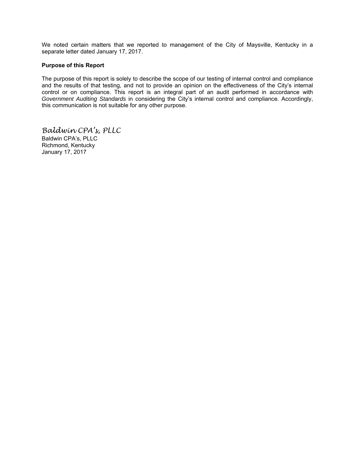We noted certain matters that we reported to management of the City of Maysville, Kentucky in a separate letter dated January 17, 2017.

## **Purpose of this Report**

The purpose of this report is solely to describe the scope of our testing of internal control and compliance and the results of that testing, and not to provide an opinion on the effectiveness of the City's internal control or on compliance. This report is an integral part of an audit performed in accordance with *Government Auditing Standards* in considering the City's internal control and compliance. Accordingly, this communication is not suitable for any other purpose.

*Baldwin CPA's, PLLC*  Baldwin CPA's, PLLC Richmond, Kentucky January 17, 2017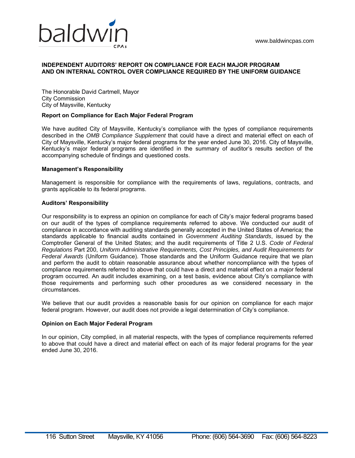

## **INDEPENDENT AUDITORS' REPORT ON COMPLIANCE FOR EACH MAJOR PROGRAM AND ON INTERNAL CONTROL OVER COMPLIANCE REQUIRED BY THE UNIFORM GUIDANCE**

The Honorable David Cartmell, Mayor City Commission City of Maysville, Kentucky

#### **Report on Compliance for Each Major Federal Program**

We have audited City of Maysville, Kentucky's compliance with the types of compliance requirements described in the *OMB Compliance Supplement* that could have a direct and material effect on each of City of Maysville, Kentucky's major federal programs for the year ended June 30, 2016. City of Maysville, Kentucky's major federal programs are identified in the summary of auditor's results section of the accompanying schedule of findings and questioned costs.

#### **Management's Responsibility**

Management is responsible for compliance with the requirements of laws, regulations, contracts, and grants applicable to its federal programs.

#### **Auditors' Responsibility**

Our responsibility is to express an opinion on compliance for each of City's major federal programs based on our audit of the types of compliance requirements referred to above. We conducted our audit of compliance in accordance with auditing standards generally accepted in the United States of America; the standards applicable to financial audits contained in *Government Auditing Standards*, issued by the Comptroller General of the United States; and the audit requirements of Title 2 U.S. *Code of Federal Regulations* Part 200, *Uniform Administrative Requirements, Cost Principles, and Audit Requirements for Federal Awards* (Uniform Guidance). Those standards and the Uniform Guidance require that we plan and perform the audit to obtain reasonable assurance about whether noncompliance with the types of compliance requirements referred to above that could have a direct and material effect on a major federal program occurred. An audit includes examining, on a test basis, evidence about City's compliance with those requirements and performing such other procedures as we considered necessary in the circumstances.

We believe that our audit provides a reasonable basis for our opinion on compliance for each major federal program. However, our audit does not provide a legal determination of City's compliance.

#### **Opinion on Each Major Federal Program**

In our opinion, City complied, in all material respects, with the types of compliance requirements referred to above that could have a direct and material effect on each of its major federal programs for the year ended June 30, 2016.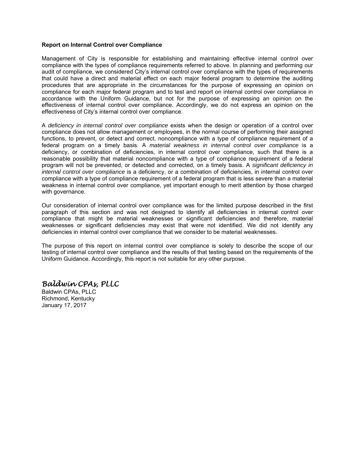#### **Report on Internal Control over Compliance**

Management of City is responsible for establishing and maintaining effective internal control over compliance with the types of compliance requirements referred to above. In planning and performing our audit of compliance, we considered City's internal control over compliance with the types of requirements that could have a direct and material effect on each major federal program to determine the auditing procedures that are appropriate in the circumstances for the purpose of expressing an opinion on compliance for each major federal program and to test and report on internal control over compliance in accordance with the Uniform Guidance, but not for the purpose of expressing an opinion on the effectiveness of internal control over compliance. Accordingly, we do not express an opinion on the effectiveness of City's internal control over compliance.

A *deficiency in internal control over compliance* exists when the design or operation of a control over compliance does not allow management or employees, in the normal course of performing their assigned functions, to prevent, or detect and correct, noncompliance with a type of compliance requirement of a federal program on a timely basis. A *material weakness in internal control over compliance* is a deficiency, or combination of deficiencies, in internal control over compliance, such that there is a reasonable possibility that material noncompliance with a type of compliance requirement of a federal program will not be prevented, or detected and corrected, on a timely basis. A *significant deficiency in internal control over compliance* is a deficiency, or a combination of deficiencies, in internal control over compliance with a type of compliance requirement of a federal program that is less severe than a material weakness in internal control over compliance, yet important enough to merit attention by those charged with governance.

Our consideration of internal control over compliance was for the limited purpose described in the first paragraph of this section and was not designed to identify all deficiencies in internal control over compliance that might be material weaknesses or significant deficiencies and therefore, material weaknesses or significant deficiencies may exist that were not identified. We did not identify any deficiencies in internal control over compliance that we consider to be material weaknesses.

The purpose of this report on internal control over compliance is solely to describe the scope of our testing of internal control over compliance and the results of that testing based on the requirements of the Uniform Guidance. Accordingly, this report is not suitable for any other purpose.

# *Baldwin CPAs, PLLC*

Baldwin CPAs, PLLC Richmond, Kentucky January 17, 2017